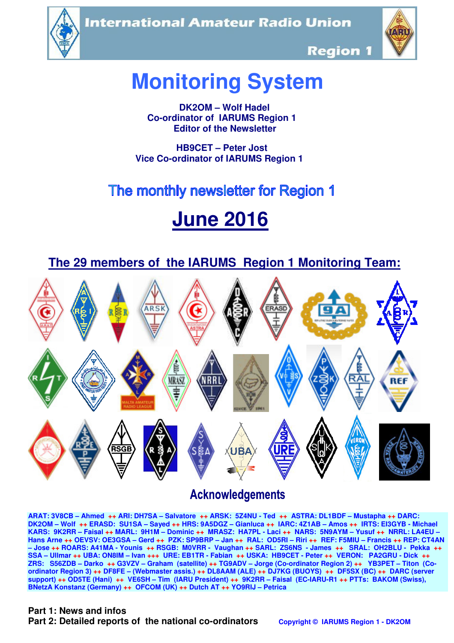**International Amateur Radio Union** 





**Region 1** 

## **Monitoring System**

 **DK2OM – Wolf Hadel Co-ordinator of IARUMS Region 1 Editor of the Newsletter** 

 **HB9CET – Peter Jost Vice Co-ordinator of IARUMS Region 1** 

# The monthly newsletter for Region 1

# **June 2016**

 **The 29 members of the IARUMS Region 1 Monitoring Team:**



## **Acknowledgements**

**ARAT: 3V8CB – Ahmed ++ ARI: DH7SA – Salvatore ++ ARSK: 5Z4NU - Ted ++ ASTRA: DL1BDF – Mustapha ++ DARC: DK2OM – Wolf ++ ERASD: SU1SA – Sayed ++ HRS: 9A5DGZ – Gianluca ++ IARC: 4Z1AB – Amos ++ IRTS: EI3GYB - Michael KARS: 9K2RR – Faisal ++ MARL: 9H1M – Dominic ++ MRASZ: HA7PL - Laci ++ NARS: 5N9AYM – Yusuf ++ NRRL: LA4EU – Hans Arne ++ OEVSV: OE3GSA – Gerd ++ PZK: SP9BRP – Jan ++ RAL: OD5RI – Riri ++ REF: F5MIU – Francis ++ REP: CT4AN – Jose ++ ROARS: A41MA - Younis ++ RSGB: M0VRR - Vaughan ++ SARL: ZS6NS - James ++ SRAL: OH2BLU - Pekka ++ SSA – Ullmar ++ UBA: ON8IM – Ivan +++ URE: EB1TR - Fabian ++ USKA: HB9CET - Peter ++ VERON: PA2GRU - Dick ++ ZRS: S56ZDB – Darko ++ G3VZV – Graham (satellite) ++ TG9ADV – Jorge (Co-ordinator Region 2) ++ YB3PET – Titon (Coordinator Region 3) ++ DF8FE – (Webmaster assis.) ++ DL8AAM (ALE) ++ DJ7KG (BUOYS) ++ DF5SX (BC) ++ DARC (server support) ++ OD5TE (Hani) ++ VE6SH – Tim (IARU President) ++ 9K2RR – Faisal (EC-IARU-R1 ++ PTTs: BAKOM (Swiss), BNetzA Konstanz (Germany) ++ OFCOM (UK) ++ Dutch AT ++ YO9RIJ – Petrica** 

#### **Part 1: News and infos**

**Part 2: Detailed reports of the national co-ordinators copyright © IARUMS Region 1 - DK2OM**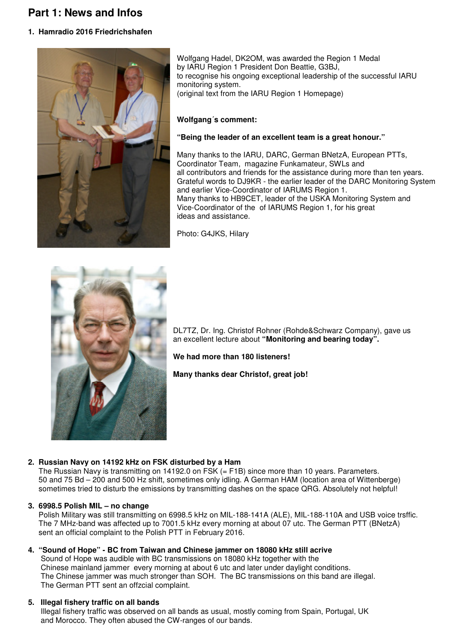## **Part 1: News and Infos**

#### **1. Hamradio 2016 Friedrichshafen**



Wolfgang Hadel, DK2OM, was awarded the Region 1 Medal by IARU Region 1 President Don Beattie, G3BJ, to recognise his ongoing exceptional leadership of the successful IARU monitoring system. (original text from the IARU Region 1 Homepage)

#### **Wolfgang´s comment:**

#### **"Being the leader of an excellent team is a great honour."**

Many thanks to the IARU, DARC, German BNetzA, European PTTs, Coordinator Team, magazine Funkamateur, SWLs and all contributors and friends for the assistance during more than ten years. Grateful words to DJ9KR - the earlier leader of the DARC Monitoring System and earlier Vice-Coordinator of IARUMS Region 1. Many thanks to HB9CET, leader of the USKA Monitoring System and Vice-Coordinator of the of IARUMS Region 1, for his great ideas and assistance.

Photo: G4JKS, Hilary



DL7TZ, Dr. Ing. Christof Rohner (Rohde&Schwarz Company), gave us an excellent lecture about **"Monitoring and bearing today".** 

**We had more than 180 listeners!** 

**Many thanks dear Christof, great job!** 

#### **2. Russian Navy on 14192 kHz on FSK disturbed by a Ham**

The Russian Navy is transmitting on 14192.0 on FSK (= F1B) since more than 10 years. Parameters. 50 and 75 Bd – 200 and 500 Hz shift, sometimes only idling. A German HAM (location area of Wittenberge) sometimes tried to disturb the emissions by transmitting dashes on the space QRG. Absolutely not helpful!

#### **3. 6998.5 Polish MIL – no change**

Polish Military was still transmitting on 6998.5 kHz on MIL-188-141A (ALE), MIL-188-110A and USB voice trsffic. The 7 MHz-band was affected up to 7001.5 kHz every morning at about 07 utc. The German PTT (BNetzA) sent an official complaint to the Polish PTT in February 2016.

#### **4. "Sound of Hope" - BC from Taiwan and Chinese jammer on 18080 kHz still acrive**

Sound of Hope was audible with BC transmissions on 18080 kHz together with the Chinese mainland jammer every morning at about 6 utc and later under daylight conditions. The Chinese jammer was much stronger than SOH. The BC transmissions on this band are illegal. The German PTT sent an offzcial complaint.

#### **5. Illegal fishery traffic on all bands**

 Illegal fishery traffic was observed on all bands as usual, mostly coming from Spain, Portugal, UK and Morocco. They often abused the CW-ranges of our bands.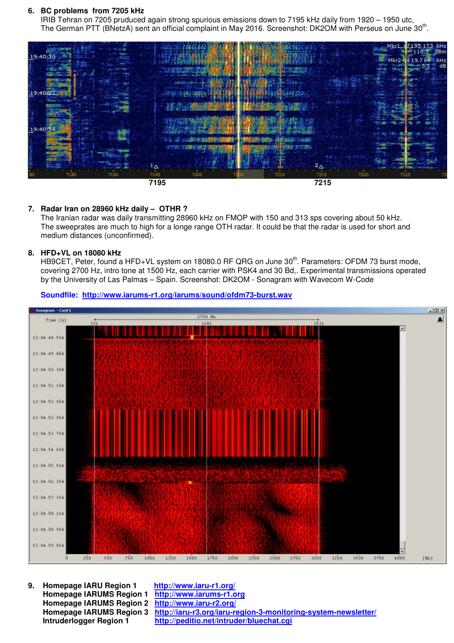#### **6. BC problems from 7205 kHz**

IRIB Tehran on 7205 pruduced again strong spurious emissions down to 7195 kHz daily from 1920 – 1950 utc, The German PTT (BNetzA) sent an official complaint in May 2016. Screenshot: DK2OM with Perseus on June 30<sup>th</sup>.



#### **7. Radar Iran on 28960 kHz daily – OTHR ?**

 The Iranian radar was daily transmitting 28960 kHz on FMOP with 150 and 313 sps covering about 50 kHz. The sweeprates are much to high for a longe range OTH radar. It could be that the radar is used for short and medium distances (unconfirmed).

#### **8. HFD+VL on 18080 kHz**

HB9CET, Peter, found a HFD+VL system on 18080.0 RF QRG on June 30<sup>th</sup>. Parameters: OFDM 73 burst mode, covering 2700 Hz, intro tone at 1500 Hz, each carrier with PSK4 and 30 Bd,. Experimental transmissions operated by the University of Las Palmas – Spain. Screenshot: DK2OM - Sonagram with Wavecom W-Code



**Soundfile: http://www.iarums-r1.org/iarums/sound/ofdm73-burst.wav**

**9. Homepage IARU Region 1 http://www.iaru-r1.org/ Homepage IARUMS Region 1 http://www.iarums-r1.org Homepage IARUMS Region 2 http://www.iaru-r2.org/ Homepage IARUMS Region 3 http://iaru-r3.org/iaru-region-3-monitoring-system-newsletter/ Intruderlogger Region 1 http://peditio.net/intruder/bluechat.cgi**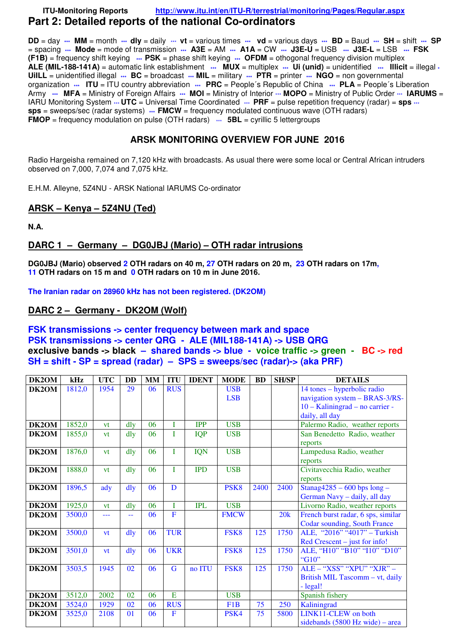#### **ITU-Monitoring Reports http://www.itu.int/en/ITU-R/terrestrial/monitoring/Pages/Regular.aspx Part 2: Detailed reports of the national Co-ordinators**

**DD** = day **\*\*\* MM** = month **\*\*\* dly** = daily \*\*\* **vt** = various times **\*\*\* vd** = various days **\*\*\* BD** = Baud **\*\*\* SH** = shift **\*\*\* SP** = spacing **\*\*\* Mode** = mode of transmission **\*\*\* A3E** = AM **\*\*\* A1A** = CW **\*\*\* J3E-U** = USB **\*\*\* J3E-L** = LSB **\*\*\* FSK (F1B)** = frequency shift keying **\*\*\* PSK** = phase shift keying **\*\*\* OFDM** = othogonal frequency division multiplex **ALE (MIL-188-141A)** = automatic link establishment **\*\*\* MUX** = multiplex **\*\*\* Ui (unid)** = unidentified **\*\*\* Illicit** = illegal **\* UiILL** = unidentified illegal **\*\*\* BC** = broadcast **\*\*\* MIL** = military **\*\*\* PTR** = printer **\*\*\* NGO** = non governmental organization **\*\*\* ITU** = ITU country abbreviation **\*\*\* PRC** = People´s Republic of China **\*\*\* PLA** = People´s Liberation Army  $\cdots$  MFA = Ministry of Foreign Affairs  $\cdots$  MOI = Ministry of Interior  $\cdots$  MOPO = Ministry of Public Order  $\cdots$  IARUMS = IARU Monitoring System  $\cdots$  UTC = Universal Time Coordinated  $\cdots$  PRF = pulse repetition frequency (radar) = sps  $\cdots$ **sps** = sweeps/sec (radar systems) **\*\*\* FMCW** = frequency modulated continuous wave (OTH radars) **FMOP** = frequency modulation on pulse (OTH radars)  $\cdots$  **5BL** = cyrillic 5 lettergroups

#### **ARSK MONITORING OVERVIEW FOR JUNE 2016**

Radio Hargeisha remained on 7,120 kHz with broadcasts. As usual there were some local or Central African intruders observed on 7,000, 7,074 and 7,075 kHz.

E.H.M. Alleyne, 5Z4NU - ARSK National IARUMS Co-ordinator

#### **ARSK – Kenya – 5Z4NU (Ted)**

**N.A.** 

#### **DARC 1 – Germany – DG0JBJ (Mario) – OTH radar intrusions**

**DG0JBJ (Mario) observed 2 OTH radars on 40 m, 27 OTH radars on 20 m, 23 OTH radars on 17m, 11 OTH radars on 15 m and 0 OTH radars on 10 m in June 2016.** 

**The Iranian radar on 28960 kHz has not been registered. (DK2OM)** 

#### **DARC 2 – Germany - DK2OM (Wolf)**

#### **FSK transmissions -> center frequency between mark and space PSK transmissions -> center QRG - ALE (MIL188-141A) -> USB QRG exclusive bands -> black – shared bands -> blue - voice traffic -> green - BC -> red SH = shift - SP = spread (radar) – SPS = sweeps/sec (radar)-> (aka PRF)**

| DK2OM | kHz    | <b>UTC</b> | <b>DD</b>      | <b>MM</b> | <b>ITU</b>              | <b>IDENT</b> | <b>MODE</b>      | <b>BD</b> | <b>SH/SP</b> | <b>DETAILS</b>                            |
|-------|--------|------------|----------------|-----------|-------------------------|--------------|------------------|-----------|--------------|-------------------------------------------|
| DK2OM | 1812,0 | 1954       | 29             | 06        | <b>RUS</b>              |              | <b>USB</b>       |           |              | 14 tones – hyperbolic radio               |
|       |        |            |                |           |                         |              | <b>LSB</b>       |           |              | navigation system - BRAS-3/RS-            |
|       |        |            |                |           |                         |              |                  |           |              | 10 - Kaliningrad - no carrier -           |
|       |        |            |                |           |                         |              |                  |           |              | daily, all day                            |
| DK2OM | 1852,0 | vt         | dly            | 06        | T                       | <b>IPP</b>   | <b>USB</b>       |           |              | Palermo Radio, weather reports            |
| DK2OM | 1855,0 | <b>vt</b>  | dly            | 06        | T                       | <b>IQP</b>   | <b>USB</b>       |           |              | San Benedetto Radio, weather              |
|       |        |            |                |           |                         |              |                  |           |              | reports                                   |
| DK2OM | 1876,0 | vt         | dly            | 06        | T                       | <b>IQN</b>   | <b>USB</b>       |           |              | Lampedusa Radio, weather                  |
|       |        |            |                |           |                         |              |                  |           |              | reports                                   |
| DK2OM | 1888,0 | <b>vt</b>  | dly            | 06        | I                       | <b>IPD</b>   | <b>USB</b>       |           |              | Civitavecchia Radio, weather              |
|       |        |            |                |           |                         |              |                  |           |              | reports                                   |
| DK2OM | 1896,5 | ady        | $\frac{d}{dy}$ | 06        | D                       |              | PSK <sub>8</sub> | 2400      | 2400         | Stanag $4285 - 600$ bps long -            |
|       |        |            |                |           |                         |              |                  |           |              | German Navy - daily, all day              |
| DK2OM | 1925,0 | <b>vt</b>  | dlv            | 06        | T                       | <b>IPL</b>   | <b>USB</b>       |           |              | Livorno Radio, weather reports            |
| DK2OM | 3500,0 | ---        | 44             | 06        | F                       |              | <b>FMCW</b>      |           | 20k          | French burst radar, 6 sps, similar        |
|       |        |            |                |           |                         |              |                  |           |              | <b>Codar sounding, South France</b>       |
| DK2OM | 3500,0 | <b>vt</b>  | $\frac{d}{dy}$ | 06        | <b>TUR</b>              |              | FSK8             | 125       | 1750         | ALE, "2016" "4017" - Turkish              |
|       |        |            |                |           |                         |              |                  |           |              | $Red$ Crescent – just for info!           |
| DK2OM | 3501,0 | <b>vt</b>  | dly            | 06        | <b>UKR</b>              |              | FSK8             | 125       | 1750         | ALE, "H10" "B10" "I10" "D10"              |
|       |        |            |                |           |                         |              |                  |           |              | "G10"                                     |
| DK2OM | 3503,5 | 1945       | 02             | 06        | G                       | no ITU       | FSK8             | 125       | 1750         | ALE - "XSS" "XPU" "XJR" -                 |
|       |        |            |                |           |                         |              |                  |           |              | British MIL Tascomm - vt, daily           |
|       |        |            |                |           |                         |              |                  |           |              | $-$ legal!                                |
| DK2OM | 3512,0 | 2002       | 02             | 06        | $\overline{\mathrm{E}}$ |              | <b>USB</b>       |           |              | Spanish fishery                           |
| DK2OM | 3524,0 | 1929       | 02             | 06        | <b>RUS</b>              |              | F <sub>1</sub> B | 75        | 250          | Kaliningrad                               |
| DK2OM | 3525,0 | 2108       | 01             | 06        | F                       |              | PSK4             | 75        | 5800         | LINK11-CLEW on both                       |
|       |        |            |                |           |                         |              |                  |           |              | sidebands $(5800 \text{ Hz wide})$ – area |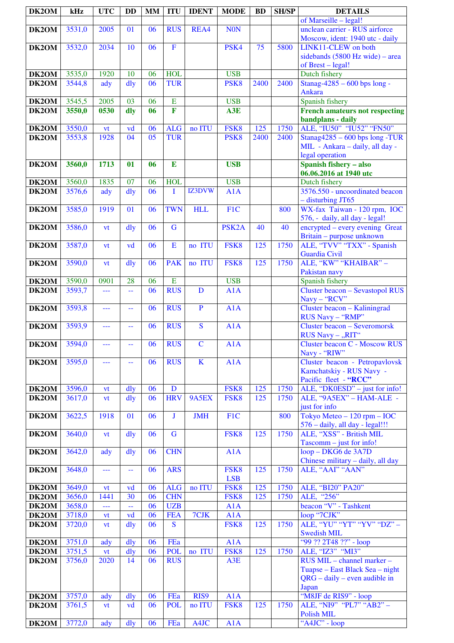| DK2OM          | kHz              | <b>UTC</b>                         | DD                       | <b>MM</b>       | <b>ITU</b>               | <b>IDENT</b>            | <b>MODE</b>        | <b>BD</b> | <b>SH/SP</b> | <b>DETAILS</b>                                                    |
|----------------|------------------|------------------------------------|--------------------------|-----------------|--------------------------|-------------------------|--------------------|-----------|--------------|-------------------------------------------------------------------|
|                |                  |                                    |                          |                 |                          |                         |                    |           |              | of Marseille - legal!                                             |
| DK2OM          | 3531,0           | 2005                               | 01                       | 06              | <b>RUS</b>               | REA4                    | <b>NON</b>         |           |              | unclean carrier - RUS airforce<br>Moscow, ident: 1940 utc - daily |
| DK2OM          | 3532,0           | 2034                               | 10                       | 06              | $\mathbf F$              |                         | PSK4               | 75        | 5800         | LINK11-CLEW on both                                               |
|                |                  |                                    |                          |                 |                          |                         |                    |           |              | sidebands $(5800 \text{ Hz wide})$ – area                         |
|                |                  |                                    |                          |                 |                          |                         |                    |           |              | of Brest - legal!                                                 |
| DK2OM          | 3535,0           | 1920                               | 10                       | 06              | <b>HOL</b>               |                         | <b>USB</b>         |           |              | Dutch fishery                                                     |
| DK2OM          | 3544,8           | ady                                | $\frac{d}{dy}$           | 06              | <b>TUR</b>               |                         | PSK <sub>8</sub>   | 2400      | 2400         | Stanag-4285 - 600 bps long -                                      |
| DK2OM          | 3545,5           | 2005                               | 03                       | 06              | $\overline{E}$           |                         | <b>USB</b>         |           |              | <b>Ankara</b><br>Spanish fishery                                  |
| DK2OM          | 3550,0           | 0530                               | dly                      | 06              | F                        |                         | A3E                |           |              | <b>French amateurs not respecting</b>                             |
|                |                  |                                    |                          |                 |                          |                         |                    |           |              | bandplans - daily                                                 |
| DK2OM          | 3550,0           | <b>vt</b>                          | vd                       | 06              | <b>ALG</b>               | no ITU                  | FSK8               | 125       | 1750         | ALE, "IU50" "IU52" "FN50"                                         |
| DK2OM          | 3553,8           | 1928                               | $\overline{04}$          | $\overline{05}$ | <b>TUR</b>               |                         | PSK <sub>8</sub>   | 2400      | 2400         | Stanag $4285 - 600$ bps long -TUR                                 |
|                |                  |                                    |                          |                 |                          |                         |                    |           |              | MIL - Ankara - daily, all day -<br>legal operation                |
| DK2OM          | 3560,0           | 1713                               | 01                       | 06              | E                        |                         | <b>USB</b>         |           |              | Spanish fishery - also                                            |
|                |                  |                                    |                          |                 |                          |                         |                    |           |              | 06.06.2016 at 1940 utc                                            |
| DK2OM          | 3560,0           | 1835                               | 07                       | 06              | <b>HOL</b>               |                         | <b>USB</b>         |           |              | Dutch fishery                                                     |
| DK2OM          | 3576,6           | ady                                | $\overline{d}$ ly        | $\overline{06}$ | T                        | IZ3DVW                  | A1A                |           |              | 3576.550 - uncoordinated beacon                                   |
| DK2OM          | 3585,0           | 1919                               | 01                       | 06              | <b>TWN</b>               | <b>HLL</b>              | F1C                |           | 800          | - disturbing JT65<br>WX-fax Taiwan - 120 rpm, IOC                 |
|                |                  |                                    |                          |                 |                          |                         |                    |           |              | 576, - daily, all day - legal!                                    |
| DK2OM          | 3586,0           | vt                                 | $\frac{d}{dy}$           | 06              | $\mathbf G$              |                         | PSK <sub>2</sub> A | 40        | 40           | encrypted – every evening Great                                   |
|                |                  |                                    |                          |                 |                          |                         |                    |           |              | Britain - purpose unknown                                         |
| DK2OM          | 3587,0           | vt                                 | vd                       | 06              | ${\bf E}$                | no ITU                  | FSK8               | 125       | 1750         | ALE, "TVV" "TXX" - Spanish                                        |
| DK2OM          | 3590,0           | vt                                 | dly                      | 06              | <b>PAK</b>               | no ITU                  | FSK8               | 125       | 1750         | Guardia Civil<br>ALE, "KW" "KHAIBAR" -                            |
|                |                  |                                    |                          |                 |                          |                         |                    |           |              | Pakistan navy                                                     |
| DK2OM          | 3590,0           | 0901                               | 28                       | 06              | E                        |                         | <b>USB</b>         |           |              | Spanish fishery                                                   |
| DK2OM          | 3593,7           | $\mathbb{L} \mathbb{L} \mathbb{L}$ | 44                       | 06              | <b>RUS</b>               | D                       | A1A                |           |              | <b>Cluster beacon - Sevastopol RUS</b>                            |
|                |                  |                                    |                          |                 |                          | $\overline{P}$          |                    |           |              | Navy - "RCV"                                                      |
| DK2OM          | 3593,8           | 444                                | $-$                      | 06              | <b>RUS</b>               |                         | A1A                |           |              | Cluster beacon - Kaliningrad<br>RUS Navy - "RMP"                  |
| DK2OM          | 3593,9           | ---                                | 44                       | 06              | <b>RUS</b>               | $\overline{\mathbf{S}}$ | A1A                |           |              | <b>Cluster beacon - Severomorsk</b>                               |
|                |                  |                                    |                          |                 |                          |                         |                    |           |              | RUS Navy - "RIT"                                                  |
| DK2OM 3594,0   |                  | ---                                | $\overline{\phantom{m}}$ | 06              | <b>RUS</b>               | $\mathbf C$             | A1A                |           |              | Cluster beacon C - Moscow RUS                                     |
| DK2OM          | 3595,0           | ---                                | --                       | 06              | <b>RUS</b>               | $\mathbf K$             | A1A                |           |              | Navy - "RIW"<br>Cluster beacon - Petropavlovsk                    |
|                |                  |                                    |                          |                 |                          |                         |                    |           |              | Kamchatskiy - RUS Navy -                                          |
|                |                  |                                    |                          |                 |                          |                         |                    |           |              | Pacific fleet - "RCC"                                             |
| DK2OM          | 3596,0           | vt                                 | $\frac{d}{dy}$           | 06              | D                        |                         | FSK8               | 125       | 1750         | ALE, "DK0ESD" – just for info!                                    |
| DK2OM          | 3617,0           | vt                                 | $\frac{dy}{dx}$          | 06              | <b>HRV</b>               | <b>9A5EX</b>            | FSK8               | 125       | 1750         | ALE, "9A5EX" - HAM-ALE -<br>just for info                         |
| DK2OM          | 3622,5           | 1918                               | 01                       | 06              | J                        | <b>JMH</b>              | F1C                |           | 800          | Tokyo Meteo $-120$ rpm $-$ IOC                                    |
|                |                  |                                    |                          |                 |                          |                         |                    |           |              | $576 -$ daily, all day - legal!!!                                 |
| DK2OM          | 3640,0           | vt                                 | dly                      | 06              | $\mathbf G$              |                         | FSK8               | 125       | 1750         | ALE, "XSS" - British MIL                                          |
|                |                  |                                    |                          |                 |                          |                         |                    |           |              | $Tascomm - just for info!$                                        |
| DK2OM          | 3642,0           | ady                                | dly                      | 06              | <b>CHN</b>               |                         | A1A                |           |              | loop - DKG6 de 3A7D<br>Chinese military - daily, all day          |
| DK2OM          | 3648,0           | $\scriptstyle\cdots$               | $\perp$                  | 06              | <b>ARS</b>               |                         | FSK8               | 125       | 1750         | ALE, "AAI" "AAN"                                                  |
|                |                  |                                    |                          |                 |                          |                         | <b>LSB</b>         |           |              |                                                                   |
| DK2OM          | 3649,0           | vt                                 | vd                       | 06              | <b>ALG</b>               | no ITU                  | FSK8               | 125       | 1750         | ALE, "BI20" PA20"                                                 |
| DK2OM<br>DK2OM | 3656,0<br>3658,0 | 1441<br>444                        | 30<br>μ.                 | 06<br>06        | <b>CHN</b><br><b>UZB</b> |                         | FSK8<br>A1A        | 125       | 1750         | ALE, "256"<br>beacon "V" - Tashkent                               |
| DK2OM          | 3718,0           | vt                                 | vd                       | 06              | <b>FEA</b>               | 7CJK                    | A1A                |           |              | loop "7CJK"                                                       |
| DK2OM          | 3720,0           | vt                                 | dly                      | 06              | S                        |                         | FSK <sub>8</sub>   | 125       | 1750         | ALE, "YU" "YT" "YV" "DZ" -                                        |
|                |                  |                                    |                          |                 |                          |                         |                    |           |              | <b>Swedish MIL</b>                                                |
| DK2OM          | 3751,0           | ady                                | dly                      | 06              | FEa                      |                         | A1A                |           |              | "99 ?? 2T48 ??" - loop                                            |
| DK2OM<br>DK2OM | 3751,5<br>3756,0 | vt<br>2020                         | $\frac{d}{dy}$<br>14     | 06<br>06        | <b>POL</b><br><b>RUS</b> | no ITU                  | FSK8<br>A3E        | 125       | 1750         | ALE, "IZ3" "MI3"<br>RUS MIL - channel marker -                    |
|                |                  |                                    |                          |                 |                          |                         |                    |           |              | Tuapse – East Black Sea – night                                   |
|                |                  |                                    |                          |                 |                          |                         |                    |           |              | QRG - daily - even audible in                                     |
|                |                  |                                    |                          |                 |                          |                         |                    |           |              | Japan                                                             |
| DK2OM          | 3757,0           | ady                                | dly                      | 06              | FEa                      | RIS9                    | A1A                |           |              | "M8JF de RIS9" - loop                                             |
| DK2OM          | 3761,5           | <b>vt</b>                          | vd                       | 06              | <b>POL</b>               | no ITU                  | FSK8               | 125       | 1750         | ALE, "NI9" "PL7" "AB2" -<br><b>Polish MIL</b>                     |
| DK2OM          | 3772,0           | ady                                | $\frac{d}{dy}$           | 06              | FEa                      | A4JC                    | A1A                |           |              | "A4JC" - loop                                                     |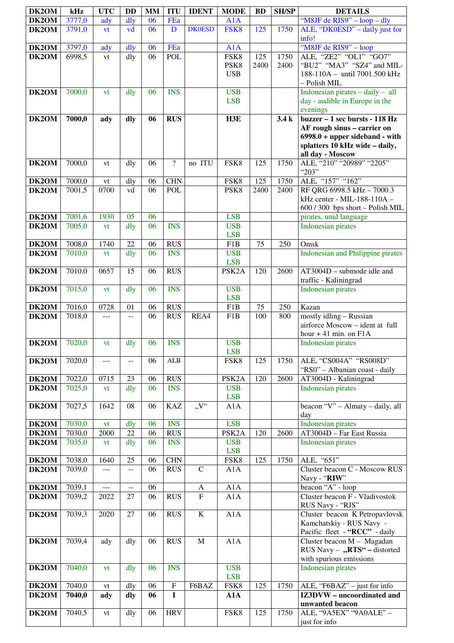| DK2OM              | kHz    | <b>UTC</b>               | <b>DD</b>      | <b>MM</b> | <b>ITU</b>               | <b>IDENT</b>       | <b>MODE</b>              | <b>BD</b> | <b>SH/SP</b> | <b>DETAILS</b>                                                  |
|--------------------|--------|--------------------------|----------------|-----------|--------------------------|--------------------|--------------------------|-----------|--------------|-----------------------------------------------------------------|
| DK <sub>2</sub> OM | 3777,0 | ady                      | dly            | 06        | FEa                      |                    | A1A                      |           |              | "M8JF de RIS9" $-$ loop $-$ dly                                 |
| DK2OM              | 3791,0 | vt                       | vd             | 06        | D                        | <b>DK0ESD</b>      | FSK8                     | 125       | 1750         | ALE, "DK0ESD" – daily just for                                  |
| DK2OM              | 3797,0 |                          | $\frac{d}{dy}$ | 06        | FEa                      |                    | A1A                      |           |              | info!<br>"M8JF de RIS9" - loop                                  |
| DK2OM              | 6998,5 | ady<br>vt                | dly            | 06        | <b>POL</b>               |                    | FSK8                     | 125       | 1750         | ALE, "ZE2" "OL1" "GO7"                                          |
|                    |        |                          |                |           |                          |                    | PSK8                     | 2400      | 2400         | "BU2" "MA3" "SZ4" and MIL-                                      |
|                    |        |                          |                |           |                          |                    | <b>USB</b>               |           |              | 188-110A - until 7001.500 kHz                                   |
|                    |        |                          |                |           |                          |                    |                          |           |              | - Polish MIL                                                    |
| DK2OM              | 7000,0 | vt                       | dly            | 06        | <b>INS</b>               |                    | <b>USB</b>               |           |              | Indonesian pirates $-$ daily $-$ all                            |
|                    |        |                          |                |           |                          |                    | <b>LSB</b>               |           |              | day - audible in Europe in the<br>evenings                      |
| DK2OM              | 7000,0 | ady                      | dly            | 06        | <b>RUS</b>               |                    | H3E                      |           | 3.4k         | buzzer - 1 sec bursts - 118 Hz                                  |
|                    |        |                          |                |           |                          |                    |                          |           |              | AF rough sinus - carrier on                                     |
|                    |        |                          |                |           |                          |                    |                          |           |              | $6998.0 + upper$ sideband - with                                |
|                    |        |                          |                |           |                          |                    |                          |           |              | splatters 10 kHz wide - daily,                                  |
| DK2OM              | 7000,0 | vt                       | dly            | 06        | $\overline{\mathcal{L}}$ | no ITU             | FSK8                     | 125       | 1750         | all day - Moscow<br>ALE, "210" "20989" "2205"                   |
|                    |        |                          |                |           |                          |                    |                          |           |              | "203"                                                           |
| DK2OM              | 7000,0 | vt                       | dly            | 06        | <b>CHN</b>               |                    | FSK8                     | 125       | 1750         | ALE, "157" "162"                                                |
| DK2OM              | 7001,5 | 0700                     | vd             | 06        | <b>POL</b>               |                    | PSK8                     | 2400      | 2400         | RF QRG 6998.5 kHz - 7000.3                                      |
|                    |        |                          |                |           |                          |                    |                          |           |              | kHz center - MIL-188-110A -<br>600 / 300 bps short - Polish MIL |
| DK2OM              | 7001,6 | 1930                     | 05             | 06        |                          |                    | <b>LSB</b>               |           |              | pirates, unid language                                          |
| DK2OM              | 7005,0 | vt                       | dly            | 06        | <b>INS</b>               |                    | <b>USB</b>               |           |              | Indonesian pirates                                              |
|                    |        |                          |                |           |                          |                    | <b>LSB</b>               |           |              |                                                                 |
| DK2OM              | 7008,0 | 1740                     | 22             | 06        | <b>RUS</b>               |                    | F1B                      | 75        | 250          | Omsk                                                            |
| DK2OM              | 7010,0 | vt                       | dly            | 06        | <b>INS</b>               |                    | <b>USB</b><br><b>LSB</b> |           |              | Indonesian and Philippine pirates                               |
| DK2OM              | 7010,0 | 0657                     | 15             | 06        | <b>RUS</b>               |                    | PSK <sub>2</sub> A       | 120       | 2600         | $AT3004D$ – submode idle and                                    |
|                    |        |                          |                |           |                          |                    |                          |           |              | traffic - Kaliningrad                                           |
| DK2OM              | 7015,0 | vt                       | dly            | 06        | <b>INS</b>               |                    | <b>USB</b>               |           |              | Indonesian pirates                                              |
| DK2OM              | 7016,0 | 0728                     | 01             | 06        | <b>RUS</b>               |                    | <b>LSB</b><br>F1B        | 75        | 250          | Kazan                                                           |
| DK2OM              | 7018,0 | $ -$                     | $\overline{a}$ | 06        | <b>RUS</b>               | REA4               | F1B                      | 100       | 800          | mostly idling - Russian                                         |
|                    |        |                          |                |           |                          |                    |                          |           |              | airforce Moscow - ident at full                                 |
|                    |        |                          |                |           |                          |                    |                          |           |              | hour $+41$ min. on $F1A$                                        |
| DK2OM              | 7020,0 | vt                       | dly            | 06        | <b>INS</b>               |                    | <b>USB</b><br><b>LSB</b> |           |              | Indonesian pirates                                              |
| DK2OM              | 7020,0 | $- - -$                  | $\overline{a}$ | 06        | ALB                      |                    | FSK8                     | 125       | 1750         | ALE, "CS004A" "RS008D"                                          |
|                    |        |                          |                |           |                          |                    |                          |           |              | "RS0" - Albanian coast - daily                                  |
| DK2OM              | 7022,0 | 0715                     | 23             | 06        | <b>RUS</b>               |                    | PSK <sub>2</sub> A       | 120       | 2600         | AT3004D - Kaliningrad                                           |
| DK2OM              | 7025,0 | vt                       | $\frac{d}{dy}$ | 06        | <b>INS</b>               |                    | <b>USB</b>               |           |              | <b>Indonesian</b> pirates                                       |
| DK2OM              | 7027,5 | 1642                     | 08             | 06        | <b>KAZ</b>               | $V^{\prime\prime}$ | <b>LSB</b><br>A1A        |           |              | beacon "V" - Almaty - daily, all                                |
|                    |        |                          |                |           |                          |                    |                          |           |              | day                                                             |
| DK2OM              | 7030,0 | vt                       | dly            | 06        | <b>INS</b>               |                    | <b>LSB</b>               |           |              | Indonesian pirates                                              |
| DK2OM              | 7030,0 | 2000                     | 22             | 06        | <b>RUS</b>               |                    | PSK <sub>2</sub> A       | 120       | 2600         | AT3004D - Far East Russia                                       |
| DK2OM              | 7035,0 | vt                       | dly            | 06        | <b>INS</b>               |                    | <b>USB</b>               |           |              | Indonesian pirates                                              |
| DK2OM              | 7038,0 | 1640                     | 25             | 06        | <b>CHN</b>               |                    | <b>LSB</b><br>FSK8       | 125       | 1750         | ALE, "651"                                                      |
| DK2OM              | 7039,0 | $---$                    | $\overline{a}$ | 06        | <b>RUS</b>               | $\mathsf{C}$       | A1A                      |           |              | Cluster beacon C - Moscow RUS                                   |
|                    |        |                          |                |           |                          |                    |                          |           |              | Navy - "RIW"                                                    |
| DK2OM              | 7039,1 | $\overline{\phantom{a}}$ | --             | 06        |                          | A                  | A1A                      |           |              | beacon "A" - loop                                               |
| DK2OM              | 7039,2 | 2022                     | 27             | 06        | <b>RUS</b>               | $\mathbf F$        | A1A                      |           |              | Cluster beacon F - Vladivostok<br>RUS Navy - "RJS"              |
| DK2OM              | 7039,3 | 2020                     | 27             | 06        | <b>RUS</b>               | $\bf K$            | A1A                      |           |              | Cluster beacon K Petropavlovsk                                  |
|                    |        |                          |                |           |                          |                    |                          |           |              | Kamchatskiy - RUS Navy -                                        |
|                    |        |                          |                |           |                          |                    |                          |           |              | Pacific fleet - "RCC" - daily                                   |
| DK2OM              | 7039,4 | ady                      | dly            | 06        | <b>RUS</b>               | $\mathbf M$        | A1A                      |           |              | Cluster beacon M - Magadan                                      |
|                    |        |                          |                |           |                          |                    |                          |           |              | RUS Navy - "RTS" - distorted<br>with spurious emissions         |
| DK2OM              | 7040,0 | vt                       | dly            | 06        | <b>INS</b>               |                    | <b>USB</b>               |           |              | Indonesian pirates                                              |
|                    |        |                          |                |           |                          |                    | <b>LSB</b>               |           |              |                                                                 |
| DK2OM              | 7040,0 | vt                       | dly            | 06        | $\rm F$                  | F6BAZ              | FSK8                     | 125       | 1750         | ALE, "F6BAZ" - just for info                                    |
| DK2OM              | 7040,0 | ady                      | dly            | 06        | I                        |                    | A1A                      |           |              | IZ3DVW - uncoordinated and<br>unwanted beacon                   |
| DK2OM              | 7040,5 | vt                       | dly            | 06        | <b>HRV</b>               |                    | FSK8                     | 125       | 1750         | ALE, "9A5EX" "9A0ALE" -                                         |
|                    |        |                          |                |           |                          |                    |                          |           |              | just for info                                                   |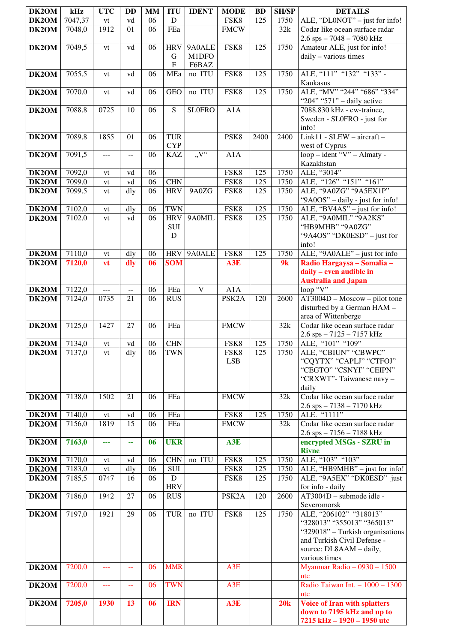| DK2OM                       | kHz              | <b>UTC</b>           | <b>DD</b>      | <b>MM</b>       | <b>ITU</b>               | <b>IDENT</b>  | <b>MODE</b>         | <b>BD</b>  | <b>SH/SP</b> | <b>DETAILS</b>                                                  |
|-----------------------------|------------------|----------------------|----------------|-----------------|--------------------------|---------------|---------------------|------------|--------------|-----------------------------------------------------------------|
| DK2OM                       | 7047,37          | vt                   | vd             | 06              | D                        |               | FSK8                | 125        | 1750         | ALE, "DL0NOT" - just for info!                                  |
| DK2OM                       | 7048,0           | 1912                 | 01             | 06              | FEa                      |               | <b>FMCW</b>         |            | 32k          | Codar like ocean surface radar<br>2.6 sps - 7048 - 7080 kHz     |
| DK2OM                       | 7049,5           | vt                   | vd             | 06              | <b>HRV</b>               | 9A0ALE        | FSK8                | 125        | 1750         | Amateur ALE, just for info!                                     |
|                             |                  |                      |                |                 | G                        | M1DFO         |                     |            |              | daily - various times                                           |
|                             |                  |                      |                |                 | ${\bf F}$                | F6BAZ         |                     |            |              |                                                                 |
| DK2OM                       | 7055,5           | vt                   | vd             | 06              | MEa                      | no ITU        | FSK8                | 125        | 1750         | ALE, "111" "132" "133" -                                        |
|                             |                  |                      |                |                 |                          |               |                     |            |              | Kaukasus                                                        |
| DK2OM                       | 7070,0           | vt                   | vd             | 06              | <b>GEO</b>               | no ITU        | FSK8                | 125        | 1750         | ALE, "MV" "244" "686" "334"                                     |
|                             |                  |                      |                |                 |                          |               |                     |            |              | "204" "571" - daily active                                      |
| DK2OM                       | 7088,8           | 0725                 | 10             | $\overline{06}$ | $\overline{S}$           | <b>SLOFRO</b> | A1A                 |            |              | 7088.830 kHz - cw-trainee,<br>Sweden - SL0FRO - just for        |
|                             |                  |                      |                |                 |                          |               |                     |            |              | info!                                                           |
| DK2OM                       | 7089,8           | 1855                 | 01             | 06              | <b>TUR</b>               |               | PSK8                | 2400       | 2400         | Link11 - SLEW - aircraft -                                      |
|                             |                  |                      |                |                 | <b>CYP</b>               |               |                     |            |              | west of Cyprus                                                  |
| DK2OM                       | 7091,5           | ---                  | $\overline{a}$ | 06              | <b>KAZ</b>               | V''           | A1A                 |            |              | loop - ident "V" - Almaty -                                     |
|                             |                  |                      |                |                 |                          |               |                     |            |              | Kazakhstan                                                      |
| DK2OM                       | 7092,0           | vt                   | vd             | 06              |                          |               | FSK8                | 125        | 1750         | ALE, "3014"                                                     |
| DK2OM<br>DK2OM              | 7099,0<br>7099,5 | vt<br>vt             | vd<br>dly      | 06<br>06        | <b>CHN</b><br><b>HRV</b> | 9A0ZG         | FSK8<br>FSK8        | 125<br>125 | 1750<br>1750 | ALE, "126" "151" "161"<br>ALE, "9A0ZG" "9A5EX1P"                |
|                             |                  |                      |                |                 |                          |               |                     |            |              | "9A0OS" - daily - just for info!                                |
| $\overline{D}K2OM$          | 7102,0           | vt                   | dly            | 06              | <b>TWN</b>               |               | FSK8                | 125        | 1750         | ALE, " $\frac{BVAAS'' - just}{s}$ for info!                     |
| DK2OM                       | 7102,0           | vt                   | vd             | 06              | <b>HRV</b>               | 9A0MIL        | FSK8                | 125        | 1750         | ALE, "9A0MIL" "9A2KS"                                           |
|                             |                  |                      |                |                 | <b>SUI</b>               |               |                     |            |              | "HB9MHB" "9A0ZG"                                                |
|                             |                  |                      |                |                 | $\mathbf D$              |               |                     |            |              | "9A4OS" "DK0ESD" – just for                                     |
| <b>DK2OM</b>                | 7110,0           | vt                   | dly            | 06              |                          | HRV 9A0ALE    | FSK8                | 125        | 1750         | info!<br>ALE, "9A0ALE" - just for info                          |
| DK2OM                       | 7120,0           | <b>vt</b>            | dly            | 06              | <b>SOM</b>               |               | A3E                 |            | 9k           | Radio Hargaysa - Somalia -                                      |
|                             |                  |                      |                |                 |                          |               |                     |            |              | daily - even audible in                                         |
|                             |                  |                      |                |                 |                          |               |                     |            |              | <b>Australia and Japan</b>                                      |
| DK2OM                       | 7122,0           | $---$                | --             | 06              | FEa                      | $\mathbf V$   | A1A                 |            |              | loop "V"                                                        |
| DK2OM                       | 7124,0           | 0735                 | 21             | 06              | <b>RUS</b>               |               | PSK <sub>2</sub> A  | 120        | 2600         | $AT3004D - Moscow$ - pilot tone                                 |
|                             |                  |                      |                |                 |                          |               |                     |            |              | disturbed by a German HAM -<br>area of Wittenberge              |
| DK2OM                       | 7125,0           | 1427                 | 27             | 06              | FEa                      |               | <b>FMCW</b>         |            | 32k          | Codar like ocean surface radar                                  |
|                             |                  |                      |                |                 |                          |               |                     |            |              | $2.6$ sps $-7125 - 7157$ kHz                                    |
| <b>DK2OM</b> 7134,0         |                  | vt                   | vd             | 06              | <b>CHN</b>               |               | FSK8                | 125        | 1750         | ALE, "101" "109"                                                |
| DK2OM                       | 7137,0           | vt                   | dly            | 06              | <b>TWN</b>               |               | FSK8                | 125        | 1750         | ALE, "CBIUN" "CBWPC"                                            |
|                             |                  |                      |                |                 |                          |               | <b>LSB</b>          |            |              | "CQYTX" "CAPLJ" "CTFOJ"<br>"CEGTO" "CSNYI" "CEIPN"              |
|                             |                  |                      |                |                 |                          |               |                     |            |              | "CRXWT"-Taiwanese navy -                                        |
|                             |                  |                      |                |                 |                          |               |                     |            |              | daily                                                           |
| DK2OM                       | 7138,0           | 1502                 | 21             | 06              | FEa                      |               | <b>FMCW</b>         |            | 32k          | Codar like ocean surface radar                                  |
|                             |                  |                      |                |                 |                          |               |                     |            |              | $2.6$ sps $- 7138 - 7170$ kHz                                   |
| DK <sub>2</sub> OM<br>DK2OM | 7140,0<br>7156,0 | vt<br>1819           | vd<br>15       | 06<br>06        | FEa<br>FEa               |               | FSK8<br><b>FMCW</b> | 125        | 1750<br>32k  | ALE. "1111"<br>Codar like ocean surface radar                   |
|                             |                  |                      |                |                 |                          |               |                     |            |              | $2.6$ sps $-7156 - 7188$ kHz                                    |
| DK2OM                       | 7163,0           | ---                  | 44             | 06              | <b>UKR</b>               |               | A3E                 |            |              | encrypted MSGs - SZRU in                                        |
|                             |                  |                      |                |                 |                          |               |                     |            |              | <b>Rivne</b>                                                    |
| DK2OM                       | 7170,0           | vt                   | vd             | 06              | <b>CHN</b>               | no ITU        | FSK8                | 125        | 1750         | ALE, "103" "103"                                                |
| DK2OM                       | 7183,0<br>7185,5 | vt<br>0747           | dly<br>16      | 06<br>06        | $\rm SUI$<br>$\mathbf D$ |               | FSK8<br>FSK8        | 125<br>125 | 1750<br>1750 | ALE, "HB9MHB" - just for info!<br>ALE, "9A5EX" "DK0ESD" just    |
| DK2OM                       |                  |                      |                |                 | <b>HRV</b>               |               |                     |            |              | for info - daily                                                |
| DK2OM                       | 7186,0           | 1942                 | 27             | 06              | <b>RUS</b>               |               | PSK <sub>2</sub> A  | 120        | 2600         | AT3004D - submode idle -                                        |
|                             |                  |                      |                |                 |                          |               |                     |            |              | Severomorsk                                                     |
| DK2OM                       | 7197,0           | 1921                 | 29             | 06              | <b>TUR</b>               | no ITU        | FSK8                | 125        | 1750         | ALE, "206102" "318013"                                          |
|                             |                  |                      |                |                 |                          |               |                     |            |              | "328013" "355013" "365013"                                      |
|                             |                  |                      |                |                 |                          |               |                     |            |              | "329018" - Turkish organisations<br>and Turkish Civil Defense - |
|                             |                  |                      |                |                 |                          |               |                     |            |              | source: DL8AAM - daily,                                         |
|                             |                  |                      |                |                 |                          |               |                     |            |              | various times                                                   |
| DK2OM                       | 7200,0           | 222                  | $\equiv$       | 06              | <b>MMR</b>               |               | A <sub>3</sub> E    |            |              | Myanmar Radio - $0930 - 1500$                                   |
|                             |                  |                      |                |                 |                          |               |                     |            |              | utc                                                             |
| DK2OM                       | 7200,0           | $\sim$ $\sim$ $\sim$ | $\equiv$       | 06              | <b>TWN</b>               |               | A3E                 |            |              | Radio Taiwan Int. $-1000 - 1300$<br>utc                         |
| DK2OM                       | 7205,0           | 1930                 | 13             | 06              | <b>IRN</b>               |               | A3E                 |            | 20k          | <b>Voice of Iran with splatters</b>                             |
|                             |                  |                      |                |                 |                          |               |                     |            |              | down to 7195 kHz and up to                                      |
|                             |                  |                      |                |                 |                          |               |                     |            |              | 7215 kHz – 1920 – 1950 utc                                      |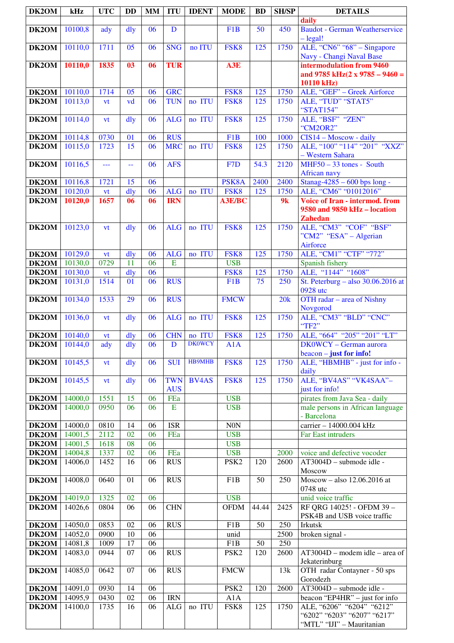| DK2OM                | kHz                | <b>UTC</b>        | DD                   | <b>MM</b> | <b>ITU</b>               | <b>IDENT</b>  | <b>MODE</b>        | <b>BD</b> | <b>SH/SP</b> | <b>DETAILS</b>                                                                          |
|----------------------|--------------------|-------------------|----------------------|-----------|--------------------------|---------------|--------------------|-----------|--------------|-----------------------------------------------------------------------------------------|
|                      |                    |                   |                      |           |                          |               |                    |           |              | daily                                                                                   |
| DK2OM                | 10100,8            | ady               | $\frac{d}{dy}$       | 06        | $\mathbf{D}$             |               | F1B                | 50        | 450          | <b>Baudot - German Weatherservice</b><br>$-\text{legal!}$                               |
| DK2OM                | 10110,0            | 1711              | 05                   | 06        | <b>SNG</b>               | no ITU        | FSK8               | 125       | 1750         | ALE, "CN6" "68" - Singapore<br>Navy - Changi Naval Base                                 |
| DK2OM                | 10110,0            | 1835              | 03                   | 06        | <b>TUR</b>               |               | A3E                |           |              | intermodulation from 9460<br>and 9785 kHz(2 x 9785 - 9460 =<br>10110 kHz)               |
| DK2OM                | 10110,0            | 1714              | 05                   | 06        | <b>GRC</b>               |               | FSK8               | 125       | 1750         | ALE, "GEF" - Greek Airforce                                                             |
| $\overline{DK2OM}$   | 10113,0            | vt                | vd                   | 06        | <b>TUN</b>               | no ITU        | FSK8               | 125       | 1750         | ALE, "TUD" "STAT5"<br>"STAT154"                                                         |
| DK2OM                | 10114,0            | <b>vt</b>         | $\frac{d}{dy}$       | 06        | <b>ALG</b>               | no ITU        | FSK8               | 125       | 1750         | ALE, "BSF" "ZEN"<br>"CM2OR2"                                                            |
| DK2OM                | 10114,8            | 0730              | 01                   | 06        | <b>RUS</b>               |               | F <sub>1</sub> B   | 100       | 1000         | CIS14 - Moscow - daily                                                                  |
| DK2OM                | 10115,0            | 1723              | 15                   | 06        | <b>MRC</b>               | no ITU        | FSK8               | 125       | 1750         | ALE, "100" "114" "201" "XXZ"<br>- Western Sahara                                        |
| DK2OM                | 10116,5            | $\overline{a}$    | $\mathbb{L}^{\perp}$ | 06        | <b>AFS</b>               |               | F <sub>7</sub> D   | 54.3      | 2120         | $MHF50 - 33$ tones - South<br>African navy                                              |
| DK2OM                | 10116,8            | 1721              | 15                   | 06        |                          |               | PSK8A              | 2400      | 2400         | Stanag-4285 - 600 bps long -                                                            |
| DK2OM                | 10120,0            | <b>vt</b>         | dly                  | 06        | <b>ALG</b>               | no ITU        | FSK8               | 125       | 1750         | ALE, "CM6" "01012016"                                                                   |
| DK2OM                | 10120,0            | 1657              | 06                   | 06        | <b>IRN</b>               |               | <b>A3E/BC</b>      |           | 9k           | <b>Voice of Iran - intermod. from</b><br>9580 and 9850 kHz - location<br><b>Zahedan</b> |
| DK2OM                | 10123,0            | vt                | $\frac{d}{dy}$       | 06        | <b>ALG</b>               | no ITU        | FSK8               | 125       | 1750         | ALE, "CM3" "COF" "BSF"<br>"CM2" "ESA" – Algerian                                        |
|                      |                    |                   |                      |           |                          |               |                    |           |              | Airforce<br>ALE, "CM1" "CTF" "772"                                                      |
| DK2OM<br>DK2OM       | 10129,0<br>10130,0 | <b>vt</b><br>0729 | dly<br>11            | 06<br>06  | <b>ALG</b><br>E          | no ITU        | FSK8<br><b>USB</b> | 125       | 1750         | Spanish fishery                                                                         |
| DK2OM                | 10130,0            | <b>vt</b>         | dly                  | 06        |                          |               | FSK8               | 125       | 1750         | ALE, "1144" "1608"                                                                      |
| DK2OM                | 10131,0            | 1514              | 01                   | 06        | <b>RUS</b>               |               | F1B                | 75        | 250          | St. Peterburg - also $30.06.2016$ at<br>0928 utc                                        |
| DK2OM                | 10134,0            | 1533              | 29                   | 06        | <b>RUS</b>               |               | <b>FMCW</b>        |           | 20k          | OTH radar - area of Nishny<br>Novgorod                                                  |
| DK2OM                | 10136,0            | vt                | dly                  | 06        | <b>ALG</b>               | no ITU        | FSK8               | 125       | 1750         | ALE, "CM3" "BLD" "CNC"<br>"TF2"                                                         |
| DK2OM 10140,0        |                    | <b>vt</b>         | $\frac{d}{dy}$       | 06        | <b>CHN</b>               | no ITU        | FSK8               | 125       | 1750         | ALE, "664" "205" "201" "LT"                                                             |
| <b>DK2OM</b> 10144,0 |                    | ady               | $d\nvert v$          | 06        | $\overline{D}$           | <b>DK0WCY</b> | A1A                |           |              | DK0WCY - German aurora<br>$beacon - just for info!$                                     |
| DK2OM                | 10145,5            | vt                | $\frac{d}{dy}$       | 06        | <b>SUI</b>               | <b>HB9MHB</b> | FSK8               | 125       | 1750         | ALE, "HBMHB" - just for info -<br>daily                                                 |
| DK2OM                | 10145,5            | <b>vt</b>         | dly                  | 06        | <b>TWN</b><br><b>AUS</b> | <b>BV4AS</b>  | FSK8               | 125       | 1750         | ALE, "BV4AS" "VK4SAA"-<br>just for info!                                                |
| DK2OM                | 14000,0            | 1551              | 15                   | 06        | FEa                      |               | <b>USB</b>         |           |              | pirates from Java Sea - daily                                                           |
| DK2OM                | 14000,0            | 0950              | 06                   | 06        | ${\bf E}$                |               | <b>USB</b>         |           |              | male persons in African language<br>- Barcelona                                         |
| DK2OM<br>DK2OM       | 14000,0<br>14001,5 | 0810<br>2112      | 14<br>02             | 06<br>06  | <b>ISR</b><br>FEa        |               | N0N<br><b>USB</b>  |           |              | carrier - 14000.004 kHz<br>Far East intruders                                           |
| DK2OM                | 14001,5            | 1618              | 08                   | 06        |                          |               | <b>USB</b>         |           |              |                                                                                         |
| DK2OM                | 14004,8            | 1337              | 02                   | 06        | FEa                      |               | <b>USB</b>         |           | 2000         | voice and defective vocoder                                                             |
| DK2OM                | 14006,0            | 1452              | 16                   | 06        | <b>RUS</b>               |               | PSK <sub>2</sub>   | 120       | 2600         | AT3004D - submode idle -<br>Moscow                                                      |
| DK2OM                | 14008,0            | 0640              | 01                   | 06        | <b>RUS</b>               |               | F1B                | 50        | 250          | Moscow - also 12.06.2016 at<br>0748 utc                                                 |
| DK2OM                | 14019,0            | 1325              | 02                   | 06        |                          |               | <b>USB</b>         |           |              | unid voice traffic                                                                      |
| DK2OM                | 14026,6            | 0804              | 06                   | 06        | <b>CHN</b>               |               | <b>OFDM</b>        | 44.44     | 2425         | RF QRG 14025! - OFDM 39 -<br>PSK4B and USB voice traffic                                |
| DK2OM                | 14050,0            | 0853              | 02                   | 06        | <b>RUS</b>               |               | F1B                | 50        | 250          | Irkutsk                                                                                 |
| DK2OM                | 14052,0            | 0900              | 10                   | 06        |                          |               | unid               |           | 2500         | broken signal -                                                                         |
| DK2OM                | 14081,8            | 1009              | 17                   | 06        |                          |               | F1B                | 50        | 250          |                                                                                         |
| DK2OM                | 14083,0            | 0944              | 07                   | 06        | <b>RUS</b>               |               | PSK <sub>2</sub>   | 120       | 2600         | AT3004D - modem idle - area of<br>Jekaterinburg                                         |
| DK2OM                | 14085,0            | 0642              | 07                   | 06        | <b>RUS</b>               |               | <b>FMCW</b>        |           | 13k          | OTH radar Contayner - 50 sps<br>Gorodezh                                                |
| $\overline{D}K2OM$   | 14091,0            | 0930              | 14                   | 06        |                          |               | PSK <sub>2</sub>   | 120       | 2600         | AT3004D - submode idle -                                                                |
| DK2OM                | 14095,9            | 0430<br>1735      | 02<br>16             | 06<br>06  | <b>IRN</b><br>$\rm ALG$  | no ITU        | A1A                |           | 1750         | beacon "EP4HR" - just for info<br>ALE, "6206" "6204" "6212"                             |
| DK2OM                | 14100,0            |                   |                      |           |                          |               | FSK8               | 125       |              | "6202" "6203" "6207" "6217"<br>"MTL" "IJI" - Mauritanian                                |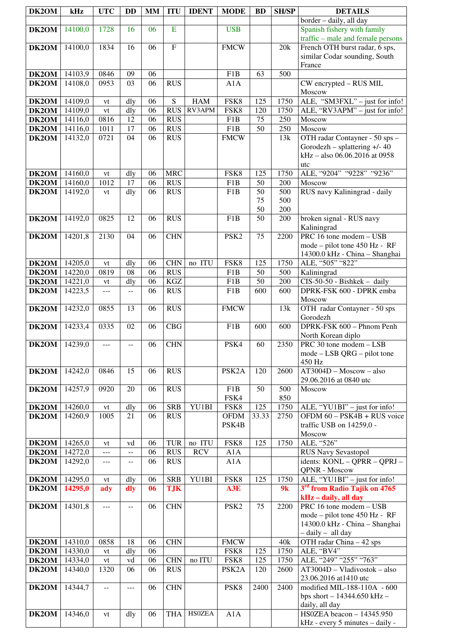| DK2OM                        | kHz                | <b>UTC</b> | <b>DD</b>                | <b>MM</b>       | <b>ITU</b>                | <b>IDENT</b>  | <b>MODE</b>         | <b>BD</b>       | <b>SH/SP</b> | <b>DETAILS</b>                                                      |
|------------------------------|--------------------|------------|--------------------------|-----------------|---------------------------|---------------|---------------------|-----------------|--------------|---------------------------------------------------------------------|
|                              |                    |            |                          |                 |                           |               |                     |                 |              | border - daily, all day                                             |
| DK2OM                        | 14100,0            | 1728       | 16                       | 06              | $\mathbf E$               |               | <b>USB</b>          |                 |              | Spanish fishery with family                                         |
| DK2OM                        | 14100,0            | 1834       | 16                       | 06              | $\boldsymbol{\mathrm{F}}$ |               | <b>FMCW</b>         |                 | 20k          | traffic - male and female persons<br>French OTH burst radar, 6 sps, |
|                              |                    |            |                          |                 |                           |               |                     |                 |              | similar Codar sounding, South                                       |
|                              |                    |            |                          |                 |                           |               |                     |                 |              | France                                                              |
| <b>DK2OM</b>                 | 14103,9            | 0846       | 09                       | 06              |                           |               | F1B                 | 63              | 500          |                                                                     |
| DK2OM                        | 14108,0            | 0953       | 03                       | 06              | <b>RUS</b>                |               | A1A                 |                 |              | CW encrypted - RUS MIL                                              |
|                              |                    |            |                          |                 |                           |               |                     |                 |              | Moscow                                                              |
| <b>DK2OM</b>                 | 14109,0            | vt         | dly                      | 06              | S                         | <b>HAM</b>    | FSK8                | 125             | 1750         | ALE, "SM3FXL" - just for info!                                      |
| DK2OM<br><b>DK2OM</b>        | 14109,0<br>14116,0 | vt<br>0816 | dly<br>12                | 06<br>06        | <b>RUS</b><br><b>RUS</b>  | RV3APM        | FSK8<br>F1B         | 120<br>75       | 1750<br>250  | ALE, "RV3APM" - just for info!<br>Moscow                            |
| <b>DK2OM</b>                 | 14116,0            | 1011       | 17                       | 06              | <b>RUS</b>                |               | F1B                 | 50              | 250          | Moscow                                                              |
| DK2OM                        | 14132,0            | 0721       | 04                       | 06              | $R\overline{US}$          |               | <b>FMCW</b>         |                 | 13k          | OTH radar Contayner - 50 sps -                                      |
|                              |                    |            |                          |                 |                           |               |                     |                 |              | Gorodezh - splattering +/- 40                                       |
|                              |                    |            |                          |                 |                           |               |                     |                 |              | kHz - also 06.06.2016 at 0958<br>utc                                |
| <b>DK2OM</b>                 | 14160,0            | vt         | dly                      | 06              | <b>MRC</b>                |               | FSK8                | 125             | 1750         | ALE, "9204" "9228" "9236"                                           |
| <b>DK2OM</b>                 | 14160,0            | 1012       | 17                       | 06              | <b>RUS</b>                |               | F1B                 | 50              | 200          | Moscow                                                              |
| <b>DK2OM</b>                 | 14192,0            | vt         | dly                      | 06              | <b>RUS</b>                |               | F1B                 | 50              | 500          | RUS navy Kaliningrad - daily                                        |
|                              |                    |            |                          |                 |                           |               |                     | 75              | 500          |                                                                     |
|                              |                    |            |                          |                 |                           |               |                     | 50              | 200          |                                                                     |
| DK2OM                        | 14192,0            | 0825       | 12                       | 06              | <b>RUS</b>                |               | F1B                 | 50              | 200          | broken signal - RUS navy<br>Kaliningrad                             |
| DK2OM                        | 14201,8            | 2130       | 04                       | 06              | <b>CHN</b>                |               | PSK <sub>2</sub>    | 75              | 2200         | $\overline{PRC}$ 16 tone modem - USB                                |
|                              |                    |            |                          |                 |                           |               |                     |                 |              | mode – pilot tone 450 Hz - RF                                       |
|                              |                    |            |                          |                 | <b>CHN</b>                | no ITU        | FSK8                |                 |              | 14300.0 kHz - China - Shanghai<br>ALE, "505" "822"                  |
| DK2OM<br><b>DK2OM</b>        | 14205,0<br>14220,0 | vt<br>0819 | dly<br>08                | 06<br>06        | <b>RUS</b>                |               | F1B                 | 125<br>50       | 1750<br>500  | Kaliningrad                                                         |
| <b>DK2OM</b>                 | 14221,0            | vt         | dly                      | 06              | <b>KGZ</b>                |               | F <sub>1</sub> B    | 50              | 200          | $CIS-50-50$ - Bishkek - daily                                       |
| <b>DK2OM</b>                 | 14223,5            | $- - -$    | $\overline{a}$           | 06              | <b>RUS</b>                |               | F1B                 | 600             | 600          | DPRK-FSK 600 - DPRK emba                                            |
|                              |                    |            |                          |                 |                           |               |                     |                 |              | Moscow                                                              |
| <b>DK2OM</b>                 | 14232,0            | 0855       | 13                       | 06              | <b>RUS</b>                |               | <b>FMCW</b>         |                 | 13k          | OTH radar Contayner - 50 sps<br>Gorodezh                            |
| <b>DK2OM</b>                 | 14233,4            | 0335       | 02                       | 06              | CBG                       |               | F1B                 | 600             | 600          | DPRK-FSK 600 - Phnom Penh                                           |
|                              |                    |            |                          |                 |                           |               |                     |                 |              | North Korean diplo                                                  |
| <b>DK2OM</b> 14239,0         |                    | $---$      | $\overline{\phantom{m}}$ | $\overline{06}$ | <b>CHN</b>                |               | PSK4                | $\overline{60}$ | 2350         | PRC 30 tone modem - LSB                                             |
|                              |                    |            |                          |                 |                           |               |                     |                 |              | $mode - LSB QRG - pilot tone$                                       |
| <b>DK2OM</b>                 | 14242,0            | 0846       | 15                       | 06              | <b>RUS</b>                |               | PSK <sub>2</sub> A  | 120             | 2600         | 450 Hz<br>$AT3004D - Moscow - also$                                 |
|                              |                    |            |                          |                 |                           |               |                     |                 |              | 29.06.2016 at 0840 utc                                              |
| DK2OM                        | 14257,9            | 0920       | 20                       | 06              | <b>RUS</b>                |               | F1B                 | 50              | 500          | Moscow                                                              |
|                              |                    |            |                          |                 |                           |               | FSK4                |                 | 850          |                                                                     |
| <b>DK2OM</b><br><b>DK2OM</b> | 14260,0<br>14260,9 | vt<br>1005 | dly<br>21                | 06<br>06        | <b>SRB</b><br><b>RUS</b>  | YU1BI         | FSK8<br><b>OFDM</b> | 125<br>33.33    | 1750<br>2750 | ALE, "YU1BI" – just for info!<br>OFDM 60 - PSK4B + RUS voice        |
|                              |                    |            |                          |                 |                           |               | PSK4B               |                 |              | traffic USB on 14259,0 -                                            |
|                              |                    |            |                          |                 |                           |               |                     |                 |              | Moscow                                                              |
| <b>DK2OM</b>                 | 14265,0            | vt         | vd                       | 06              | <b>TUR</b>                | no ITU        | FSK8                | 125             | 1750         | ALE, "526"                                                          |
| <b>DK2OM</b>                 | 14272,0            | $---$      | $-$                      | 06              | <b>RUS</b>                | <b>RCV</b>    | A1A                 |                 |              | <b>RUS Navy Sevastopol</b>                                          |
| DK2OM                        | 14292,0            | ---        | $\overline{a}$           | 06              | <b>RUS</b>                |               | A1A                 |                 |              | idents: KONL - QPRR - QPRJ -<br>QPNR - Moscow                       |
| <b>DK2OM</b>                 | 14295,0            | vt         | dly                      | 06              | <b>SRB</b>                | YU1BI         | FSK8                | 125             | 1750         | ALE, "YU1BI" - just for info!                                       |
| <b>DK2OM</b>                 | 14295,0            | ady        | dly                      | 06              | <b>TJK</b>                |               | A3E                 |                 | 9k           | 3 <sup>rd</sup> from Radio Tajik on 4765                            |
|                              |                    |            |                          |                 |                           |               |                     |                 |              | kHz - daily, all day                                                |
| DK2OM                        | 14301,8            | $\cdots$   | $-$                      | 06              | <b>CHN</b>                |               | PSK <sub>2</sub>    | 75              | 2200         | PRC 16 tone modem - USB                                             |
|                              |                    |            |                          |                 |                           |               |                     |                 |              | mode – pilot tone 450 Hz - RF<br>14300.0 kHz - China - Shanghai     |
|                              |                    |            |                          |                 |                           |               |                     |                 |              | - daily - all day                                                   |
| <b>DK2OM</b>                 | 14310,0            | 0858       | 18                       | 06              | $\rm CHN$                 |               | <b>FMCW</b>         |                 | 40k          | OTH radar China - 42 sps                                            |
| <b>DK2OM</b>                 | 14330,0            | vt         | dly                      | 06              |                           |               | FSK8                | 125             | 1750         | ALE, "BV4"                                                          |
| <b>DK2OM</b>                 | 14334,0            | vt<br>1320 | vd<br>06                 | 06<br>06        | <b>CHN</b><br><b>RUS</b>  | no ITU        | FSK8                | 125             | 1750         | ALE, "249" "255" "763"                                              |
| DK2OM                        | 14340,0            |            |                          |                 |                           |               | PSK <sub>2</sub> A  | 120             | 2600         | AT3004D - Vladivostok - also<br>23.06.2016 at 1410 utc              |
| <b>DK2OM</b>                 | 14344,7            | --         | ---                      | 06              | <b>CHN</b>                |               | PSK8                | 2400            | 2400         | modified MIL-188-110 $\overline{A}$ - 600                           |
|                              |                    |            |                          |                 |                           |               |                     |                 |              | bps short - 14344.650 kHz -                                         |
|                              |                    |            |                          |                 |                           | <b>HS0ZEA</b> |                     |                 |              | daily, all day                                                      |
| DK2OM                        | 14346,0            | vt         | dly                      | 06              | <b>THA</b>                |               | A1A                 |                 |              | HS0ZEA beacon - 14345.950<br>kHz - every 5 minutes - daily -        |
|                              |                    |            |                          |                 |                           |               |                     |                 |              |                                                                     |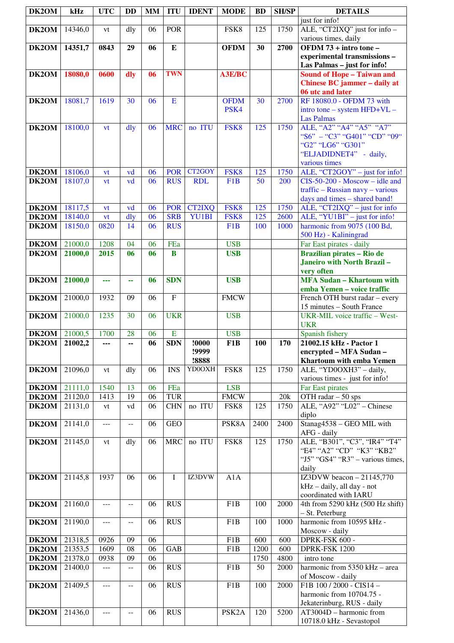| DK2OM                         | kHz                | <b>UTC</b>      | <b>DD</b>            | <b>MM</b>       | <b>ITU</b>               | <b>IDENT</b>                        | <b>MODE</b>               | <b>BD</b>   | <b>SH/SP</b> | <b>DETAILS</b>                                                     |
|-------------------------------|--------------------|-----------------|----------------------|-----------------|--------------------------|-------------------------------------|---------------------------|-------------|--------------|--------------------------------------------------------------------|
|                               |                    |                 |                      |                 |                          |                                     |                           |             |              | just for info!                                                     |
| DK2OM                         | 14346,0            | vt              | dly                  | 06              | <b>POR</b>               |                                     | FSK8                      | 125         | 1750         | ALE, "CT2IXQ" just for info -<br>various times, daily              |
| <b>DK2OM</b>                  | 14351,7            | 0843            | 29                   | 06              | ${\bf E}$                |                                     | <b>OFDM</b>               | 30          | 2700         | OFDM 73 + intro tone -                                             |
|                               |                    |                 |                      |                 |                          |                                     |                           |             |              | experimental transmissions-<br>Las Palmas - just for info!         |
| DK2OM                         | 18080,0            | 0600            | dly                  | 06              | <b>TWN</b>               |                                     | <b>A3E/BC</b>             |             |              | <b>Sound of Hope - Taiwan and</b>                                  |
|                               |                    |                 |                      |                 |                          |                                     |                           |             |              | Chinese BC jammer - daily at<br>06 utc and later                   |
| DK2OM                         | 18081,7            | 1619            | 30                   | 06              | E                        |                                     | <b>OFDM</b>               | 30          | 2700         | RF 18080.0 - OFDM 73 with                                          |
|                               |                    |                 |                      |                 |                          |                                     | PSK4                      |             |              | intro tone – system HFD+VL –<br><b>Las Palmas</b>                  |
| <b>DK2OM</b>                  | 18100,0            | <b>vt</b>       | dly                  | 06              | <b>MRC</b>               | no ITU                              | FSK8                      | 125         | 1750         | ALE, "A2" "A4" "A5" "A7"                                           |
|                               |                    |                 |                      |                 |                          |                                     |                           |             |              | "S6" - "C3" "G401" "CD" "09"<br>"G2" "LG6" "G301"                  |
|                               |                    |                 |                      |                 |                          |                                     |                           |             |              | "ELJADIDNET4" - daily,                                             |
|                               |                    |                 |                      |                 |                          |                                     |                           |             |              | various times                                                      |
| $\overline{D}K2OM$<br>DK2OM   | 18106,0<br>18107,0 | vt<br>vt        | vd<br>vd             | 06<br>06        | <b>POR</b><br><b>RUS</b> | CT2GOY<br><b>RDL</b>                | FSK8<br>F1B               | 125<br>50   | 1750<br>200  | ALE, "CT2GOY" - just for info!<br>$CIS-50-200$ - Moscow – idle and |
|                               |                    |                 |                      |                 |                          |                                     |                           |             |              | $\text{traffic} - \text{ Russian}$ navy - various                  |
|                               |                    |                 |                      |                 |                          |                                     |                           |             |              | days and times - shared band!                                      |
| <b>DK2OM</b><br><b>DK2OM</b>  | 18117,5<br>18140,0 | <b>vt</b><br>vt | vd<br>$\frac{d}{dy}$ | 06<br>06        | <b>POR</b><br><b>SRB</b> | CT <sub>2</sub> IXQ<br><b>YU1BI</b> | FSK8<br>FSK8              | 125<br>125  | 1750<br>2600 | ALE, "CT2IXQ" - just for info<br>ALE, "YU1BI" - just for info!     |
| <b>DK2OM</b>                  | 18150,0            | 0820            | 14                   | 06              | <b>RUS</b>               |                                     | F1B                       | 100         | 1000         | harmonic from 9075 (100 Bd,                                        |
|                               |                    |                 |                      |                 |                          |                                     |                           |             |              | 500 Hz) - Kaliningrad                                              |
| <b>DK2OM</b><br><b>DK2OM</b>  | 21000,0<br>21000,0 | 1208<br>2015    | 04<br>06             | 06<br>06        | FEa<br>$\bf{B}$          |                                     | <b>USB</b><br><b>USB</b>  |             |              | Far East pirates - daily<br><b>Brazilian pirates - Rio de</b>      |
|                               |                    |                 |                      |                 |                          |                                     |                           |             |              | <b>Janeiro with North Brazil-</b>                                  |
| DK2OM                         | 21000,0            | ---             | 44                   | 06              | <b>SDN</b>               |                                     | <b>USB</b>                |             |              | very often<br><b>MFA Sudan - Khartoum with</b>                     |
|                               |                    |                 |                      |                 |                          |                                     |                           |             |              | emba Yemen - voice traffic                                         |
| DK2OM                         | 21000,0            | 1932            | 09                   | 06              | $\overline{F}$           |                                     | <b>FMCW</b>               |             |              | French OTH burst radar - every<br>15 minutes - South France        |
| DK2OM                         | 21000,0            | 1235            | 30                   | 06              | <b>UKR</b>               |                                     | <b>USB</b>                |             |              | UKR-MIL voice traffic - West-                                      |
|                               |                    | 1700            | 28                   | 06              | $\overline{E}$           |                                     | <b>USB</b>                |             |              | <b>UKR</b>                                                         |
| <b>DK2OM</b><br>DK2OM 21002,2 | 21000,5            |                 |                      | $\overline{06}$ | <b>SDN</b>               | !0000                               | F1B                       | 100         | 170          | Spanish fishery<br>21002.15 kHz - Pactor 1                         |
|                               |                    |                 |                      |                 |                          | !9999                               |                           |             |              | encrypted – MFA Sudan –                                            |
| DK2OM                         | 21096,0            | vt              | dly                  | 06              | <b>INS</b>               | !8888<br>YD0OXH                     | FSK8                      | 125         | 1750         | Khartoum with emba Yemen<br>ALE, "YD0OXH3" - daily,                |
|                               |                    |                 |                      |                 |                          |                                     |                           |             |              | various times - just for info!                                     |
| <b>DK2OM</b><br>DK2OM         | 21111,0<br>21120,0 | 1540<br>1413    | 13<br>19             | 06<br>06        | FEa<br><b>TUR</b>        |                                     | <b>LSB</b><br><b>FMCW</b> |             | 20k          | Far East pirates<br>OTH radar $-50$ sps                            |
| DK2OM                         | 21131,0            | vt              | vd                   | 06              | <b>CHN</b>               | no ITU                              | FSK8                      | 125         | 1750         | ALE, "A92" "L02" - Chinese                                         |
|                               |                    |                 |                      |                 |                          |                                     |                           |             |              | diplo                                                              |
| DK2OM                         | 21141,0            | $---$           | $-$                  | 06              | <b>GEO</b>               |                                     | PSK8A                     | 2400        | 2400         | Stanag4538 - GEO MIL with<br>AFG - daily                           |
| DK2OM                         | 21145,0            | vt              | dly                  | 06              | <b>MRC</b>               | no ITU                              | FSK8                      | 125         | 1750         | ALE, "B301", "C3", "IR4" "T4"                                      |
|                               |                    |                 |                      |                 |                          |                                     |                           |             |              | "E4" "A2" "CD" "K3" "KB2"<br>"J5" "GS4" "R3" – various times,      |
|                               |                    |                 |                      |                 |                          |                                     |                           |             |              | daily                                                              |
| DK2OM                         | 21145,8            | 1937            | 06                   | 06              | I                        | IZ3DVW                              | A1A                       |             |              | IZ3DVW beacon $-21145,770$<br>kHz - daily, all day - not           |
|                               |                    |                 |                      |                 |                          |                                     |                           |             |              | coordinated with IARU                                              |
| DK2OM                         | 21160,0            | ---             | $- -$                | 06              | RUS                      |                                     | F1B                       | 100         | 2000         | 4th from 5290 kHz (500 Hz shift)<br>- St. Peterburg                |
| DK2OM                         | 21190,0            | ---             |                      | 06              | <b>RUS</b>               |                                     | F <sub>1</sub> B          | 100         | 1000         | harmonic from 10595 kHz -                                          |
|                               |                    |                 |                      |                 |                          |                                     |                           |             |              | Moscow - daily                                                     |
| <b>DK2OM</b><br>DK2OM         | 21318,5<br>21353,5 | 0926<br>1609    | 09<br>08             | 06<br>06        | <b>GAB</b>               |                                     | F1B<br>F1B                | 600<br>1200 | 600<br>600   | DPRK-FSK 600 -<br>DPRK-FSK 1200                                    |
| <b>DK2OM</b>                  | 21378,0            | 0938            | 09                   | 06              |                          |                                     |                           | 1750        | 4800         | intro tone                                                         |
| DK2OM                         | 21400,0            | $\cdots$        | $-$                  | 06              | <b>RUS</b>               |                                     | F1B                       | 50          | 2000         | harmonic from 5350 kHz - area<br>of Moscow - daily                 |
| DK2OM                         | 21409,5            | ---             | $-$                  | 06              | <b>RUS</b>               |                                     | F <sub>1</sub> B          | 100         | 2000         | F1B 100 / 2000 - CIS14 -                                           |
|                               |                    |                 |                      |                 |                          |                                     |                           |             |              | harmonic from 10704.75 -                                           |
| DK2OM                         | 21436,0            | $---$           | $- -$                | 06              | <b>RUS</b>               |                                     | PSK <sub>2</sub> A        | 120         | 5200         | Jekaterinburg, RUS - daily<br>AT3004D - harmonic from              |
|                               |                    |                 |                      |                 |                          |                                     |                           |             |              | 10718.0 kHz - Sevastopol                                           |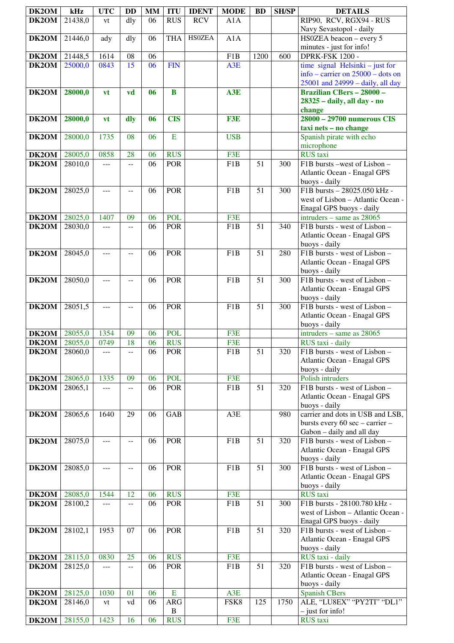| DK2OM                 | kHz                | <b>UTC</b>     | <b>DD</b>      | <b>MM</b>       | <b>ITU</b>               | <b>IDENT</b>  | <b>MODE</b>      | <b>BD</b>       | <b>SH/SP</b> | <b>DETAILS</b>                                                       |
|-----------------------|--------------------|----------------|----------------|-----------------|--------------------------|---------------|------------------|-----------------|--------------|----------------------------------------------------------------------|
| DK2OM                 | 21438,0            | vt             | dly            | 06              | <b>RUS</b>               | <b>RCV</b>    | A1A              |                 |              | RIP90, RCV, RGX94 - RUS                                              |
|                       |                    |                |                |                 |                          |               |                  |                 |              | Navy Sevastopol - daily                                              |
| DK2OM                 | 21446,0            | ady            | dly            | 06              | <b>THA</b>               | <b>HS0ZEA</b> | A1A              |                 |              | HS0ZEA beacon - every 5                                              |
|                       |                    |                |                |                 |                          |               |                  |                 |              | minutes - just for info!                                             |
| DK2OM                 | 21448,5            | 1614           | 08             | 06              |                          |               | F1B              | 1200            | 600          | <b>DPRK-FSK 1200 -</b>                                               |
| DK2OM                 | 25000,0            | 0843           | 15             | 06              | <b>FIN</b>               |               | A <sub>3</sub> E |                 |              | time signal Helsinki $-$ just for                                    |
|                       |                    |                |                |                 |                          |               |                  |                 |              | info – carrier on $25000$ – dots on                                  |
| DK2OM                 | 28000,0            | <b>vt</b>      | vd             | 06              | B                        |               | A3E              |                 |              | 25001 and 24999 - daily, all day<br><b>Brazilian CBers - 28000 -</b> |
|                       |                    |                |                |                 |                          |               |                  |                 |              | 28325 - daily, all day - no                                          |
|                       |                    |                |                |                 |                          |               |                  |                 |              | change                                                               |
| DK2OM                 | 28000,0            | vt             | dly            | 06              | <b>CIS</b>               |               | F3E              |                 |              | 28000 - 29700 numerous CIS                                           |
|                       |                    |                |                |                 |                          |               |                  |                 |              | taxi nets - no change                                                |
| DK2OM                 | 28000,0            | 1735           | 08             | 06              | E                        |               | <b>USB</b>       |                 |              | Spanish pirate with echo                                             |
|                       |                    |                |                |                 |                          |               |                  |                 |              | microphone                                                           |
| DK2OM                 | 28005,0            | 0858           | 28             | 06              | <b>RUS</b>               |               | F3E              |                 |              | <b>RUS</b> taxi                                                      |
| DK2OM                 | 28010,0            | $\overline{a}$ | $\overline{a}$ | $\overline{06}$ | <b>POR</b>               |               | F1B              | $\overline{51}$ | 300          | F1B bursts -west of Lisbon -<br>Atlantic Ocean - Enagal GPS          |
|                       |                    |                |                |                 |                          |               |                  |                 |              | buoys - daily                                                        |
| DK2OM                 | 28025,0            | $---$          | $-$            | 06              | <b>POR</b>               |               | F <sub>1</sub> B | 51              | 300          | F1B bursts - 28025.050 kHz -                                         |
|                       |                    |                |                |                 |                          |               |                  |                 |              | west of Lisbon - Atlantic Ocean -                                    |
|                       |                    |                |                |                 |                          |               |                  |                 |              | Enagal GPS buoys - daily                                             |
| <b>DK2OM</b>          | 28025,0            | 1407           | 09             | 06              | <b>POL</b>               |               | F3E              |                 |              | $intruders - same as 28065$                                          |
| DK2OM                 | 28030,0            | $- - -$        | $- -$          | 06              | POR                      |               | F1B              | 51              | 340          | F1B bursts - west of Lisbon -                                        |
|                       |                    |                |                |                 |                          |               |                  |                 |              | Atlantic Ocean - Enagal GPS<br>buoys - daily                         |
| DK2OM                 | 28045,0            | ---            | $-$            | 06              | <b>POR</b>               |               | F <sub>1</sub> B | $\overline{51}$ | 280          | F1B bursts - west of Lisbon -                                        |
|                       |                    |                |                |                 |                          |               |                  |                 |              | Atlantic Ocean - Enagal GPS                                          |
|                       |                    |                |                |                 |                          |               |                  |                 |              | buoys - daily                                                        |
| DK2OM                 | 28050,0            | ---            | $-$            | 06              | <b>POR</b>               |               | F1B              | 51              | 300          | F1B bursts - west of Lisbon -                                        |
|                       |                    |                |                |                 |                          |               |                  |                 |              | Atlantic Ocean - Enagal GPS                                          |
|                       |                    |                |                |                 |                          |               |                  |                 |              | buoys - daily                                                        |
| DK2OM                 | 28051,5            | $---$          |                | 06              | <b>POR</b>               |               | F1B              | 51              | 300          | F1B bursts - west of Lisbon -<br>Atlantic Ocean - Enagal GPS         |
|                       |                    |                |                |                 |                          |               |                  |                 |              | buoys - daily                                                        |
| DK2OM                 | 28055,0            | 1354           | 09             | 06              | <b>POL</b>               |               | F3E              |                 |              | $intruders - same as 28065$                                          |
| DK2OM                 | 28055,0            | 0749           | 18             | $\overline{06}$ | <b>RUS</b>               |               | F3E              |                 |              | RUS taxi - daily                                                     |
| DK2OM                 | 28060,0            | ---            |                | 06              | <b>POR</b>               |               | F1B              | $\overline{51}$ | 320          | $\overline{F1B}$ bursts - west of Lisbon -                           |
|                       |                    |                |                |                 |                          |               |                  |                 |              | Atlantic Ocean - Enagal GPS                                          |
|                       |                    |                |                |                 |                          |               |                  |                 |              | buoys - daily                                                        |
| <b>DK2OM</b><br>DK2OM | 28065,0<br>28065,1 | 1335<br>---    | 09<br>$- -$    | 06<br>06        | <b>POL</b><br><b>POR</b> |               | F3E<br>F1B       | 51              | 320          | Polish intruders<br>F1B bursts - west of Lisbon -                    |
|                       |                    |                |                |                 |                          |               |                  |                 |              | Atlantic Ocean - Enagal GPS                                          |
|                       |                    |                |                |                 |                          |               |                  |                 |              | buoys - daily                                                        |
| <b>DK2OM</b>          | 28065,6            | 1640           | 29             | 06              | GAB                      |               | $A3E$            |                 | 980          | carrier and dots in USB and LSB,                                     |
|                       |                    |                |                |                 |                          |               |                  |                 |              | bursts every 60 sec - carrier -                                      |
|                       |                    |                |                |                 |                          |               |                  |                 |              | Gabon - daily and all day                                            |
| <b>DK2OM</b>          | 28075,0            | $---$          | $-$            | 06              | <b>POR</b>               |               | F1B              | 51              | 320          | F1B bursts - west of Lisbon -<br>Atlantic Ocean - Enagal GPS         |
|                       |                    |                |                |                 |                          |               |                  |                 |              | buoys - daily                                                        |
| DK2OM                 | 28085,0            | $---$          | --             | 06              | <b>POR</b>               |               | F <sub>1</sub> B | 51              | 300          | F1B bursts - west of Lisbon -                                        |
|                       |                    |                |                |                 |                          |               |                  |                 |              | Atlantic Ocean - Enagal GPS                                          |
|                       |                    |                |                |                 |                          |               |                  |                 |              | buoys - daily                                                        |
| <b>DK2OM</b>          | 28085,0            | 1544           | 12             | 06              | <b>RUS</b>               |               | F3E              |                 |              | <b>RUS</b> taxi                                                      |
| DK2OM                 | 28100,2            |                |                | 06              | <b>POR</b>               |               | F1B              | 51              | 300          | F1B bursts - 28100.780 kHz -<br>west of Lisbon - Atlantic Ocean -    |
|                       |                    |                |                |                 |                          |               |                  |                 |              | Enagal GPS buoys - daily                                             |
| <b>DK2OM</b>          | 28102,1            | 1953           | 07             | 06              | <b>POR</b>               |               | F <sub>1</sub> B | 51              | 320          | F1B bursts - west of Lisbon -                                        |
|                       |                    |                |                |                 |                          |               |                  |                 |              | Atlantic Ocean - Enagal GPS                                          |
|                       |                    |                |                |                 |                          |               |                  |                 |              | buoys - daily                                                        |
| $\overline{D}K2OM$    | 28115,0            | 0830           | 25             | 06              | <b>RUS</b>               |               | F3E              |                 |              | RUS taxi - daily                                                     |
| DK2OM                 | 28125,0            | $---$          | $\overline{a}$ | 06              | <b>POR</b>               |               | F1B              | 51              | 320          | F1B bursts - west of Lisbon -                                        |
|                       |                    |                |                |                 |                          |               |                  |                 |              | Atlantic Ocean - Enagal GPS<br>buoys - daily                         |
| DK2OM                 | 28125,0            | 1030           | 01             | 06              | E                        |               | A3E              |                 |              | <b>Spanish CBers</b>                                                 |
| DK2OM                 | 28146,0            | vt             | vd             | 06              | ARG                      |               | FSK8             | 125             | 1750         | ALE, "LU8EX" "PY2TI" "DL1"                                           |
|                       |                    |                |                |                 | $\, {\bf B}$             |               |                  |                 |              | $-$ just for info!                                                   |
| <b>DK2OM</b>          | 28155,0            | 1423           | 16             | 06              | <b>RUS</b>               |               | F3E              |                 |              | <b>RUS</b> taxi                                                      |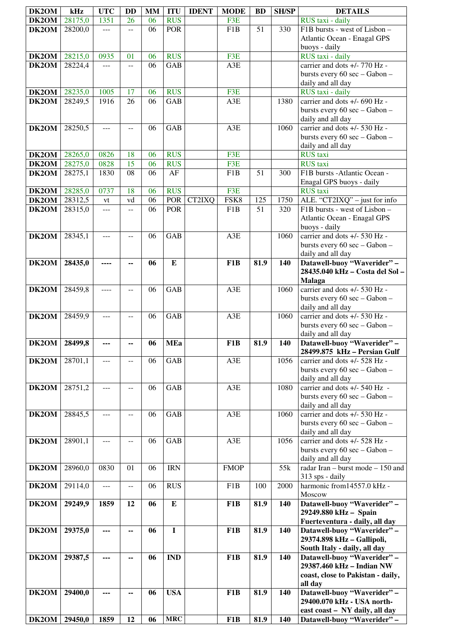| DK2OM         | kHz     | <b>UTC</b>     | <b>DD</b>      | <b>MM</b> | <b>ITU</b>     | <b>IDENT</b>        | <b>MODE</b>      | <b>BD</b>       | <b>SH/SP</b> | <b>DETAILS</b>                                            |
|---------------|---------|----------------|----------------|-----------|----------------|---------------------|------------------|-----------------|--------------|-----------------------------------------------------------|
| DK2OM         | 28175,0 | 1351           | 26             | 06        | <b>RUS</b>     |                     | F3E              |                 |              | RUS taxi - daily                                          |
| DK2OM         | 28200,0 | $\overline{a}$ | $\overline{a}$ | 06        | <b>POR</b>     |                     | F1B              | 51              | 330          | F1B bursts - west of Lisbon -                             |
|               |         |                |                |           |                |                     |                  |                 |              | Atlantic Ocean - Enagal GPS                               |
|               |         |                |                |           |                |                     |                  |                 |              | buoys - daily                                             |
| <b>DK2OM</b>  | 28215,0 | 0935           | 01             | 06        | <b>RUS</b>     |                     | F3E              |                 |              | RUS taxi - daily                                          |
| DK2OM         | 28224,4 | $\overline{a}$ | $- -$          | 06        | <b>GAB</b>     |                     | A3E              |                 |              | carrier and dots +/- 770 Hz -                             |
|               |         |                |                |           |                |                     |                  |                 |              | bursts every 60 sec - Gabon -                             |
|               |         |                |                |           |                |                     |                  |                 |              | daily and all day                                         |
| <b>DK2OM</b>  | 28235,0 | 1005           | 17             | 06        | <b>RUS</b>     |                     | F3E              |                 |              | RUS taxi - daily                                          |
| DK2OM         | 28249,5 | 1916           | 26             | 06        | <b>GAB</b>     |                     | A3E              |                 | 1380         | carrier and dots +/- 690 Hz -                             |
|               |         |                |                |           |                |                     |                  |                 |              | bursts every 60 sec - Gabon -<br>daily and all day        |
| DK2OM         | 28250,5 | ---            | $\overline{a}$ | 06        | <b>GAB</b>     |                     | A3E              |                 | 1060         | carrier and dots +/- 530 Hz -                             |
|               |         |                |                |           |                |                     |                  |                 |              | bursts every 60 sec - Gabon -                             |
|               |         |                |                |           |                |                     |                  |                 |              | daily and all day                                         |
| <b>DK2OM</b>  | 28265,0 | 0826           | 18             | 06        | <b>RUS</b>     |                     | F3E              |                 |              | <b>RUS</b> taxi                                           |
| <b>DK2OM</b>  | 28275,0 | 0828           | 15             | 06        | <b>RUS</b>     |                     | F3E              |                 |              | <b>RUS</b> taxi                                           |
| DK2OM         | 28275,1 | 1830           | 08             | 06        | AF             |                     | F1B              | $\overline{51}$ | 300          | F1B bursts - Atlantic Ocean -                             |
|               |         |                |                |           |                |                     |                  |                 |              | Enagal GPS buoys - daily                                  |
| DK2OM         | 28285,0 | 0737           | 18             | 06        | <b>RUS</b>     |                     | F3E              |                 |              | <b>RUS</b> taxi                                           |
| DK2OM         | 28312,5 | vt             | vd             | 06        | POR            | CT <sub>2</sub> IXQ | FSK8             | 125             | 1750         | ALE. "CT2IXQ" - just for info                             |
| DK2OM         | 28315,0 | $---$          | $\overline{a}$ | 06        | <b>POR</b>     |                     | F1B              | 51              | 320          | F1B bursts - west of Lisbon -                             |
|               |         |                |                |           |                |                     |                  |                 |              | Atlantic Ocean - Enagal GPS                               |
|               |         |                |                |           | <b>GAB</b>     |                     | A3E              |                 | 1060         | buoys - daily<br>carrier and dots +/- 530 Hz -            |
| DK2OM         | 28345,1 | ---            | $\overline{a}$ | 06        |                |                     |                  |                 |              | bursts every 60 sec - Gabon -                             |
|               |         |                |                |           |                |                     |                  |                 |              | daily and all day                                         |
| <b>DK2OM</b>  | 28435,0 | ----           | --             | 06        | ${\bf E}$      |                     | F1B              | 81.9            | 140          | Datawell-buoy "Waverider" -                               |
|               |         |                |                |           |                |                     |                  |                 |              | 28435.040 kHz - Costa del Sol -                           |
|               |         |                |                |           |                |                     |                  |                 |              | <b>Malaga</b>                                             |
| DK2OM         | 28459,8 | ----           | --             | 06        | <b>GAB</b>     |                     | A3E              |                 | 1060         | carrier and dots +/- 530 Hz -                             |
|               |         |                |                |           |                |                     |                  |                 |              | bursts every 60 sec - Gabon -                             |
|               |         |                |                |           |                |                     |                  |                 |              | daily and all day                                         |
| <b>DK2OM</b>  | 28459,9 | $\overline{a}$ | $-$            | 06        | <b>GAB</b>     |                     | A3E              |                 | 1060         | carrier and dots +/- 530 Hz -                             |
|               |         |                |                |           |                |                     |                  |                 |              | bursts every 60 sec - Gabon -                             |
| DK2OM 28499,8 |         |                |                | 06        | <b>MEa</b>     |                     | F1B              | 81.9            | 140          | daily and all day<br>Datawell-buoy "Waverider"            |
|               |         |                |                |           |                |                     |                  |                 |              | 28499.875 kHz - Persian Gulf                              |
| DK2OM         | 28701,1 | <u></u>        | $- -$          | 06        | <b>GAB</b>     |                     | A3E              |                 | 1056         | carrier and dots +/- 528 Hz -                             |
|               |         |                |                |           |                |                     |                  |                 |              | bursts every 60 sec - Gabon -                             |
|               |         |                |                |           |                |                     |                  |                 |              | daily and all day                                         |
| DK2OM         | 28751,2 | ---            | $-$            | 06        | <b>GAB</b>     |                     | A3E              |                 | 1080         | carrier and dots $+/- 540$ Hz -                           |
|               |         |                |                |           |                |                     |                  |                 |              | bursts every 60 sec - Gabon -                             |
|               |         |                |                |           |                |                     |                  |                 |              | daily and all day                                         |
| DK2OM         | 28845,5 | $ -$           | $-$            | 06        | <b>GAB</b>     |                     | $A3E$            |                 | 1060         | carrier and dots +/- 530 Hz -                             |
|               |         |                |                |           |                |                     |                  |                 |              | bursts every 60 sec - Gabon -                             |
| <b>DK2OM</b>  | 28901,1 | ---            |                | 06        | <b>GAB</b>     |                     | A3E              |                 | 1056         | daily and all day<br>carrier and dots +/- 528 Hz -        |
|               |         |                | $-$            |           |                |                     |                  |                 |              | bursts every 60 sec - Gabon -                             |
|               |         |                |                |           |                |                     |                  |                 |              | daily and all day                                         |
| DK2OM         | 28960,0 | 0830           | 01             | 06        | <b>IRN</b>     |                     | <b>FMOP</b>      |                 | 55k          | radar Iran - burst mode - 150 and                         |
|               |         |                |                |           |                |                     |                  |                 |              | 313 sps - daily                                           |
| DK2OM         | 29114,0 | $---$          | $- -$          | 06        | <b>RUS</b>     |                     | F1B              | 100             | 2000         | harmonic from 14557.0 kHz -                               |
|               |         |                |                |           |                |                     |                  |                 |              | Moscow                                                    |
| DK2OM         | 29249,9 | 1859           | 12             | 06        | ${\bf E}$      |                     | F1B              | 81.9            | 140          | Datawell-buoy "Waverider" -                               |
|               |         |                |                |           |                |                     |                  |                 |              | 29249.880 kHz - Spain                                     |
|               |         |                |                |           |                |                     |                  |                 |              | Fuerteventura - daily, all day                            |
| DK2OM         | 29375,0 | ---            | --             | 06        | $\overline{I}$ |                     | F1B              | 81.9            | 140          | Datawell-buoy "Waverider" -<br>29374.898 kHz - Gallipoli, |
|               |         |                |                |           |                |                     |                  |                 |              | South Italy - daily, all day                              |
| DK2OM         | 29387,5 | ---            | ۰.             | 06        | <b>IND</b>     |                     | F <sub>1</sub> B | 81.9            | 140          | Datawell-buoy "Waverider" -                               |
|               |         |                |                |           |                |                     |                  |                 |              | 29387.460 kHz - Indian NW                                 |
|               |         |                |                |           |                |                     |                  |                 |              | coast, close to Pakistan - daily,                         |
|               |         |                |                |           |                |                     |                  |                 |              | all day                                                   |
| DK2OM         | 29400,0 | ---            | --             | 06        | <b>USA</b>     |                     | F1B              | 81.9            | 140          | Datawell-buoy "Waverider" -                               |
|               |         |                |                |           |                |                     |                  |                 |              | 29400.070 kHz - USA north-                                |
|               |         |                |                |           |                |                     |                  |                 |              | east coast - NY daily, all day                            |
| <b>DK2OM</b>  | 29450,0 | 1859           | 12             | 06        | <b>MRC</b>     |                     | F1B              | 81.9            | 140          | Datawell-buoy "Waverider" -                               |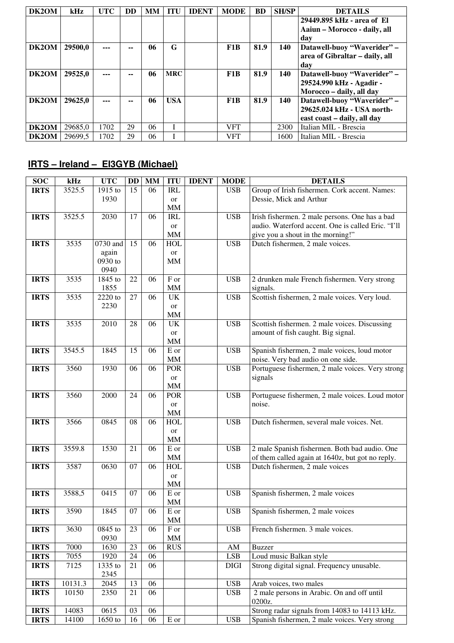| DK2OM | kHz     | UTC  | <b>DD</b> | MМ | <b>ITU</b> | <b>IDENT</b> | <b>MODE</b> | <b>BD</b> | <b>SH/SP</b> | <b>DETAILS</b>                 |
|-------|---------|------|-----------|----|------------|--------------|-------------|-----------|--------------|--------------------------------|
|       |         |      |           |    |            |              |             |           |              | 29449.895 kHz - area of El     |
|       |         |      |           |    |            |              |             |           |              | Aaiun – Morocco - daily, all   |
|       |         |      |           |    |            |              |             |           |              | day                            |
| DK2OM | 29500,0 | ---  | --        | 06 | G          |              | F1B         | 81.9      | 140          | Datawell-buoy "Waverider" -    |
|       |         |      |           |    |            |              |             |           |              | area of Gibraltar - daily, all |
|       |         |      |           |    |            |              |             |           |              | dav                            |
| DK2OM | 29525,0 | ---  | --        | 06 | <b>MRC</b> |              | F1B         | 81.9      | 140          | Datawell-buoy "Waverider" -    |
|       |         |      |           |    |            |              |             |           |              | 29524.990 kHz - Agadir -       |
|       |         |      |           |    |            |              |             |           |              | Morocco – daily, all day       |
| DK2OM | 29625.0 |      | --        | 06 | <b>USA</b> |              | F1B         | 81.9      | 140          | Datawell-buoy "Waverider" -    |
|       |         |      |           |    |            |              |             |           |              | 29625.024 kHz - USA north-     |
|       |         |      |           |    |            |              |             |           |              | east coast – daily, all day    |
| DK2OM | 29685.0 | 1702 | 29        | 06 |            |              | <b>VFT</b>  |           | 2300         | Italian MIL - Brescia          |
| DK2OM | 29699.5 | 1702 | 29        | 06 |            |              | <b>VFT</b>  |           | 1600         | Italian MIL - Brescia          |

## **IRTS – Ireland – EI3GYB (Michael)**

| <b>SOC</b>  | kHz     | <b>UTC</b> | <b>DD</b> | MM | <b>ITU</b>                        | <b>IDENT</b> | <b>MODE</b> | <b>DETAILS</b>                                                                         |
|-------------|---------|------------|-----------|----|-----------------------------------|--------------|-------------|----------------------------------------------------------------------------------------|
| <b>IRTS</b> | 3525.5  | 1915 to    | 15        | 06 | <b>IRL</b>                        |              | <b>USB</b>  | Group of Irish fishermen. Cork accent. Names:                                          |
|             |         | 1930       |           |    | or                                |              |             | Dessie, Mick and Arthur                                                                |
|             |         |            |           |    | MM                                |              |             |                                                                                        |
| <b>IRTS</b> | 3525.5  | 2030       | 17        | 06 | <b>IRL</b>                        |              | <b>USB</b>  | Irish fishermen. 2 male persons. One has a bad                                         |
|             |         |            |           |    | or                                |              |             | audio. Waterford accent. One is called Eric. "I'll                                     |
|             |         |            |           |    | <b>MM</b>                         |              |             | give you a shout in the morning!"                                                      |
| <b>IRTS</b> | 3535    | 0730 and   | 15        | 06 | <b>HOL</b>                        |              | <b>USB</b>  | Dutch fishermen, 2 male voices.                                                        |
|             |         | again      |           |    | or                                |              |             |                                                                                        |
|             |         | 0930 to    |           |    | <b>MM</b>                         |              |             |                                                                                        |
|             |         | 0940       |           |    |                                   |              |             |                                                                                        |
| <b>IRTS</b> | 3535    | 1845 to    | 22        | 06 | F or                              |              | <b>USB</b>  | 2 drunken male French fishermen. Very strong                                           |
|             |         | 1855       |           |    | <b>MM</b>                         |              |             | signals.                                                                               |
| <b>IRTS</b> | 3535    | 2220 to    | 27        | 06 | $\ensuremath{\mathrm{UK}}\xspace$ |              | <b>USB</b>  | Scottish fishermen, 2 male voices. Very loud.                                          |
|             |         | 2230       |           |    | or                                |              |             |                                                                                        |
|             |         |            |           |    | MM                                |              |             |                                                                                        |
| <b>IRTS</b> | 3535    | 2010       | 28        | 06 | $\ensuremath{\mathrm{UK}}\xspace$ |              | <b>USB</b>  | Scottish fishermen. 2 male voices. Discussing                                          |
|             |         |            |           |    | or                                |              |             | amount of fish caught. Big signal.                                                     |
|             |         |            |           |    | $\text{MM}{}$                     |              |             |                                                                                        |
| <b>IRTS</b> | 3545.5  | 1845       | 15        | 06 | E or                              |              | <b>USB</b>  | Spanish fishermen, 2 male voices, loud motor                                           |
|             | 3560    |            |           |    | $\mathop{\rm MM}$                 |              |             | noise. Very bad audio on one side.<br>Portuguese fishermen, 2 male voices. Very strong |
| <b>IRTS</b> |         | 1930       | 06        | 06 | POR                               |              | <b>USB</b>  |                                                                                        |
|             |         |            |           |    | or<br>MM                          |              |             | signals                                                                                |
| <b>IRTS</b> | 3560    | 2000       | 24        | 06 | POR                               |              | <b>USB</b>  | Portuguese fishermen, 2 male voices. Loud motor                                        |
|             |         |            |           |    | or                                |              |             | noise.                                                                                 |
|             |         |            |           |    | <b>MM</b>                         |              |             |                                                                                        |
| <b>IRTS</b> | 3566    | 0845       | 08        | 06 | <b>HOL</b>                        |              | <b>USB</b>  | Dutch fishermen, several male voices. Net.                                             |
|             |         |            |           |    | <b>or</b>                         |              |             |                                                                                        |
|             |         |            |           |    | MM                                |              |             |                                                                                        |
| <b>IRTS</b> | 3559.8  | 1530       | 21        | 06 | E or                              |              | <b>USB</b>  | 2 male Spanish fishermen. Both bad audio. One                                          |
|             |         |            |           |    | MM                                |              |             | of them called again at 1640z, but got no reply.                                       |
| <b>IRTS</b> | 3587    | 0630       | 07        | 06 | <b>HOL</b>                        |              | <b>USB</b>  | Dutch fishermen, 2 male voices                                                         |
|             |         |            |           |    | or                                |              |             |                                                                                        |
|             |         |            |           |    | MM                                |              |             |                                                                                        |
| <b>IRTS</b> | 3588,5  | 0415       | 07        | 06 | E or                              |              | <b>USB</b>  | Spanish fishermen, 2 male voices                                                       |
|             |         |            |           |    | MM                                |              |             |                                                                                        |
| <b>IRTS</b> | 3590    | 1845       | 07        | 06 | E or                              |              | <b>USB</b>  | Spanish fishermen, 2 male voices                                                       |
|             |         |            |           |    | MМ                                |              |             |                                                                                        |
| <b>IRTS</b> | 3630    | 0845 to    | 23        | 06 | F or                              |              | <b>USB</b>  | French fishermen. 3 male voices.                                                       |
|             |         | 0930       |           |    | MM                                |              |             |                                                                                        |
| <b>IRTS</b> | 7000    | 1630       | 23        | 06 | <b>RUS</b>                        |              | AM          | <b>Buzzer</b>                                                                          |
| <b>IRTS</b> | 7055    | 1920       | 24        | 06 |                                   |              | <b>LSB</b>  | Loud music Balkan style                                                                |
| <b>IRTS</b> | 7125    | 1335 to    | 21        | 06 |                                   |              | <b>DIGI</b> | Strong digital signal. Frequency unusable.                                             |
|             |         | 2345       |           |    |                                   |              |             |                                                                                        |
| <b>IRTS</b> | 10131.3 | 2045       | 13        | 06 |                                   |              | <b>USB</b>  | Arab voices, two males                                                                 |
| <b>IRTS</b> | 10150   | 2350       | 21        | 06 |                                   |              | <b>USB</b>  | 2 male persons in Arabic. On and off until                                             |
|             |         |            |           |    |                                   |              |             | 0200z.                                                                                 |
| <b>IRTS</b> | 14083   | 0615       | 03        | 06 |                                   |              |             | Strong radar signals from 14083 to 14113 kHz.                                          |
| <b>IRTS</b> | 14100   | 1650 to    | 16        | 06 | $\mathbf E$ or                    |              | <b>USB</b>  | Spanish fishermen, 2 male voices. Very strong                                          |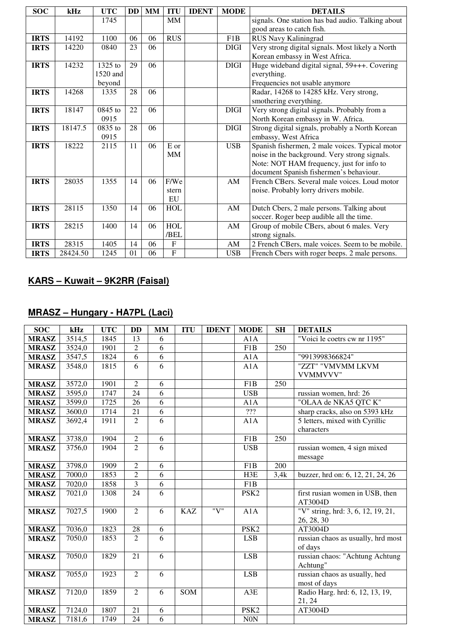| <b>SOC</b>  | kHz      | <b>UTC</b> | DD | <b>MM</b> | <b>ITU</b>     | <b>IDENT</b> | <b>MODE</b> | <b>DETAILS</b>                                    |
|-------------|----------|------------|----|-----------|----------------|--------------|-------------|---------------------------------------------------|
|             |          | 1745       |    |           | <b>MM</b>      |              |             | signals. One station has bad audio. Talking about |
|             |          |            |    |           |                |              |             | good areas to catch fish.                         |
| <b>IRTS</b> | 14192    | 1100       | 06 | 06        | <b>RUS</b>     |              | F1B         | RUS Navy Kaliningrad                              |
| <b>IRTS</b> | 14220    | 0840       | 23 | 06        |                |              | <b>DIGI</b> | Very strong digital signals. Most likely a North  |
|             |          |            |    |           |                |              |             | Korean embassy in West Africa.                    |
| <b>IRTS</b> | 14232    | 1325 to    | 29 | 06        |                |              | <b>DIGI</b> | Huge wideband digital signal, 59+++. Covering     |
|             |          | $1520$ and |    |           |                |              |             | everything.                                       |
|             |          | beyond     |    |           |                |              |             | Frequencies not usable anymore                    |
| <b>IRTS</b> | 14268    | 1335       | 28 | 06        |                |              |             | Radar, 14268 to 14285 kHz. Very strong,           |
|             |          |            |    |           |                |              |             | smothering everything.                            |
| <b>IRTS</b> | 18147    | 0845 to    | 22 | 06        |                |              | <b>DIGI</b> | Very strong digital signals. Probably from a      |
|             |          | 0915       |    |           |                |              |             | North Korean embassy in W. Africa.                |
| <b>IRTS</b> | 18147.5  | $0835$ to  | 28 | 06        |                |              | <b>DIGI</b> | Strong digital signals, probably a North Korean   |
|             |          | 0915       |    |           |                |              |             | embassy, West Africa                              |
| <b>IRTS</b> | 18222    | 2115       | 11 | 06        | E or           |              | <b>USB</b>  | Spanish fishermen, 2 male voices. Typical motor   |
|             |          |            |    |           | MM             |              |             | noise in the background. Very strong signals.     |
|             |          |            |    |           |                |              |             | Note: NOT HAM frequency, just for info to         |
|             |          |            |    |           |                |              |             | document Spanish fishermen's behaviour.           |
| <b>IRTS</b> | 28035    | 1355       | 14 | 06        | F/We           |              | AM          | French CBers. Several male voices. Loud motor     |
|             |          |            |    |           | stern          |              |             | noise. Probably lorry drivers mobile.             |
|             |          |            |    |           | EU             |              |             |                                                   |
| <b>IRTS</b> | 28115    | 1350       | 14 | 06        | <b>HOL</b>     |              | AM          | Dutch Cbers, 2 male persons. Talking about        |
|             |          |            |    |           |                |              |             | soccer. Roger beep audible all the time.          |
| <b>IRTS</b> | 28215    | 1400       | 14 | 06        | <b>HOL</b>     |              | AM          | Group of mobile CBers, about 6 males. Very        |
|             |          |            |    |           | /BEL           |              |             | strong signals.                                   |
| <b>IRTS</b> | 28315    | 1405       | 14 | 06        | $\mathbf F$    |              | AM          | 2 French CBers, male voices. Seem to be mobile.   |
| <b>IRTS</b> | 28424.50 | 1245       | 01 | 06        | $\overline{F}$ |              | <b>USB</b>  | French Cbers with roger beeps. 2 male persons.    |

## **KARS – Kuwait – 9K2RR (Faisal)**

#### **MRASZ – Hungary - HA7PL (Laci)**

| <b>SOC</b>   | kHz    | <b>UTC</b> | <b>DD</b>       | MM             | <b>ITU</b> | <b>IDENT</b> | <b>MODE</b>      | SH               | <b>DETAILS</b>                     |
|--------------|--------|------------|-----------------|----------------|------------|--------------|------------------|------------------|------------------------------------|
| <b>MRASZ</b> | 3514,5 | 1845       | 13              | 6              |            |              | A1A              |                  | "Voici le coetrs cw nr 1195"       |
| <b>MRASZ</b> | 3524,0 | 1901       | $\overline{c}$  | $\overline{6}$ |            |              | F1B              | 250              |                                    |
| <b>MRASZ</b> | 3547,5 | 1824       | 6               | 6              |            |              | A1A              |                  | "9913998366824"                    |
| <b>MRASZ</b> | 3548,0 | 1815       | 6               | 6              |            |              | A1A              |                  | "ZZT" "VMVMM LKVM                  |
|              |        |            |                 |                |            |              |                  |                  | VVMMVVV"                           |
| <b>MRASZ</b> | 3572,0 | 1901       | $\overline{2}$  | $\overline{6}$ |            |              | $\overline{F1B}$ | $\overline{250}$ |                                    |
| <b>MRASZ</b> | 3595,0 | 1747       | 24              | 6              |            |              | <b>USB</b>       |                  | russian women, hrd: 26             |
| <b>MRASZ</b> | 3599,0 | 1725       | 26              | 6              |            |              | A1A              |                  | "OLAA de NKA5 QTC K"               |
| <b>MRASZ</b> | 3600,0 | 1714       | 21              | 6              |            |              | ???              |                  | sharp cracks, also on 5393 kHz     |
| <b>MRASZ</b> | 3692,4 | 1911       | $\overline{2}$  | 6              |            |              | A1A              |                  | 5 letters, mixed with Cyrillic     |
|              |        |            |                 |                |            |              |                  |                  | characters                         |
| <b>MRASZ</b> | 3738,0 | 1904       | $\overline{2}$  | 6              |            |              | F <sub>1</sub> B | 250              |                                    |
| <b>MRASZ</b> | 3756,0 | 1904       | $\overline{2}$  | $\overline{6}$ |            |              | <b>USB</b>       |                  | russian women, 4 sign mixed        |
|              |        |            |                 |                |            |              |                  |                  | message                            |
| <b>MRASZ</b> | 3798,0 | 1909       | $\overline{2}$  | 6              |            |              | F <sub>1</sub> B | 200              |                                    |
| <b>MRASZ</b> | 7000,0 | 1853       | $\overline{2}$  | 6              |            |              | H3E              | 3,4k             | buzzer, hrd on: 6, 12, 21, 24, 26  |
| <b>MRASZ</b> | 7020,0 | 1858       | 3               | 6              |            |              | F1B              |                  |                                    |
| <b>MRASZ</b> | 7021,0 | 1308       | 24              | $\overline{6}$ |            |              | PSK <sub>2</sub> |                  | first rusian women in USB, then    |
|              |        |            |                 |                |            |              |                  |                  | AT3004D                            |
| <b>MRASZ</b> | 7027,5 | 1900       | $\overline{2}$  | 6              | <b>KAZ</b> | "V"          | A1A              |                  | "V" string, hrd: 3, 6, 12, 19, 21, |
|              |        |            |                 |                |            |              |                  |                  | 26, 28, 30                         |
| <b>MRASZ</b> | 7036,0 | 1823       | 28              | 6              |            |              | PSK <sub>2</sub> |                  | AT3004D                            |
| <b>MRASZ</b> | 7050,0 | 1853       | $\overline{2}$  | 6              |            |              | <b>LSB</b>       |                  | russian chaos as usually, hrd most |
|              |        |            |                 |                |            |              |                  |                  | of days                            |
| <b>MRASZ</b> | 7050,0 | 1829       | 21              | 6              |            |              | <b>LSB</b>       |                  | russian chaos: "Achtung Achtung    |
|              |        |            |                 |                |            |              |                  |                  | Achtung"                           |
| <b>MRASZ</b> | 7055,0 | 1923       | $\overline{2}$  | 6              |            |              | <b>LSB</b>       |                  | russian chaos as usually, hed      |
|              |        |            |                 |                |            |              |                  |                  | most of days                       |
| <b>MRASZ</b> | 7120,0 | 1859       | $\overline{2}$  | 6              | SOM        |              | A3E              |                  | Radio Harg. hrd: 6, 12, 13, 19,    |
|              |        |            |                 |                |            |              |                  |                  | 21, 24                             |
| <b>MRASZ</b> | 7124,0 | 1807       | $\overline{21}$ | $\overline{6}$ |            |              | PSK <sub>2</sub> |                  | AT3004D                            |
| <b>MRASZ</b> | 7181,6 | 1749       | 24              | $\overline{6}$ |            |              | N0N              |                  |                                    |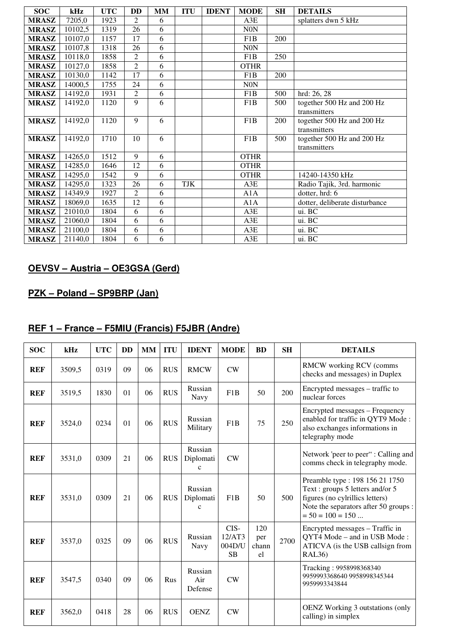| <b>SOC</b>   | kHz     | <b>UTC</b> | <b>DD</b>      | MM | <b>ITU</b> | <b>IDENT</b> | <b>MODE</b>      | <b>SH</b> | <b>DETAILS</b>                 |
|--------------|---------|------------|----------------|----|------------|--------------|------------------|-----------|--------------------------------|
| <b>MRASZ</b> | 7205,0  | 1923       | 2              | 6  |            |              | A3E              |           | splatters dwn 5 kHz            |
| <b>MRASZ</b> | 10102,5 | 1319       | 26             | 6  |            |              | N <sub>0</sub> N |           |                                |
| <b>MRASZ</b> | 10107,0 | 1157       | 17             | 6  |            |              | F1B              | 200       |                                |
| <b>MRASZ</b> | 10107,8 | 1318       | 26             | 6  |            |              | <b>N0N</b>       |           |                                |
| <b>MRASZ</b> | 10118,0 | 1858       | $\overline{c}$ | 6  |            |              | F1B              | 250       |                                |
| <b>MRASZ</b> | 10127,0 | 1858       | $\overline{2}$ | 6  |            |              | <b>OTHR</b>      |           |                                |
| <b>MRASZ</b> | 10130,0 | 1142       | 17             | 6  |            |              | F1B              | 200       |                                |
| <b>MRASZ</b> | 14000,5 | 1755       | 24             | 6  |            |              | N <sub>0</sub> N |           |                                |
| <b>MRASZ</b> | 14192,0 | 1931       | 2              | 6  |            |              | F1B              | 500       | hrd: 26, 28                    |
| <b>MRASZ</b> | 14192,0 | 1120       | 9              | 6  |            |              | F1B              | 500       | together 500 Hz and 200 Hz     |
|              |         |            |                |    |            |              |                  |           | transmitters                   |
| <b>MRASZ</b> | 14192,0 | 1120       | 9              | 6  |            |              | F1B              | 200       | together 500 Hz and 200 Hz     |
|              |         |            |                |    |            |              |                  |           | transmitters                   |
| <b>MRASZ</b> | 14192,0 | 1710       | 10             | 6  |            |              | F1B              | 500       | together 500 Hz and 200 Hz     |
|              |         |            |                |    |            |              |                  |           | transmitters                   |
| <b>MRASZ</b> | 14265,0 | 1512       | 9              | 6  |            |              | <b>OTHR</b>      |           |                                |
| <b>MRASZ</b> | 14285,0 | 1646       | 12             | 6  |            |              | <b>OTHR</b>      |           |                                |
| <b>MRASZ</b> | 14295,0 | 1542       | 9              | 6  |            |              | <b>OTHR</b>      |           | 14240-14350 kHz                |
| <b>MRASZ</b> | 14295,0 | 1323       | 26             | 6  | TJK        |              | A3E              |           | Radio Tajik, 3rd. harmonic     |
| <b>MRASZ</b> | 14349,9 | 1927       | $\overline{2}$ | 6  |            |              | A1A              |           | dotter, hrd: 6                 |
| <b>MRASZ</b> | 18069,0 | 1635       | 12             | 6  |            |              | A1A              |           | dotter, deliberate disturbance |
| <b>MRASZ</b> | 21010,0 | 1804       | 6              | 6  |            |              | A3E              |           | ui. BC                         |
| <b>MRASZ</b> | 21060,0 | 1804       | 6              | 6  |            |              | A3E              |           | ui. BC                         |
| <b>MRASZ</b> | 21100,0 | 1804       | 6              | 6  |            |              | A3E              |           | ui. BC                         |
| <b>MRASZ</b> | 21140,0 | 1804       | 6              | 6  |            |              | A3E              |           | ui. BC                         |

## **OEVSV – Austria – OE3GSA (Gerd)**

## **PZK – Poland – SP9BRP (Jan)**

| <b>SOC</b> | kHz    | <b>UTC</b> | <b>DD</b>      | <b>MM</b> | <b>ITU</b> | <b>IDENT</b>                         | <b>MODE</b>                           | <b>BD</b>                 | <b>SH</b> | <b>DETAILS</b>                                                                                                                                                        |
|------------|--------|------------|----------------|-----------|------------|--------------------------------------|---------------------------------------|---------------------------|-----------|-----------------------------------------------------------------------------------------------------------------------------------------------------------------------|
| <b>REF</b> | 3509,5 | 0319       | 09             | 06        | <b>RUS</b> | <b>RMCW</b>                          | <b>CW</b>                             |                           |           | RMCW working RCV (comms<br>checks and messages) in Duplex                                                                                                             |
| <b>REF</b> | 3519,5 | 1830       | 01             | 06        | <b>RUS</b> | Russian<br>Navy                      | F <sub>1</sub> B                      | 50                        | 200       | Encrypted messages – traffic to<br>nuclear forces                                                                                                                     |
| <b>REF</b> | 3524,0 | 0234       | 01             | 06        | <b>RUS</b> | Russian<br>Military                  | F1B                                   | 75                        | 250       | Encrypted messages – Frequency<br>enabled for traffic in QYT9 Mode:<br>also exchanges informations in<br>telegraphy mode                                              |
| <b>REF</b> | 3531,0 | 0309       | 21             | 06        | <b>RUS</b> | Russian<br>Diplomati<br>$\mathbf c$  | <b>CW</b>                             |                           |           | Network 'peer to peer" : Calling and<br>comms check in telegraphy mode.                                                                                               |
| <b>REF</b> | 3531,0 | 0309       | 21             | 06        | <b>RUS</b> | Russian<br>Diplomati<br>$\mathbf{C}$ | F1B                                   | 50                        | 500       | Preamble type: 198 156 21 1750<br>Text : groups 5 letters and/or 5<br>figures (no cylrillics letters)<br>Note the separators after 50 groups :<br>$= 50 = 100 = 150 $ |
| <b>REF</b> | 3537,0 | 0325       | 0 <sup>9</sup> | 06        | <b>RUS</b> | Russian<br>Navy                      | CIS-<br>12/AT3<br>004D/U<br><b>SB</b> | 120<br>per<br>chann<br>el | 2700      | Encrypted messages – Traffic in<br>QYT4 Mode - and in USB Mode:<br>ATICVA (is the USB callsign from<br><b>RAL36)</b>                                                  |
| <b>REF</b> | 3547,5 | 0340       | 09             | 06        | Rus        | Russian<br>Air<br>Defense            | CW                                    |                           |           | Tracking: 9958998368340<br>9959993368640 9958998345344<br>9959993343844                                                                                               |
| <b>REF</b> | 3562,0 | 0418       | 28             | 06        | <b>RUS</b> | <b>OENZ</b>                          | <b>CW</b>                             |                           |           | <b>OENZ</b> Working 3 outstations (only<br>calling) in simplex                                                                                                        |

## **REF 1 – France – F5MIU (Francis) F5JBR (Andre)**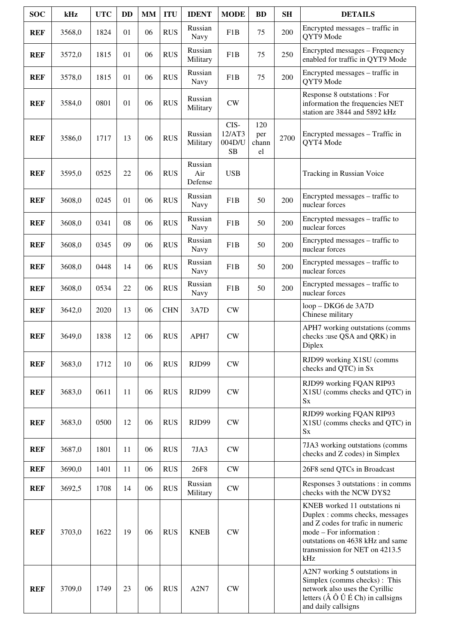| <b>SOC</b> | kHz    | <b>UTC</b> | <b>DD</b> | <b>MM</b> | <b>ITU</b> | <b>IDENT</b>              | <b>MODE</b>                    | <b>BD</b>                 | <b>SH</b> | <b>DETAILS</b>                                                                                                                                                                                                 |
|------------|--------|------------|-----------|-----------|------------|---------------------------|--------------------------------|---------------------------|-----------|----------------------------------------------------------------------------------------------------------------------------------------------------------------------------------------------------------------|
| <b>REF</b> | 3568,0 | 1824       | 01        | 06        | <b>RUS</b> | Russian<br>Navy           | F1B                            | 75                        | 200       | Encrypted messages – traffic in<br>QYT9 Mode                                                                                                                                                                   |
| <b>REF</b> | 3572,0 | 1815       | 01        | 06        | <b>RUS</b> | Russian<br>Military       | F1B                            | 75                        | 250       | Encrypted messages – Frequency<br>enabled for traffic in QYT9 Mode                                                                                                                                             |
| <b>REF</b> | 3578,0 | 1815       | 01        | 06        | <b>RUS</b> | Russian<br>Navy           | F1B                            | 75                        | 200       | Encrypted messages – traffic in<br>QYT9 Mode                                                                                                                                                                   |
| <b>REF</b> | 3584,0 | 0801       | 01        | 06        | <b>RUS</b> | Russian<br>Military       | CW                             |                           |           | Response 8 outstations : For<br>information the frequencies NET<br>station are 3844 and 5892 kHz                                                                                                               |
| <b>REF</b> | 3586,0 | 1717       | 13        | 06        | <b>RUS</b> | Russian<br>Military       | CIS-<br>12/AT3<br>004D/U<br>SB | 120<br>per<br>chann<br>el | 2700      | Encrypted messages - Traffic in<br>QYT4 Mode                                                                                                                                                                   |
| <b>REF</b> | 3595,0 | 0525       | 22        | 06        | <b>RUS</b> | Russian<br>Air<br>Defense | <b>USB</b>                     |                           |           | Tracking in Russian Voice                                                                                                                                                                                      |
| <b>REF</b> | 3608,0 | 0245       | 01        | 06        | <b>RUS</b> | Russian<br>Navy           | F1B                            | 50                        | 200       | Encrypted messages – traffic to<br>nuclear forces                                                                                                                                                              |
| <b>REF</b> | 3608,0 | 0341       | 08        | 06        | <b>RUS</b> | Russian<br>Navy           | F1B                            | 50                        | 200       | Encrypted messages – traffic to<br>nuclear forces                                                                                                                                                              |
| <b>REF</b> | 3608,0 | 0345       | 09        | 06        | <b>RUS</b> | Russian<br>Navy           | F1B                            | 50                        | 200       | Encrypted messages – traffic to<br>nuclear forces                                                                                                                                                              |
| <b>REF</b> | 3608,0 | 0448       | 14        | 06        | <b>RUS</b> | Russian<br>Navy           | F1B                            | 50                        | 200       | Encrypted messages – traffic to<br>nuclear forces                                                                                                                                                              |
| <b>REF</b> | 3608,0 | 0534       | 22        | 06        | <b>RUS</b> | Russian<br>Navy           | F1B                            | 50                        | 200       | Encrypted messages – traffic to<br>nuclear forces                                                                                                                                                              |
| <b>REF</b> | 3642,0 | 2020       | 13        | 06        | <b>CHN</b> | 3A7D                      | CW                             |                           |           | loop - DKG6 de 3A7D<br>Chinese military                                                                                                                                                                        |
| <b>REF</b> | 3649,0 | 1838       | 12        | 06        | <b>RUS</b> | APH7                      | <b>CW</b>                      |                           |           | APH7 working outstations (comms<br>checks :use QSA and QRK) in<br>Diplex                                                                                                                                       |
| <b>REF</b> | 3683,0 | 1712       | 10        | 06        | <b>RUS</b> | RJD99                     | <b>CW</b>                      |                           |           | RJD99 working X1SU (comms<br>checks and QTC) in Sx                                                                                                                                                             |
| <b>REF</b> | 3683,0 | 0611       | 11        | 06        | <b>RUS</b> | RJD99                     | CW                             |                           |           | RJD99 working FQAN RIP93<br>X1SU (comms checks and QTC) in<br><b>Sx</b>                                                                                                                                        |
| <b>REF</b> | 3683,0 | 0500       | 12        | 06        | <b>RUS</b> | RJD99                     | CW                             |                           |           | RJD99 working FQAN RIP93<br>X1SU (comms checks and QTC) in<br>$S_{X}$                                                                                                                                          |
| <b>REF</b> | 3687,0 | 1801       | 11        | 06        | <b>RUS</b> | 7JA3                      | CW                             |                           |           | 7JA3 working outstations (comms<br>checks and Z codes) in Simplex                                                                                                                                              |
| <b>REF</b> | 3690,0 | 1401       | 11        | 06        | <b>RUS</b> | 26F8                      | CW                             |                           |           | 26F8 send QTCs in Broadcast                                                                                                                                                                                    |
| <b>REF</b> | 3692,5 | 1708       | 14        | 06        | <b>RUS</b> | Russian<br>Military       | CW                             |                           |           | Responses 3 outstations : in comms<br>checks with the NCW DYS2                                                                                                                                                 |
| <b>REF</b> | 3703,0 | 1622       | 19        | 06        | <b>RUS</b> | <b>KNEB</b>               | <b>CW</b>                      |                           |           | KNEB worked 11 outstations ni<br>Duplex : comms checks, messages<br>and Z codes for trafic in numeric<br>mode – For information :<br>outstations on 4638 kHz and same<br>transmission for NET on 4213.5<br>kHz |
| <b>REF</b> | 3709,0 | 1749       | 23        | 06        | <b>RUS</b> | A2N7                      | <b>CW</b>                      |                           |           | A2N7 working 5 outstations in<br>Simplex (comms checks): This<br>network also uses the Cyrillic<br>letters $(\hat{A} \hat{O} \hat{U} \hat{E} Ch)$ in callsigns<br>and daily callsigns                          |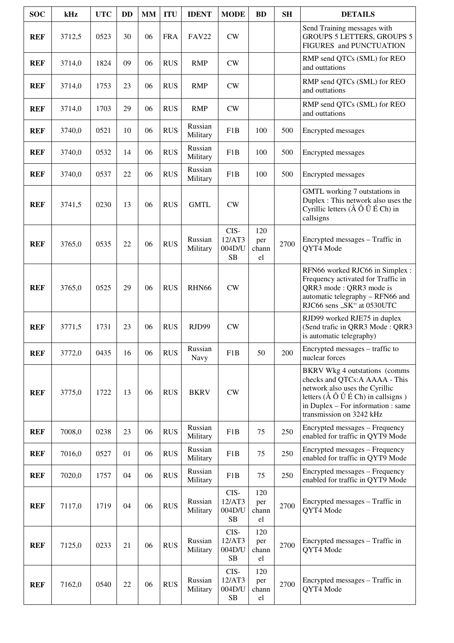| <b>SOC</b> | kHz    | <b>UTC</b> | <b>DD</b> | <b>MM</b> | <b>ITU</b> | <b>IDENT</b>        | <b>MODE</b>                           | <b>BD</b>                 | <b>SH</b> | <b>DETAILS</b>                                                                                                                                                                                                                      |
|------------|--------|------------|-----------|-----------|------------|---------------------|---------------------------------------|---------------------------|-----------|-------------------------------------------------------------------------------------------------------------------------------------------------------------------------------------------------------------------------------------|
| <b>REF</b> | 3712,5 | 0523       | 30        | 06        | <b>FRA</b> | <b>FAV22</b>        | CW                                    |                           |           | Send Training messages with<br><b>GROUPS 5 LETTERS, GROUPS 5</b><br>FIGURES and PUNCTUATION                                                                                                                                         |
| <b>REF</b> | 3714,0 | 1824       | 09        | 06        | <b>RUS</b> | <b>RMP</b>          | CW                                    |                           |           | RMP send QTCs (SML) for REO<br>and outtations                                                                                                                                                                                       |
| <b>REF</b> | 3714,0 | 1753       | 23        | 06        | <b>RUS</b> | <b>RMP</b>          | <b>CW</b>                             |                           |           | RMP send QTCs (SML) for REO<br>and outtations                                                                                                                                                                                       |
| <b>REF</b> | 3714,0 | 1703       | 29        | 06        | <b>RUS</b> | <b>RMP</b>          | <b>CW</b>                             |                           |           | RMP send QTCs (SML) for REO<br>and outtations                                                                                                                                                                                       |
| <b>REF</b> | 3740,0 | 0521       | 10        | 06        | <b>RUS</b> | Russian<br>Military | F1B                                   | 100                       | 500       | Encrypted messages                                                                                                                                                                                                                  |
| <b>REF</b> | 3740,0 | 0532       | 14        | 06        | <b>RUS</b> | Russian<br>Military | F1B                                   | 100                       | 500       | Encrypted messages                                                                                                                                                                                                                  |
| <b>REF</b> | 3740,0 | 0537       | 22        | 06        | <b>RUS</b> | Russian<br>Military | F1B                                   | 100                       | 500       | Encrypted messages                                                                                                                                                                                                                  |
| <b>REF</b> | 3741,5 | 0230       | 13        | 06        | <b>RUS</b> | <b>GMTL</b>         | <b>CW</b>                             |                           |           | GMTL working 7 outstations in<br>Duplex : This network also uses the<br>Cyrillic letters (Â Ô Û É Ch) in<br>callsigns                                                                                                               |
| <b>REF</b> | 3765,0 | 0535       | 22        | 06        | <b>RUS</b> | Russian<br>Military | CIS-<br>12/AT3<br>004D/U<br>SB        | 120<br>per<br>chann<br>el | 2700      | Encrypted messages – Traffic in<br>QYT4 Mode                                                                                                                                                                                        |
| <b>REF</b> | 3765,0 | 0525       | 29        | 06        | <b>RUS</b> | RHN66               | <b>CW</b>                             |                           |           | RFN66 worked RJC66 in Simplex :<br>Frequency activated for Traffic in<br>QRR3 mode: QRR3 mode is<br>automatic telegraphy - RFN66 and<br>RJC66 sens "SK" at 0530UTC                                                                  |
| <b>REF</b> | 3771,5 | 1731       | 23        | 06        | <b>RUS</b> | RJD99               | <b>CW</b>                             |                           |           | RJD99 worked RJE75 in duplex<br>(Send trafic in QRR3 Mode: QRR3<br>is automatic telegraphy)                                                                                                                                         |
| <b>REF</b> | 3772,0 | 0435       | 16        | 06        | <b>RUS</b> | Russian<br>Navy     | F1B                                   | 50                        | 200       | Encrypted messages – traffic to<br>nuclear forces                                                                                                                                                                                   |
| <b>REF</b> | 3775,0 | 1722       | 13        | 06        | <b>RUS</b> | <b>BKRV</b>         | CW                                    |                           |           | BKRV Wkg 4 outstations (comms<br>checks and QTCs:A AAAA - This<br>network also uses the Cyrillic<br>letters ( $\hat{A} \hat{O} \hat{U} \hat{E}$ Ch) in callsigns)<br>in Duplex - For information : same<br>transmission on 3242 kHz |
| <b>REF</b> | 7008,0 | 0238       | 23        | 06        | <b>RUS</b> | Russian<br>Military | F1B                                   | 75                        | 250       | Encrypted messages - Frequency<br>enabled for traffic in QYT9 Mode                                                                                                                                                                  |
| <b>REF</b> | 7016,0 | 0527       | 01        | 06        | <b>RUS</b> | Russian<br>Military | F1B                                   | 75                        | 250       | Encrypted messages - Frequency<br>enabled for traffic in QYT9 Mode                                                                                                                                                                  |
| <b>REF</b> | 7020,0 | 1757       | 04        | 06        | <b>RUS</b> | Russian<br>Military | F1B                                   | 75                        | 250       | Encrypted messages - Frequency<br>enabled for traffic in QYT9 Mode                                                                                                                                                                  |
| <b>REF</b> | 7117,0 | 1719       | 04        | 06        | <b>RUS</b> | Russian<br>Military | CIS-<br>12/AT3<br>004D/U<br><b>SB</b> | 120<br>per<br>chann<br>el | 2700      | Encrypted messages – Traffic in<br>QYT4 Mode                                                                                                                                                                                        |
| <b>REF</b> | 7125,0 | 0233       | 21        | 06        | <b>RUS</b> | Russian<br>Military | CIS-<br>12/AT3<br>004D/U<br>SB        | 120<br>per<br>chann<br>el | 2700      | Encrypted messages – Traffic in<br>QYT4 Mode                                                                                                                                                                                        |
| <b>REF</b> | 7162,0 | 0540       | 22        | 06        | <b>RUS</b> | Russian<br>Military | CIS-<br>12/AT3<br>004D/U<br><b>SB</b> | 120<br>per<br>chann<br>el | 2700      | Encrypted messages - Traffic in<br>QYT4 Mode                                                                                                                                                                                        |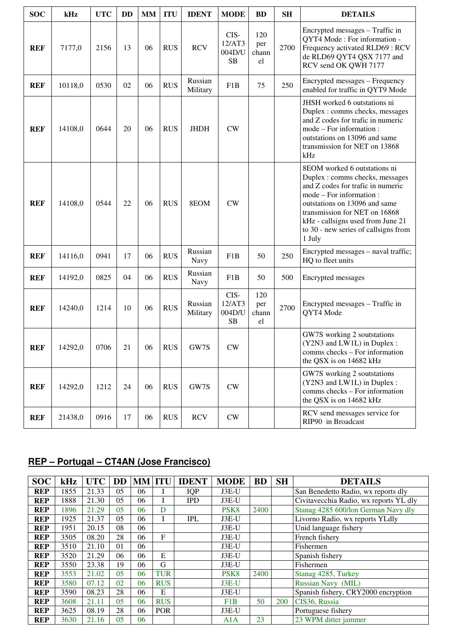| <b>SOC</b> | kHz     | <b>UTC</b> | <b>DD</b> | <b>MM</b> | <b>ITU</b> | <b>IDENT</b>        | <b>MODE</b>                    | <b>BD</b>                 | SH   | <b>DETAILS</b>                                                                                                                                                                                                                                                                           |
|------------|---------|------------|-----------|-----------|------------|---------------------|--------------------------------|---------------------------|------|------------------------------------------------------------------------------------------------------------------------------------------------------------------------------------------------------------------------------------------------------------------------------------------|
| <b>REF</b> | 7177,0  | 2156       | 13        | 06        | <b>RUS</b> | <b>RCV</b>          | CIS-<br>12/AT3<br>004D/U<br>SB | 120<br>per<br>chann<br>el | 2700 | Encrypted messages - Traffic in<br>QYT4 Mode: For information -<br>Frequency activated RLD69: RCV<br>de RLD69 QYT4 QSX 7177 and<br>RCV send OK QWH 7177                                                                                                                                  |
| <b>REF</b> | 10118,0 | 0530       | 02        | 06        | <b>RUS</b> | Russian<br>Military | F1B                            | 75                        | 250  | Encrypted messages - Frequency<br>enabled for traffic in QYT9 Mode                                                                                                                                                                                                                       |
| <b>REF</b> | 14108,0 | 0644       | 20        | 06        | <b>RUS</b> | <b>JHDH</b>         | <b>CW</b>                      |                           |      | JHSH worked 6 outstations ni<br>Duplex: comms checks, messages<br>and Z codes for trafic in numeric<br>mode – For information :<br>outstations on 13096 and same<br>transmission for NET on 13868<br>kHz                                                                                 |
| <b>REF</b> | 14108,0 | 0544       | 22        | 06        | <b>RUS</b> | 8EOM                | <b>CW</b>                      |                           |      | 8EOM worked 6 outstations ni<br>Duplex: comms checks, messages<br>and Z codes for trafic in numeric<br>mode – For information :<br>outstations on 13096 and same<br>transmission for NET on 16868<br>kHz - callsigns used from June 21<br>to 30 - new series of callsigns from<br>1 July |
| <b>REF</b> | 14116,0 | 0941       | 17        | 06        | <b>RUS</b> | Russian<br>Navy     | F1B                            | 50                        | 250  | Encrypted messages - naval traffic;<br>HQ to fleet units                                                                                                                                                                                                                                 |
| <b>REF</b> | 14192,0 | 0825       | 04        | 06        | <b>RUS</b> | Russian<br>Navy     | F1B                            | 50                        | 500  | Encrypted messages                                                                                                                                                                                                                                                                       |
| <b>REF</b> | 14240,0 | 1214       | 10        | 06        | <b>RUS</b> | Russian<br>Military | CIS-<br>12/AT3<br>004D/U<br>SB | 120<br>per<br>chann<br>el | 2700 | Encrypted messages - Traffic in<br>QYT4 Mode                                                                                                                                                                                                                                             |
| <b>REF</b> | 14292,0 | 0706       | 21        | 06        | <b>RUS</b> | GW7S                | CW                             |                           |      | GW7S working 2 soutstations<br>(Y2N3 and LW1L) in Duplex:<br>comms checks - For information<br>the QSX is on 14682 kHz                                                                                                                                                                   |
| <b>REF</b> | 14292,0 | 1212       | 24        | 06        | <b>RUS</b> | GW7S                | <b>CW</b>                      |                           |      | GW7S working 2 soutstations<br>(Y2N3 and LW1L) in Duplex:<br>comms checks - For information<br>the QSX is on 14682 kHz                                                                                                                                                                   |
| <b>REF</b> | 21438,0 | 0916       | 17        | 06        | <b>RUS</b> | <b>RCV</b>          | <b>CW</b>                      |                           |      | RCV send messages service for<br>RIP90 in Broadcast                                                                                                                                                                                                                                      |

## **REP – Portugal – CT4AN (Jose Francisco)**

| <b>SOC</b> | $\bf kHz$ | <b>UTC</b> | <b>DD</b>      | <b>MM ITU</b> |              | <b>IDENT</b> | <b>MODE</b>      | <b>BD</b> | <b>SH</b> | <b>DETAILS</b>                         |
|------------|-----------|------------|----------------|---------------|--------------|--------------|------------------|-----------|-----------|----------------------------------------|
| <b>REP</b> | 1855      | 21.33      | 0 <sub>5</sub> | 06            |              | IQP          | $J3E-U$          |           |           | San Benedetto Radio, wx reports dly    |
| <b>REP</b> | 1888      | 21.30      | 0 <sub>5</sub> | 06            |              | <b>IPD</b>   | $J3E-U$          |           |           | Civitavecchia Radio, wx reports YL dly |
| <b>REP</b> | 1896      | 21.29      | 05             | 06            | D            |              | PSK <sub>8</sub> | 2400      |           | Stanag 4285 600/lon German Navy dly    |
| <b>REP</b> | 1925      | 21.37      | 05             | 06            |              | <b>IPL</b>   | $J3E-U$          |           |           | Livorno Radio, wx reports YLdly        |
| <b>REP</b> | 1951      | 20.15      | 08             | 06            |              |              | $J3E-U$          |           |           | Unid language fishery                  |
| <b>REP</b> | 3505      | 08.20      | 28             | 06            | $\mathbf{F}$ |              | $J3E-U$          |           |           | French fishery                         |
| <b>REP</b> | 3510      | 21.10      | 01             | 06            |              |              | $J3E-U$          |           |           | Fishermen                              |
| <b>REP</b> | 3520      | 21.29      | 06             | 06            | E            |              | $J3E-U$          |           |           | Spanish fishery                        |
| <b>REP</b> | 3550      | 23.38      | 19             | 06            | G            |              | $J3E-U$          |           |           | Fishermen                              |
| <b>REP</b> | 3553      | 21.02      | 05             | 06            | <b>TUR</b>   |              | PSK <sub>8</sub> | 2400      |           | Stanag 4285, Turkey                    |
| <b>REP</b> | 3580      | 07.12      | 02             | 06            | <b>RUS</b>   |              | $J3E-U$          |           |           | Russian Navy (MIL)                     |
| <b>REP</b> | 3590      | 08.23      | 28             | 06            | E            |              | $J3E-U$          |           |           | Spanish fishery, CRY2000 encryption    |
| <b>REP</b> | 3608      | 21.11      | 05             | 06            | <b>RUS</b>   |              | F1B              | 50        | 200       | CIS36, Russia                          |
| <b>REP</b> | 3625      | 08.19      | 28             | 06            | <b>POR</b>   |              | $J3E-U$          |           |           | Portuguese fishery                     |
| <b>REP</b> | 3630      | 21.16      | 05             | 06            |              |              | A1A              | 23        |           | 23 WPM ditter jammer                   |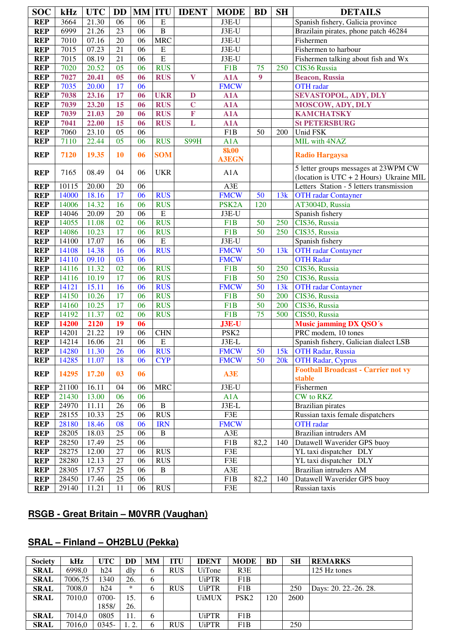| <b>SOC</b> | kHz              | <b>UTC</b> | <b>DD</b>       |    | <b>MM ITU</b>  | <b>IDENT</b>            | <b>MODE</b>        | <b>BD</b>       | <b>SH</b> | <b>DETAILS</b>                             |
|------------|------------------|------------|-----------------|----|----------------|-------------------------|--------------------|-----------------|-----------|--------------------------------------------|
| <b>REP</b> | 3664             | 21.30      | 06              | 06 | E              |                         | J3E-U              |                 |           | Spanish fishery, Galicia province          |
| <b>REP</b> | 6999             | 21.26      | 23              | 06 | $\overline{B}$ |                         | J3E-U              |                 |           | Brazilain pirates, phone patch 46284       |
| <b>REP</b> | 7010             | 07.16      | 20              | 06 | <b>MRC</b>     |                         | J3E-U              |                 |           | Fishermen                                  |
| <b>REP</b> | 7015             | 07.23      | 21              | 06 | E              |                         | J3E-U              |                 |           | Fishermen to harbour                       |
| <b>REP</b> | 7015             | 08.19      | 21              | 06 | $\overline{E}$ |                         | J3E-U              |                 |           | Fishermen talking about fish and Wx        |
| <b>REP</b> | 7020             | 20.52      | 05              | 06 | <b>RUS</b>     |                         | F <sub>1</sub> B   | 75              | 250       | CIS36 Russia                               |
| <b>REP</b> | 7027             | 20.41      | 05              | 06 | <b>RUS</b>     | $\overline{\mathbf{V}}$ | A <sub>1</sub> A   | 9               |           | <b>Beacon</b> , Russia                     |
| <b>REP</b> | $\frac{1}{7035}$ | 20.00      | 17              | 06 |                |                         | <b>FMCW</b>        |                 |           | OTH radar                                  |
| <b>REP</b> | 7038             | 23.16      | 17              | 06 | <b>UKR</b>     | D                       | A1A                |                 |           | <b>SEVASTOPOL, ADY, DLY</b>                |
| <b>REP</b> | 7039             | 23.20      | 15              | 06 | <b>RUS</b>     | $\overline{C}$          | A1A                |                 |           | <b>MOSCOW, ADY, DLY</b>                    |
| <b>REP</b> | 7039             | 21.03      | 20              | 06 | <b>RUS</b>     | $\mathbf F$             | A1A                |                 |           | <b>KAMCHATSKY</b>                          |
| <b>REP</b> | 7041             | 22.00      | 15              | 06 | <b>RUS</b>     | L                       | A1A                |                 |           | <b>St PETERSBURG</b>                       |
| <b>REP</b> | 7060             | 23.10      | $\overline{05}$ | 06 |                |                         | F1B                | 50              | 200       | Unid FSK                                   |
| <b>REP</b> | 7110             | 22.44      | $\overline{05}$ | 06 | <b>RUS</b>     | <b>S99H</b>             | A1A                |                 |           | MIL with 4NAZ                              |
|            |                  |            |                 |    |                |                         | <b>8k00</b>        |                 |           |                                            |
| <b>REP</b> | 7120             | 19.35      | 10              | 06 | <b>SOM</b>     |                         | <b>A3EGN</b>       |                 |           | <b>Radio Hargaysa</b>                      |
|            |                  |            |                 |    |                |                         |                    |                 |           | 5 letter groups messages at 23WPM CW       |
| <b>REP</b> | 7165             | 08.49      | 04              | 06 | <b>UKR</b>     |                         | A1A                |                 |           | (location is UTC + 2 Hours) Ukraine MIL    |
| <b>REP</b> | 10115            | 20.00      | 20              | 06 |                |                         | A3E                |                 |           | Letters Station - 5 letters transmission   |
| <b>REP</b> | 14000            | 18.16      | 17              | 06 | <b>RUS</b>     |                         | <b>FMCW</b>        | 50              | 13k       | <b>OTH</b> radar Contayner                 |
| <b>REP</b> | 14006            | 14.32      | 16              | 06 | <b>RUS</b>     |                         | PSK <sub>2</sub> A | 120             |           | AT3004D, Russia                            |
| <b>REP</b> | 14046            | 20.09      | 20              | 06 | $\overline{E}$ |                         | J3E-U              |                 |           | Spanish fishery                            |
| <b>REP</b> | 14055            | 11.08      | 02              | 06 | <b>RUS</b>     |                         | F1B                | 50              | 250       | CIS36, Russia                              |
| <b>REP</b> | 14086            | 10.23      | 17              | 06 | <b>RUS</b>     |                         | F1B                | $\overline{50}$ | 250       | CIS35, Russia                              |
| <b>REP</b> | 14100            | 17.07      | 16              | 06 | $\overline{E}$ |                         | $J3E-U$            |                 |           | Spanish fishery                            |
| <b>REP</b> | 14108            | 14.38      | 16              | 06 | <b>RUS</b>     |                         | <b>FMCW</b>        | 50              | 13k       | <b>OTH</b> radar Contayner                 |
| <b>REP</b> | 14110            | 09.10      | 03              | 06 |                |                         | <b>FMCW</b>        |                 |           | <b>OTH Radar</b>                           |
| <b>REP</b> | 14116            | 11.32      | 02              | 06 | <b>RUS</b>     |                         | F <sub>1</sub> B   | 50              | 250       | CIS36, Russia                              |
| <b>REP</b> | 14116            | 10.19      | 17              | 06 | <b>RUS</b>     |                         | F1B                | $\overline{50}$ | 250       | CIS36, Russia                              |
| <b>REP</b> | 14121            | 15.11      | 16              | 06 | <b>RUS</b>     |                         | <b>FMCW</b>        | $\overline{50}$ | 13k       | <b>OTH</b> radar Contayner                 |
| <b>REP</b> | 14150            | 10.26      | 17              | 06 | <b>RUS</b>     |                         | F <sub>1</sub> B   | 50              | 200       | CIS36, Russia                              |
| <b>REP</b> | 14160            | 10.25      | 17              | 06 | <b>RUS</b>     |                         | F <sub>1</sub> B   | 50              | 200       | CIS36, Russia                              |
| <b>REP</b> | 14192            | 11.37      | 02              | 06 | <b>RUS</b>     |                         | F <sub>1</sub> B   | 75              | 500       | CIS50, Russia                              |
| <b>REP</b> | 14200            | 2120       | 19              | 06 |                |                         | $J3E-U$            |                 |           | Music jamming DX QSO's                     |
| <b>REP</b> | 14201            | 21.22      | 19              | 06 | <b>CHN</b>     |                         | PSK <sub>2</sub>   |                 |           | PRC modem, 10 tones                        |
| <b>REP</b> | 14214            | 16.06      | 21              | 06 | ${\bf E}$      |                         | J3E-L              |                 |           | Spanish fishery, Galician dialect LSB      |
| <b>REP</b> | 14280            | 11.30      | 26              | 06 | <b>RUS</b>     |                         | <b>FMCW</b>        | 50              | 15k       | <b>OTH Radar, Russia</b>                   |
| <b>REP</b> | 14285            | 11.07      | 18              | 06 | <b>CYP</b>     |                         | <b>FMCW</b>        | 50              | 20k       | <b>OTH Radar, Cyprus</b>                   |
| <b>REP</b> | 14295            | 17.20      | 03              | 06 |                |                         | A3E                |                 |           | <b>Football Broadcast - Carrier not vy</b> |
|            |                  |            |                 |    |                |                         |                    |                 |           | stable                                     |
| <b>REP</b> | 21100            | 16.11      | 04              | 06 | <b>MRC</b>     |                         | J3E-U              |                 |           | Fishermen                                  |
| <b>REP</b> | 21430            | 13.00      | 06              | 06 |                |                         | A1A                |                 |           | <b>CW</b> to RKZ                           |
| <b>REP</b> | 24970            | 11.11      | 26              | 06 | $\, {\bf B}$   |                         | $J3E-L$            |                 |           | <b>Brazilian pirates</b>                   |
| <b>REP</b> | 28155            | 10.33      | 25              | 06 | <b>RUS</b>     |                         | F3E                |                 |           | Russian taxis female dispatchers           |
| <b>REP</b> | 28180            | 18.46      | 08              | 06 | <b>IRN</b>     |                         | <b>FMCW</b>        |                 |           | <b>OTH</b> radar                           |
| <b>REP</b> | 28205            | 18.03      | 25              | 06 | B              |                         | A3E                |                 |           | <b>Brazilian intruders AM</b>              |
| <b>REP</b> | 28250            | 17.49      | 25              | 06 |                |                         | F1B                | 82,2            | 140       | Datawell Waverider GPS buoy                |
| <b>REP</b> | 28275            | 12.00      | 27              | 06 | <b>RUS</b>     |                         | F3E                |                 |           | YL taxi dispatcher DLY                     |
| <b>REP</b> | 28280            | 12.13      | 27              | 06 | <b>RUS</b>     |                         | F3E                |                 |           | YL taxi dispatcher DLY                     |
| <b>REP</b> | 28305            | 17.57      | 25              | 06 | B              |                         | A3E                |                 |           | Brazilian intruders AM                     |
| <b>REP</b> | 28450            | 17.46      | 25              | 06 |                |                         | F1B                | 82,2            | 140       | Datawell Waverider GPS buoy                |
| <b>REP</b> | 29140            | 11.21      | 11              | 06 | <b>RUS</b>     |                         | F3E                |                 |           | Russian taxis                              |

#### **RSGB - Great Britain – M0VRR (Vaughan)**

## **SRAL – Finland – OH2BLU (Pekka)**

| <b>Society</b> | kHz     | UTC      | DD     | MМ          | <b>ITU</b> | <b>IDENT</b>  | <b>MODE</b>      | BD  | SН   | <b>REMARKS</b>        |
|----------------|---------|----------|--------|-------------|------------|---------------|------------------|-----|------|-----------------------|
| <b>SRAL</b>    | 6998,0  | h24      | dly    | 6           | <b>RUS</b> | <b>UiTone</b> | R3E              |     |      | 125 Hz tones          |
| <b>SRAL</b>    | 7006.75 | 340      | 26.    | 6           |            | UiPTR         | F1B              |     |      |                       |
| <b>SRAL</b>    | 7008.0  | h24      | $\ast$ | 6           | <b>RUS</b> | UiPTR         | F1B              |     | 250  | Days: 20. 22.-26. 28. |
| <b>SRAL</b>    | 7010.0  | $0700-$  | 15.    | 6           |            | <b>UiMUX</b>  | PSK <sub>2</sub> | 120 | 2600 |                       |
|                |         | 1858/    | 26.    |             |            |               |                  |     |      |                       |
| <b>SRAL</b>    | 7014.0  | 0805     | 11.    | 6           |            | UiPTR         | F1B              |     |      |                       |
| <b>SRAL</b>    | 7016,0  | $0345 -$ | 1. 2.  | $\mathbf b$ | <b>RUS</b> | UiPTR         | F1B              |     | 250  |                       |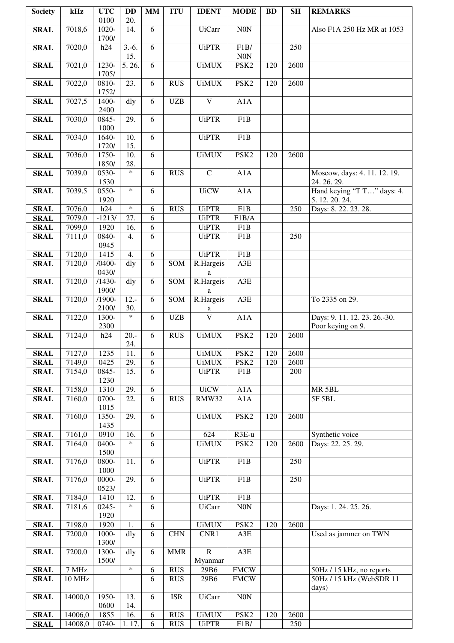| <b>Society</b>             | kHz              | <b>UTC</b>         | <b>DD</b>      | <b>MM</b>      | <b>ITU</b> | <b>IDENT</b>                  | <b>MODE</b>                          | <b>BD</b>  | <b>SH</b> | <b>REMARKS</b>                               |
|----------------------------|------------------|--------------------|----------------|----------------|------------|-------------------------------|--------------------------------------|------------|-----------|----------------------------------------------|
|                            |                  | 0100               | 20.            |                |            |                               |                                      |            |           |                                              |
| <b>SRAL</b>                | 7018,6           | 1020-              | 14.            | 6              |            | <b>UiCarr</b>                 | $\rm{NON}$                           |            |           | Also F1A 250 Hz MR at 1053                   |
|                            |                  | 1700/              |                |                |            |                               |                                      |            |           |                                              |
| <b>SRAL</b>                | 7020,0           | h24                | $3.-6.$<br>15. | 6              |            | <b>UiPTR</b>                  | F1B/<br>$\rm{NON}$                   |            | 250       |                                              |
| <b>SRAL</b>                | 7021,0           | 1230-              | 5.26.          | $\overline{6}$ |            | <b>UiMUX</b>                  | PSK <sub>2</sub>                     | 120        | 2600      |                                              |
|                            |                  | 1705/              |                |                |            |                               |                                      |            |           |                                              |
| <b>SRAL</b>                | 7022,0           | 0810-              | 23.            | 6              | <b>RUS</b> | <b>UiMUX</b>                  | PSK <sub>2</sub>                     | 120        | 2600      |                                              |
|                            |                  | 1752/              |                |                |            | $\mathbf{V}$                  |                                      |            |           |                                              |
| <b>SRAL</b>                | 7027,5           | 1400-<br>2400      | dly            | 6              | <b>UZB</b> |                               | A1A                                  |            |           |                                              |
| <b>SRAL</b>                | 7030,0           | 0845-              | 29.            | 6              |            | <b>UiPTR</b>                  | F1B                                  |            |           |                                              |
|                            |                  | 1000               |                |                |            |                               |                                      |            |           |                                              |
| <b>SRAL</b>                | 7034,0           | 1640-              | 10.            | 6              |            | <b>UiPTR</b>                  | F1B                                  |            |           |                                              |
| <b>SRAL</b>                | 7036,0           | 1720/<br>1750-     | 15.<br>10.     | 6              |            | <b>UiMUX</b>                  | PSK <sub>2</sub>                     | 120        | 2600      |                                              |
|                            |                  | 1850/              | 28.            |                |            |                               |                                      |            |           |                                              |
| <b>SRAL</b>                | 7039,0           | 0530-              | $\ast$         | $\overline{6}$ | <b>RUS</b> | $\overline{C}$                | A1A                                  |            |           | Moscow, days: 4. 11. 12. 19.                 |
|                            |                  | 1530               |                |                |            |                               |                                      |            |           | 24.26.29.                                    |
| <b>SRAL</b>                | 7039,5           | 0550-<br>1920      | $\ast$         | 6              |            | <b>UiCW</b>                   | A1A                                  |            |           | Hand keying "T T" days: 4.<br>5. 12. 20. 24. |
| <b>SRAL</b>                | 7076,0           | h24                | $\ast$         | 6              | <b>RUS</b> | <b>UiPTR</b>                  | F1B                                  |            | 250       | Days: 8. 22. 23. 28.                         |
| <b>SRAL</b>                | 7079,0           | $-1213/$           | 27.            | 6              |            | <b>UiPTR</b>                  | F1B/A                                |            |           |                                              |
| <b>SRAL</b>                | 7099,0           | 1920               | 16.            | $\sqrt{6}$     |            | <b>UiPTR</b>                  | F1B                                  |            |           |                                              |
| <b>SRAL</b>                | 7111,0           | 0840-              | 4.             | 6              |            | <b>UiPTR</b>                  | F1B                                  |            | 250       |                                              |
|                            |                  | 0945               |                |                |            |                               |                                      |            |           |                                              |
| <b>SRAL</b>                | 7120,0           | 1415               | 4.             | $\sqrt{6}$     |            | <b>UiPTR</b>                  | F1B                                  |            |           |                                              |
| <b>SRAL</b>                | 7120,0           | $/0400 -$<br>0430/ | dly            | $\overline{6}$ | SOM        | R.Hargeis<br>a                | A3E                                  |            |           |                                              |
| <b>SRAL</b>                | 7120,0           | $/1430-$           | dly            | 6              | SOM        | R.Hargeis                     | A3E                                  |            |           |                                              |
|                            |                  | 1900/              |                |                |            | a                             |                                      |            |           |                                              |
| <b>SRAL</b>                | 7120,0           | $/1900-$<br>2100/  | $12.-$<br>30.  | 6              | SOM        | R.Hargeis                     | A3E                                  |            |           | To 2335 on 29.                               |
| <b>SRAL</b>                | 7122,0           | 1300-              | $\ast$         | 6              | <b>UZB</b> | a<br>$\overline{\mathbf{V}}$  | A1A                                  |            |           | Days: 9. 11. 12. 23. 26.-30.                 |
|                            |                  | 2300               |                |                |            |                               |                                      |            |           | Poor keying on 9.                            |
| <b>SRAL</b>                | 7124,0           | h24                | $20. -$        | 6              | <b>RUS</b> | <b>UiMUX</b>                  | PSK <sub>2</sub>                     | 120        | 2600      |                                              |
|                            |                  | 1235               | 24.<br>11.     | 6              |            |                               |                                      |            | 2600      |                                              |
| <b>SRAL</b><br><b>SRAL</b> | 7127,0<br>7149,0 | 0425               | 29.            | $\sqrt{6}$     |            | <b>UiMUX</b><br><b>UiMUX</b>  | PSK <sub>2</sub><br>PSK <sub>2</sub> | 120<br>120 | 2600      |                                              |
| <b>SRAL</b>                | 7154,0           | 0845-              | 15.            | 6              |            | <b>UiPTR</b>                  | F1B                                  |            | 200       |                                              |
|                            |                  | 1230               |                |                |            |                               |                                      |            |           |                                              |
| <b>SRAL</b>                | 7158,0           | 1310               | 29.            | 6              |            | <b>UiCW</b>                   | A1A                                  |            |           | MR <sub>5BL</sub>                            |
| <b>SRAL</b>                | 7160,0           | 0700-              | 22.            | 6              | <b>RUS</b> | RMW32                         | A1A                                  |            |           | 5F 5BL                                       |
| <b>SRAL</b>                | 7160,0           | 1015<br>1350-      | 29.            | 6              |            | <b>UiMUX</b>                  | PSK <sub>2</sub>                     | 120        | 2600      |                                              |
|                            |                  | 1435               |                |                |            |                               |                                      |            |           |                                              |
| <b>SRAL</b>                | 7161,0           | 0910               | 16.            | 6              |            | 624                           | R3E-u                                |            |           | Synthetic voice                              |
| <b>SRAL</b>                | 7164,0           | 0400-              | $\ast$         | 6              |            | <b>UiMUX</b>                  | PSK <sub>2</sub>                     | 120        | 2600      | Days: 22. 25. 29.                            |
| <b>SRAL</b>                | 7176,0           | 1500<br>0800-      | 11.            | 6              |            | <b>UiPTR</b>                  | F1B                                  |            | 250       |                                              |
|                            |                  | 1000               |                |                |            |                               |                                      |            |           |                                              |
| <b>SRAL</b>                | 7176,0           | $0000 -$           | 29.            | 6              |            | <b>UiPTR</b>                  | F1B                                  |            | 250       |                                              |
|                            |                  | 0523/              |                |                |            |                               |                                      |            |           |                                              |
| <b>SRAL</b>                | 7184,0<br>7181,6 | 1410<br>$0245 -$   | 12.<br>$\ast$  | 6<br>6         |            | <b>UiPTR</b><br><b>UiCarr</b> | F1B<br>$\rm{NON}$                    |            |           | Days: 1.24.25.26.                            |
| <b>SRAL</b>                |                  | 1920               |                |                |            |                               |                                      |            |           |                                              |
| <b>SRAL</b>                | 7198,0           | 1920               | 1.             | 6              |            | <b>UiMUX</b>                  | PSK <sub>2</sub>                     | 120        | 2600      |                                              |
| <b>SRAL</b>                | 7200,0           | 1000-              | dly            | 6              | $\rm CHN$  | CNR1                          | A3E                                  |            |           | Used as jammer on TWN                        |
|                            |                  | 1300/              |                |                |            |                               |                                      |            |           |                                              |
| <b>SRAL</b>                | 7200,0           | $1300-$<br>1500/   | dly            | 6              | <b>MMR</b> | ${\bf R}$<br>Myanmar          | $\rm A3E$                            |            |           |                                              |
| <b>SRAL</b>                | 7 MHz            |                    | $\ast$         | 6              | <b>RUS</b> | 29B6                          | <b>FMCW</b>                          |            |           | 50Hz / 15 kHz, no reports                    |
| <b>SRAL</b>                | 10 MHz           |                    |                | 6              | <b>RUS</b> | 29B6                          | <b>FMCW</b>                          |            |           | 50Hz / 15 kHz (WebSDR 11                     |
|                            |                  |                    |                |                |            |                               |                                      |            |           | days)                                        |
| <b>SRAL</b>                | 14000,0          | 1950-<br>0600      | 13.<br>14.     | 6              | <b>ISR</b> | <b>UiCarr</b>                 | $\rm{NON}$                           |            |           |                                              |
| <b>SRAL</b>                | 14006,0          | 1855               | 16.            | 6              | <b>RUS</b> | <b>UiMUX</b>                  | PSK <sub>2</sub>                     | 120        | 2600      |                                              |
| <b>SRAL</b>                | 14008,0          | 0740-              | 1.17.          | 6              | <b>RUS</b> | <b>UiPTR</b>                  | F1B/                                 |            | 250       |                                              |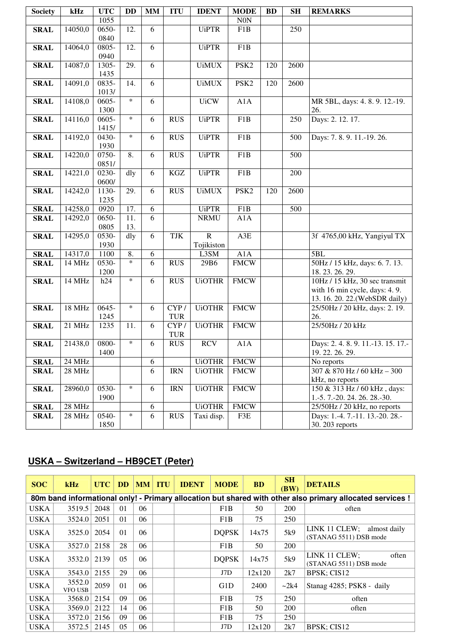| <b>Society</b> | kHz     | <b>UTC</b> | <b>DD</b> | MM             | <b>ITU</b> | <b>IDENT</b>   | <b>MODE</b>      | <b>BD</b> | <b>SH</b> | <b>REMARKS</b>                     |
|----------------|---------|------------|-----------|----------------|------------|----------------|------------------|-----------|-----------|------------------------------------|
|                |         | 1055       |           |                |            |                | N0N              |           |           |                                    |
| <b>SRAL</b>    | 14050,0 | 0650-      | 12.       | 6              |            | <b>UiPTR</b>   | F1B              |           | 250       |                                    |
|                |         | 0840       |           |                |            |                |                  |           |           |                                    |
| <b>SRAL</b>    | 14064,0 | 0805-      | 12.       | 6              |            | <b>UiPTR</b>   | F1B              |           |           |                                    |
|                |         | 0940       |           |                |            |                |                  |           |           |                                    |
| <b>SRAL</b>    | 14087,0 | 1305-      | 29.       | $\overline{6}$ |            | <b>UiMUX</b>   | PSK <sub>2</sub> | 120       | 2600      |                                    |
|                |         | 1435       |           |                |            |                |                  |           |           |                                    |
| <b>SRAL</b>    | 14091,0 | 0835-      | 14.       | 6              |            | <b>UiMUX</b>   | PSK <sub>2</sub> | 120       | 2600      |                                    |
|                |         | 1013/      |           |                |            |                |                  |           |           |                                    |
| <b>SRAL</b>    | 14108,0 | 0605-      | $\ast$    | 6              |            | <b>UiCW</b>    | A1A              |           |           | MR 5BL, days: 4.8.9.12.-19.        |
|                |         | 1300       |           |                |            |                |                  |           |           | 26.                                |
| <b>SRAL</b>    | 14116,0 | $0605 -$   | $\ast$    | 6              | <b>RUS</b> | <b>UiPTR</b>   | F1B              |           | 250       | Days: 2. 12. 17.                   |
|                |         | 1415/      |           |                |            |                |                  |           |           |                                    |
| <b>SRAL</b>    | 14192,0 | 0430-      | $\ast$    | 6              | <b>RUS</b> | <b>UiPTR</b>   | F <sub>1</sub> B |           | 500       | Days: 7.8.9.11.-19.26.             |
|                |         | 1930       |           |                |            |                |                  |           |           |                                    |
| <b>SRAL</b>    | 14220,0 | 0750-      | 8.        | 6              | <b>RUS</b> | <b>UiPTR</b>   | F1B              |           | 500       |                                    |
|                |         | 0851/      |           |                |            |                |                  |           |           |                                    |
| <b>SRAL</b>    | 14221,0 | $0230-$    | dly       | 6              | <b>KGZ</b> | <b>UiPTR</b>   | F1B              |           | 200       |                                    |
|                |         | 0600/      |           |                |            |                |                  |           |           |                                    |
| <b>SRAL</b>    | 14242,0 | 1130-      | 29.       | 6              | <b>RUS</b> | <b>UiMUX</b>   | PSK <sub>2</sub> | 120       | 2600      |                                    |
|                |         | 1235       |           |                |            |                |                  |           |           |                                    |
| <b>SRAL</b>    | 14258,0 | 0920       | 17.       | 6              |            | <b>UiPTR</b>   | F1B              |           | 500       |                                    |
| <b>SRAL</b>    | 14292,0 | 0650-      | 11.       | 6              |            | <b>NRMU</b>    | A1A              |           |           |                                    |
|                |         | 0805       | 13.       |                |            |                |                  |           |           |                                    |
| <b>SRAL</b>    | 14295,0 | 0530-      | dly       | 6              | TJK        | $\overline{R}$ | A3E              |           |           | 3f 4765,00 kHz, Yangiyul TX        |
|                |         | 1930       |           |                |            | Tojikiston     |                  |           |           |                                    |
| <b>SRAL</b>    | 14317,0 | 1100       | 8.        | $\sqrt{6}$     |            | L3SM           | A1A              |           |           | 5BL                                |
| <b>SRAL</b>    | 14 MHz  | 0530-      | $\ast$    | 6              | <b>RUS</b> | 29B6           | <b>FMCW</b>      |           |           | 50Hz / 15 kHz, days: 6.7.13.       |
|                |         | 1200       |           |                |            |                |                  |           |           | 18.23.26.29.                       |
| <b>SRAL</b>    | 14 MHz  | h24        | $\ast$    | 6              | <b>RUS</b> | <b>UiOTHR</b>  | <b>FMCW</b>      |           |           | 10Hz / 15 kHz, 30 sec transmit     |
|                |         |            |           |                |            |                |                  |           |           | with 16 min cycle, days: 4.9.      |
|                |         |            |           |                |            |                |                  |           |           | 13. 16. 20. 22. (WebSDR daily)     |
| <b>SRAL</b>    | 18 MHz  | $0645 -$   | $\ast$    | 6              | CYP/       | <b>UiOTHR</b>  | <b>FMCW</b>      |           |           | 25/50Hz / 20 kHz, days: 2. 19.     |
|                |         | 1245       |           |                | <b>TUR</b> |                |                  |           |           | 26.                                |
| <b>SRAL</b>    | 21 MHz  | 1235       | 11.       | 6              | CYP/       | <b>UiOTHR</b>  | <b>FMCW</b>      |           |           | 25/50Hz / 20 kHz                   |
|                |         |            |           |                | <b>TUR</b> |                |                  |           |           |                                    |
| <b>SRAL</b>    | 21438,0 | 0800-      | $\ast$    | 6              | <b>RUS</b> | <b>RCV</b>     | A1A              |           |           | Days: 2. 4. 8. 9. 11.-13. 15. 17.- |
|                |         | 1400       |           |                |            |                |                  |           |           | 19.22.26.29.                       |
| <b>SRAL</b>    | 24 MHz  |            |           | 6              |            | <b>UiOTHR</b>  | <b>FMCW</b>      |           |           | No reports                         |
| <b>SRAL</b>    | 28 MHz  |            |           | 6              | <b>IRN</b> | <b>UiOTHR</b>  | <b>FMCW</b>      |           |           | 307 & 870 Hz / 60 kHz - 300        |
|                |         |            |           |                |            |                |                  |           |           | kHz, no reports                    |
| <b>SRAL</b>    | 28960,0 | $0530-$    | $\ast$    | 6              | <b>IRN</b> | <b>UiOTHR</b>  | <b>FMCW</b>      |           |           | 150 & 313 Hz / 60 kHz, days:       |
|                |         | 1900       |           |                |            |                |                  |           |           | 1.-5. 7.-20. 24. 26. 28.-30.       |
| <b>SRAL</b>    | 28 MHz  |            |           | 6              |            | <b>UiOTHR</b>  | <b>FMCW</b>      |           |           | 25/50Hz / 20 kHz, no reports       |
| <b>SRAL</b>    | 28 MHz  | 0540-      | $\ast$    | 6              | <b>RUS</b> | Taxi disp.     | F3E              |           |           | Days: 1.-4.7.-11.13.-20.28.-       |
|                |         | 1850       |           |                |            |                |                  |           |           | 30. 203 reports                    |

#### **USKA – Switzerland – HB9CET (Peter)**

| <b>SOC</b>  | kHz                      | <b>UTC</b> | <b>DD</b> | <b>MM</b> | <b>ITU</b> | <b>IDENT</b> | <b>MODE</b>      | <b>BD</b> | <b>SH</b><br>(BW) | <b>DETAILS</b>                                                                                            |
|-------------|--------------------------|------------|-----------|-----------|------------|--------------|------------------|-----------|-------------------|-----------------------------------------------------------------------------------------------------------|
|             |                          |            |           |           |            |              |                  |           |                   | 80m band informational only! - Primary allocation but shared with other also primary allocated services ! |
| <b>USKA</b> | 3519.5                   | 2048       | 01        | 06        |            |              | F <sub>1</sub> B | 50        | <b>200</b>        | often                                                                                                     |
| <b>USKA</b> | 3524.0                   | 2051       | 01        | 06        |            |              | F1B              | 75        | 250               |                                                                                                           |
| <b>USKA</b> | 3525.0                   | 2054       | 01        | 06        |            |              | <b>DOPSK</b>     | 14x75     | 5k9               | LINK 11 CLEW; almost daily<br>(STANAG 5511) DSB mode                                                      |
| <b>USKA</b> | 3527.0                   | 2158       | 28        | 06        |            |              | F1B              | 50        | 200               |                                                                                                           |
| <b>USKA</b> | 3532.0                   | 2139       | 05        | 06        |            |              | <b>DQPSK</b>     | 14x75     | 5k9               | LINK 11 CLEW;<br>often<br>(STANAG 5511) DSB mode                                                          |
| <b>USKA</b> | 3543.0                   | 2155       | 29        | 06        |            |              | J7D              | 12x120    | 2k7               | BPSK; CIS12                                                                                               |
| <b>USKA</b> | 3552.0<br><b>VFO USB</b> | 2059       | 01        | 06        |            |              | G1D              | 2400      | $\sim$ 2k4        | Stanag 4285; PSK8 - daily                                                                                 |
| <b>USKA</b> | 3568.0                   | 2154       | 09        | 06        |            |              | F1B              | 75        | 250               | often                                                                                                     |
| <b>USKA</b> | 3569.0                   | 2122       | 14        | 06        |            |              | F1B              | 50        | <b>200</b>        | often                                                                                                     |
| <b>USKA</b> | 3572.0                   | 2156       | 09        | 06        |            |              | F1B              | 75        | 250               |                                                                                                           |
| <b>USKA</b> | 3572.5                   | 2145       | 05        | 06        |            |              | J7D              | 12x120    | 2k7               | BPSK: CIS12                                                                                               |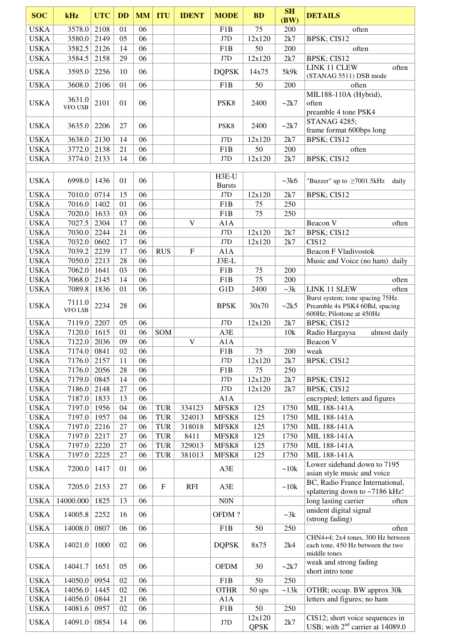| <b>SOC</b>                 | kHz              | <b>UTC</b>   | <b>DD</b> | <b>MM</b> | <b>ITU</b> | <b>IDENT</b> | <b>MODE</b>               | <b>BD</b>             | <b>SH</b><br>(BW) | <b>DETAILS</b>                                                        |  |  |
|----------------------------|------------------|--------------|-----------|-----------|------------|--------------|---------------------------|-----------------------|-------------------|-----------------------------------------------------------------------|--|--|
| <b>USKA</b>                | 3578.0           | 2108         | 01        | 06        |            |              | F <sub>1</sub> B          | 75                    | 200               | often                                                                 |  |  |
| <b>USKA</b>                | 3580.0           | 2149         | 05        | 06        |            |              | J7D                       | 12x120                | 2k7               | BPSK; CIS12                                                           |  |  |
| <b>USKA</b>                | 3582.5           | 2126         | 14        | 06        |            |              | F1B                       | 50                    | 200               | often                                                                 |  |  |
| <b>USKA</b>                | 3584.5           | 2158         | 29        | 06        |            |              | J7D                       | 12x120                | 2k7               | BPSK; CIS12                                                           |  |  |
| <b>USKA</b>                | 3595.0           | 2256         | 10        | 06        |            |              | <b>DQPSK</b>              | 14x75                 | 5k9k              | LINK 11 CLEW<br>often                                                 |  |  |
|                            |                  |              |           |           |            |              |                           |                       |                   | (STANAG 5511) DSB mode                                                |  |  |
| <b>USKA</b>                | 3608.0           | 2106         | 01        | 06        |            |              | F1B                       | 50                    | 200               | often                                                                 |  |  |
|                            | 3631.0           |              |           |           |            |              |                           |                       |                   | MIL188-110A (Hybrid),                                                 |  |  |
| <b>USKA</b>                | <b>VFO USB</b>   | 2101         | 01        | 06        |            |              | PSK8                      | 2400                  | ~2k7              | often                                                                 |  |  |
|                            |                  |              |           |           |            |              |                           |                       |                   | preamble 4 tone PSK4<br><b>STANAG 4285;</b>                           |  |  |
| <b>USKA</b>                | 3635.0           | 2206         | 27        | 06        |            |              | PSK <sub>8</sub>          | 2400                  | ~2k7              | frame format 600bps long                                              |  |  |
| <b>USKA</b>                | 3638.0           | 2130         | 14        | 06        |            |              | J7D                       | 12x120                | 2k7               | BPSK; CIS12                                                           |  |  |
| <b>USKA</b>                | 3772.0           | 2138         | 21        | 06        |            |              | F1B                       | 50                    | 200               | often                                                                 |  |  |
| <b>USKA</b>                | 3774.0           | 2133         | 14        | 06        |            |              | J7D                       | 12x120                | 2k7               | BPSK; CIS12                                                           |  |  |
|                            |                  |              |           |           |            |              |                           |                       |                   |                                                                       |  |  |
| <b>USKA</b>                | 6998.0           | 1436         | 01        | 06        |            |              | H3E-U                     |                       | ~28k              | "Buzzer" up to $\geq$ 7001.5kHz daily                                 |  |  |
|                            |                  |              |           |           |            |              | <b>Bursts</b>             |                       |                   |                                                                       |  |  |
| <b>USKA</b>                | 7010.0           | 0714         | 15        | 06        |            |              | J7D                       | 12x120                | 2k7               | BPSK; CIS12                                                           |  |  |
| <b>USKA</b>                | 7016.0           | 1402         | 01        | 06        |            |              | F1B                       | 75                    | 250               |                                                                       |  |  |
| <b>USKA</b>                | 7020.0           | 1633         | 03        | 06        |            |              | F1B                       | 75                    | 250               |                                                                       |  |  |
| <b>USKA</b>                | 7027.5           | 2304         | 17        | 06        |            | V            | A1A                       |                       |                   | Beacon V<br>often                                                     |  |  |
| <b>USKA</b>                | 7030.0           | 2244         | 21        | 06        |            |              | J7D                       | 12x120                | 2k7               | BPSK; CIS12                                                           |  |  |
| <b>USKA</b>                | 7032.0           | 0602         | 17        | 06        |            |              | J7D                       | 12x120                | 2k7               | CIS <sub>12</sub>                                                     |  |  |
| <b>USKA</b>                | 7039.2           | 2239         | 17<br>28  | 06<br>06  | <b>RUS</b> | $\mathbf F$  | A1A                       |                       |                   | <b>Beacon F Vladivostok</b>                                           |  |  |
| <b>USKA</b><br><b>USKA</b> | 7050.0<br>7062.0 | 2213<br>1641 | 03        | 06        |            |              | J3E-L<br>F <sub>1</sub> B | 75                    | 200               | Music and Voice (no ham) daily                                        |  |  |
| <b>USKA</b>                | 7068.0           | 2145         | 14        | 06        |            |              | F1B                       | 75                    | 200               | often                                                                 |  |  |
| <b>USKA</b>                | 7089.8           | 1836         | 01        | 06        |            |              | G1D                       | 2400                  | $-3k$             | LINK 11 SLEW<br>often                                                 |  |  |
|                            | 7111.0           |              |           |           |            |              |                           |                       |                   | Burst system; tone spacing 75Hz.                                      |  |  |
| <b>USKA</b>                | VFO LSB          | 2234         | 28        | 06        |            |              | <b>BPSK</b>               | 30x70                 | ~2k5              | Preamble 4x PSK4 60Bd, spacing<br>600Hz; Pilottone at 450Hz           |  |  |
| <b>USKA</b>                | 7119.0           | 2207         | 05        | 06        |            |              | J7D                       | 12x120                | 2k7               | BPSK; CIS12                                                           |  |  |
| <b>USKA</b>                | 7120.0           | 1615         | 01        | 06        | SOM        |              | A3E                       |                       | 10k               | Radio Hargaysa<br>almost daily                                        |  |  |
| <b>USKA</b>                | 7122.0           | 2036         | 09        | 06        |            | V            | A1A                       |                       |                   | Beacon V                                                              |  |  |
| <b>USKA</b>                | 7174.0           | 0841         | 02        | 06        |            |              | F1B                       | 75                    | 200               | weak                                                                  |  |  |
| <b>USKA</b><br><b>USKA</b> | 7176.0<br>7176.0 | 2157<br>2056 | 11<br>28  | 06<br>06  |            |              | $\rm J7D$                 | 12x120<br>75          | 2k7<br>250        | BPSK; CIS12                                                           |  |  |
| <b>USKA</b>                | 7179.0           | 0845         | 14        | 06        |            |              | F1B<br>$\rm J7D$          | 12x120                | 2k7               | BPSK; CIS12                                                           |  |  |
| <b>USKA</b>                | 7186.0           | 2148         | 27        | 06        |            |              | J7D                       | 12x120                | 2k7               | BPSK; CIS12                                                           |  |  |
| <b>USKA</b>                | 7187.0           | 1833         | 13        | 06        |            |              | A1A                       |                       |                   | encrypted; letters and figures                                        |  |  |
| <b>USKA</b>                | 7197.0           | 1956         | 04        | 06        | <b>TUR</b> | 334123       | MFSK8                     | 125                   | 1750              | MIL 188-141A                                                          |  |  |
| <b>USKA</b>                | 7197.0           | 1957         | 04        | 06        | <b>TUR</b> | 324013       | MFSK8                     | 125                   | 1750              | MIL 188-141A                                                          |  |  |
| <b>USKA</b>                | 7197.0           | 2216         | 27        | 06        | <b>TUR</b> | 318018       | MFSK8                     | 125                   | 1750              | MIL 188-141A                                                          |  |  |
| <b>USKA</b>                | 7197.0           | 2217         | 27        | 06        | <b>TUR</b> | 8411         | MFSK8                     | 125                   | 1750              | MIL 188-141A                                                          |  |  |
| <b>USKA</b>                | 7197.0           | 2220         | 27        | 06        | <b>TUR</b> | 329013       | MFSK8                     | 125                   | 1750              | MIL 188-141A                                                          |  |  |
| <b>USKA</b>                | 7197.0           | 2225         | 27        | 06        | <b>TUR</b> | 381013       | MFSK8                     | 125                   | 1750              | MIL 188-141A                                                          |  |  |
| <b>USKA</b>                | 7200.0           | 1417         | 01        | 06        |            |              | A3E                       |                       | ~10k              | Lower sideband down to 7195                                           |  |  |
| <b>USKA</b>                | 7205.0           | 2153         | 27        | 06        | $_{\rm F}$ | <b>RFI</b>   | A3E                       |                       | ~10k              | asian style music and voice<br>BC, Radio France International,        |  |  |
| <b>USKA</b>                | 14000.000        | 1825         | 13        | 06        |            |              | $\rm{NON}$                |                       |                   | splattering down to ~7186 kHz!<br>long lasting carrier<br>often       |  |  |
| <b>USKA</b>                | 14005.8          | 2252         | 16        | 06        |            |              | OFDM?                     |                       | $-3k$             | unident digital signal                                                |  |  |
|                            |                  |              |           |           |            |              |                           |                       |                   | (strong fading)                                                       |  |  |
| <b>USKA</b>                | 14008.0          | 0807         | 06        | 06        |            |              | F1B                       | 50                    | 250               | often<br>CHN4+4; 2x4 tones, 300 Hz between                            |  |  |
| <b>USKA</b>                | 14021.0          | 1000         | 02        | 06        |            |              | <b>DQPSK</b>              | 8x75                  | 2k4               | each tone, 450 Hz between the two<br>middle tones                     |  |  |
| <b>USKA</b>                | 14041.7          | 1651         | 05        | 06        |            |              | <b>OFDM</b>               | 30                    | ~2k7              | weak and strong fading<br>short intro tone                            |  |  |
| <b>USKA</b>                | 14050.0          | 0954         | 02        | 06        |            |              | F1B                       | 50                    | 250               |                                                                       |  |  |
| <b>USKA</b>                | 14056.0          | 1445         | 02        | 06        |            |              | <b>OTHR</b>               | 50 sps                | ~13k              | OTHR; occup. BW approx 30k                                            |  |  |
| <b>USKA</b>                | 14056.0          | 0844         | 21        | 06        |            |              | A1A                       |                       |                   | letters and figures; no ham                                           |  |  |
| <b>USKA</b>                | 14081.6          | 0957         | 02        | 06        |            |              | F1B                       | 50                    | 250               |                                                                       |  |  |
| <b>USKA</b>                | 14091.0          | 0854         | 14        | 06        |            |              | J7D                       | 12x120<br><b>QPSK</b> | 2k7               | CIS12; short voice sequences in<br>USB; with $2nd$ carrier at 14089.0 |  |  |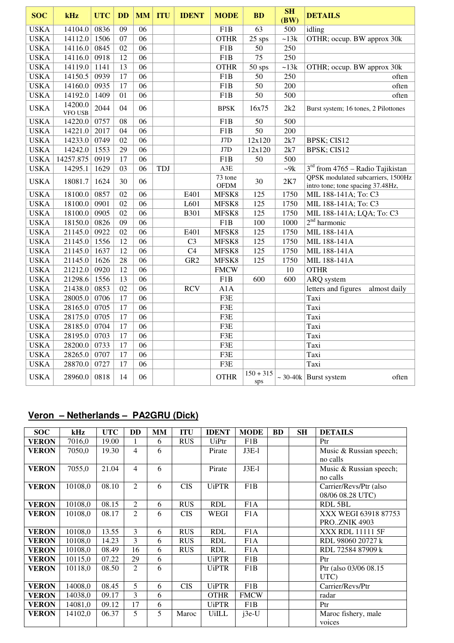| <b>SOC</b>  | kHz                       | <b>UTC</b> | <b>DD</b> | <b>MM</b> | <b>ITU</b> | <b>IDENT</b>    | <b>MODE</b>                         | <b>BD</b>          | <b>SH</b><br>(BW) | <b>DETAILS</b>                                                          |
|-------------|---------------------------|------------|-----------|-----------|------------|-----------------|-------------------------------------|--------------------|-------------------|-------------------------------------------------------------------------|
| <b>USKA</b> | 14104.0                   | 0836       | 09        | 06        |            |                 | F1B                                 | 63                 | 500               | idling                                                                  |
| <b>USKA</b> | 14112.0                   | 1506       | 07        | 06        |            |                 | <b>OTHR</b>                         | 25 sps             | ~13k              | OTHR; occup. BW approx 30k                                              |
| <b>USKA</b> | 14116.0                   | 0845       | 02        | 06        |            |                 | F1B                                 | 50                 | 250               |                                                                         |
| <b>USKA</b> | 14116.0                   | 0918       | 12        | 06        |            |                 | F1B                                 | 75                 | 250               |                                                                         |
| <b>USKA</b> | 14119.0                   | 1141       | 13        | 06        |            |                 | <b>OTHR</b>                         | $50$ sps           | ~13k              | OTHR; occup. BW approx 30k                                              |
| <b>USKA</b> | 14150.5                   | 0939       | 17        | 06        |            |                 | F <sub>1</sub> B                    | 50                 | 250               | often                                                                   |
| <b>USKA</b> | 14160.0                   | 0935       | 17        | 06        |            |                 | F1B                                 | 50                 | 200               | often                                                                   |
| <b>USKA</b> | 14192.0                   | 1409       | 01        | 06        |            |                 | F1B                                 | 50                 | 500               | often                                                                   |
| <b>USKA</b> | 14200.0<br><b>VFO USB</b> | 2044       | 04        | 06        |            |                 | <b>BPSK</b>                         | 16x75              | 2k2               | Burst system; 16 tones, 2 Pilottones                                    |
| <b>USKA</b> | 14220.0                   | 0757       | 08        | 06        |            |                 | F <sub>1</sub> B                    | 50                 | 500               |                                                                         |
| <b>USKA</b> | 14221.0                   | 2017       | 04        | 06        |            |                 | F1B                                 | 50                 | 200               |                                                                         |
| <b>USKA</b> | 14233.0                   | 0749       | 02        | 06        |            |                 | J7D                                 | 12x120             | 2k7               | BPSK; CIS12                                                             |
| <b>USKA</b> | 14242.0                   | 1553       | 29        | 06        |            |                 | J7D                                 | 12x120             | 2k7               | BPSK; CIS12                                                             |
| <b>USKA</b> | 14257.875                 | 0919       | 17        | 06        |            |                 | F1B                                 | 50                 | 500               |                                                                         |
| <b>USKA</b> | 14295.1                   | 1629       | 03        | 06        | TDJ        |                 | A3E                                 |                    | $-9k$             | $3rd$ from 4765 – Radio Tajikistan                                      |
| <b>USKA</b> | 18081.7                   | 1624       | 30        | 06        |            |                 | $\overline{73}$ tone<br><b>OFDM</b> | 30                 | 2K7               | QPSK modulated subcarriers, 1500Hz<br>intro tone; tone spacing 37.48Hz, |
| <b>USKA</b> | 18100.0                   | 0857       | 02        | 06        |            | E401            | MFSK8                               | 125                | 1750              | MIL 188-141A; To: C3                                                    |
| <b>USKA</b> | 18100.0                   | 0901       | 02        | 06        |            | L601            | MFSK8                               | 125                | 1750              | MIL 188-141A; To: C3                                                    |
| <b>USKA</b> | 18100.0                   | 0905       | 02        | 06        |            | <b>B301</b>     | MFSK8                               | 125                | 1750              | MIL 188-141A; LQA; To: C3                                               |
| <b>USKA</b> | 18150.0                   | 0826       | 09        | 06        |            |                 | F1B                                 | 100                | 1000              | 2 <sup>nd</sup> harmonic                                                |
| <b>USKA</b> | 21145.0                   | 0922       | 02        | 06        |            | E401            | MFSK8                               | 125                | 1750              | MIL 188-141A                                                            |
| <b>USKA</b> | 21145.0                   | 1556       | 12        | 06        |            | C <sub>3</sub>  | MFSK8                               | 125                | 1750              | MIL 188-141A                                                            |
| <b>USKA</b> | 21145.0                   | 1637       | 12        | 06        |            | C <sub>4</sub>  | MFSK8                               | 125                | 1750              | MIL 188-141A                                                            |
| <b>USKA</b> | 21145.0                   | 1626       | 28        | 06        |            | GR <sub>2</sub> | MFSK8                               | 125                | 1750              | MIL 188-141A                                                            |
| <b>USKA</b> | 21212.0                   | 0920       | 12        | 06        |            |                 | <b>FMCW</b>                         |                    | 10                | <b>OTHR</b>                                                             |
| <b>USKA</b> | 21298.6                   | 1556       | 13        | 06        |            |                 | F <sub>1</sub> B                    | 600                | 600               | ARQ system                                                              |
| <b>USKA</b> | 21438.0                   | 0853       | 02        | 06        |            | <b>RCV</b>      | A1A                                 |                    |                   | letters and figures<br>almost daily                                     |
| <b>USKA</b> | 28005.0                   | 0706       | 17        | 06        |            |                 | F3E                                 |                    |                   | Taxi                                                                    |
| <b>USKA</b> | 28165.0                   | 0705       | 17        | 06        |            |                 | F3E                                 |                    |                   | Taxi                                                                    |
| <b>USKA</b> | 28175.0                   | 0705       | 17        | 06        |            |                 | F3E                                 |                    |                   | Taxi                                                                    |
| <b>USKA</b> | 28185.0                   | 0704       | 17        | 06        |            |                 | F3E                                 |                    |                   | Taxi                                                                    |
| <b>USKA</b> | 28195.0                   | 0703       | 17        | 06        |            |                 | F3E                                 |                    |                   | Taxi                                                                    |
| <b>USKA</b> | 28200.0                   | 0733       | 17        | 06        |            |                 | F3E                                 |                    |                   | Taxi                                                                    |
| <b>USKA</b> | 28265.0                   | 0707       | 17        | 06        |            |                 | F3E                                 |                    |                   | Taxi                                                                    |
| <b>USKA</b> | 28870.0                   | 0727       | 17        | 06        |            |                 | F3E                                 |                    |                   | Taxi                                                                    |
| <b>USKA</b> | 28960.0                   | 0818       | 14        | 06        |            |                 | <b>OTHR</b>                         | $150 + 315$<br>sps |                   | $\sim$ 30-40k Burst system<br>often                                     |

## **Veron – Netherlands – PA2GRU (Dick)**

| <b>SOC</b>   | kHz     | <b>UTC</b> | <b>DD</b>      | <b>MM</b> | <b>ITU</b> | <b>IDENT</b> | <b>MODE</b>      | <b>BD</b> | <b>SH</b> | <b>DETAILS</b>          |
|--------------|---------|------------|----------------|-----------|------------|--------------|------------------|-----------|-----------|-------------------------|
| <b>VERON</b> | 7016,0  | 19.00      |                | 6         | <b>RUS</b> | <b>UiPtr</b> | F1B              |           |           | Ptr                     |
| <b>VERON</b> | 7050,0  | 19.30      | 4              | 6         |            | Pirate       | $J3E-1$          |           |           | Music & Russian speech; |
|              |         |            |                |           |            |              |                  |           |           | no calls                |
| <b>VERON</b> | 7055,0  | 21.04      | $\overline{4}$ | 6         |            | Pirate       | $J3E-1$          |           |           | Music & Russian speech; |
|              |         |            |                |           |            |              |                  |           |           | no calls                |
| <b>VERON</b> | 10108,0 | 08.10      | 2              | 6         | <b>CIS</b> | <b>UiPTR</b> | F1B              |           |           | Carrier/Revs/Ptr (also  |
|              |         |            |                |           |            |              |                  |           |           | 08/06 08.28 UTC)        |
| <b>VERON</b> | 10108,0 | 08.15      | $\overline{2}$ | 6         | <b>RUS</b> | <b>RDL</b>   | F1A              |           |           | RDL 5BL                 |
| <b>VERON</b> | 10108,0 | 08.17      | 2              | 6         | <b>CIS</b> | WEGI         | F1A              |           |           | XXX WEGI 63918 87753    |
|              |         |            |                |           |            |              |                  |           |           | <b>PROZNIK 4903</b>     |
| <b>VERON</b> | 10108,0 | 13.55      | 3              | 6         | <b>RUS</b> | <b>RDL</b>   | F1A              |           |           | <b>XXX RDL 11111 5F</b> |
| <b>VERON</b> | 10108,0 | 14.23      | 3              | 6         | <b>RUS</b> | <b>RDL</b>   | F <sub>1</sub> A |           |           | RDL 98060 20727 k       |
| <b>VERON</b> | 10108,0 | 08.49      | 16             | 6         | <b>RUS</b> | <b>RDL</b>   | F1A              |           |           | RDL 72584 87909 k       |
| <b>VERON</b> | 10115,0 | 07.22      | 29             | 6         |            | <b>UiPTR</b> | F1B              |           |           | Ptr                     |
| <b>VERON</b> | 10118,0 | 08.50      | $\mathfrak{D}$ | 6         |            | <b>UiPTR</b> | F1B              |           |           | Ptr (also 03/06 08.15)  |
|              |         |            |                |           |            |              |                  |           |           | UTC)                    |
| <b>VERON</b> | 14008,0 | 08.45      | 5              | 6         | <b>CIS</b> | <b>UiPTR</b> | F1B              |           |           | Carrier/Revs/Ptr        |
| <b>VERON</b> | 14038,0 | 09.17      | 3              | 6         |            | <b>OTHR</b>  | <b>FMCW</b>      |           |           | radar                   |
| <b>VERON</b> | 14081,0 | 09.12      | 17             | 6         |            | <b>UiPTR</b> | F1B              |           |           | Ptr                     |
| <b>VERON</b> | 14102,0 | 06.37      | 5.             | 5         | Maroc      | <b>UiILL</b> | $i3e-U$          |           |           | Maroc fishery, male     |
|              |         |            |                |           |            |              |                  |           |           | voices                  |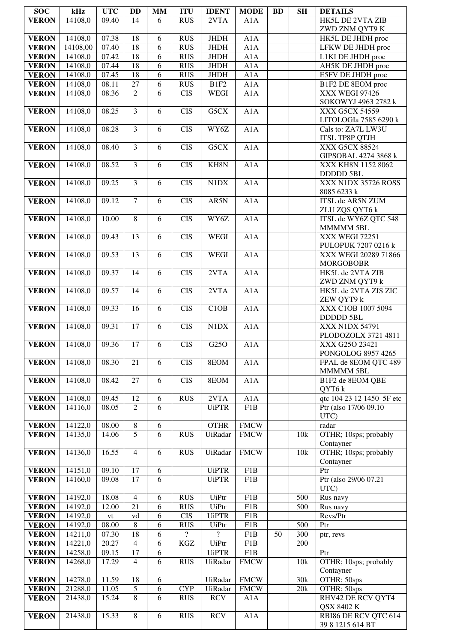| <b>SOC</b>   | kHz      | <b>UTC</b> | DD                      | <b>MM</b>      | <b>ITU</b>       | <b>IDENT</b>   | <b>MODE</b>      | <b>BD</b> | <b>SH</b>      | <b>DETAILS</b>            |
|--------------|----------|------------|-------------------------|----------------|------------------|----------------|------------------|-----------|----------------|---------------------------|
| <b>VERON</b> | 14108,0  | 09.40      | 14                      | 6              | <b>RUS</b>       | 2VTA           | A1A              |           |                | HK5L DE 2VTA ZIB          |
|              |          |            |                         |                |                  |                |                  |           |                | ZWD ZNM QYT9 K            |
| <b>VERON</b> | 14108,0  | 07.38      | 18                      | 6              | <b>RUS</b>       | <b>JHDH</b>    | A1A              |           |                | HK5L DE JHDH proc         |
| <b>VERON</b> | 14108,00 | 07.40      | 18                      | 6              | <b>RUS</b>       | <b>JHDH</b>    | A1A              |           |                | LFKW DE JHDH proc         |
| <b>VERON</b> | 14108,0  | 07.42      | 18                      | 6              | <b>RUS</b>       | <b>JHDH</b>    | A1A              |           |                | L1KI DE JHDH proc         |
| <b>VERON</b> | 14108,0  | 07.44      | 18                      | 6              | <b>RUS</b>       | <b>JHDH</b>    | A1A              |           |                | AH5K DE JHDH proc         |
| <b>VERON</b> | 14108,0  | 07.45      | 18                      | $\sqrt{6}$     | <b>RUS</b>       | <b>JHDH</b>    | A1A              |           |                | E5FV DE JHDH proc         |
| <b>VERON</b> | 14108,0  | 08.11      | 27                      | $\sqrt{6}$     | <b>RUS</b>       | B1F2           | A1A              |           |                | B1F2 DE 8EOM proc         |
| <b>VERON</b> | 14108,0  | 08.36      | $\overline{2}$          | 6              | <b>CIS</b>       | <b>WEGI</b>    | A1A              |           |                | XXX WEGI 97426            |
|              |          |            |                         |                |                  |                |                  |           |                | SOKOWYJ 4963 2782 k       |
| <b>VERON</b> | 14108,0  | 08.25      | 3                       | 6              | $\overline{CIS}$ | G5CX           | A1A              |           |                | XXX G5CX 54559            |
|              |          |            |                         |                |                  |                |                  |           |                | LITOLOGIa 7585 6290 k     |
| <b>VERON</b> | 14108,0  | 08.28      | $\overline{3}$          | 6              | <b>CIS</b>       | WY6Z           | A1A              |           |                | Cals to: ZA7L LW3U        |
|              |          |            |                         |                |                  |                |                  |           |                | ITSL TP8P QTJH            |
| <b>VERON</b> | 14108,0  | 08.40      | $\overline{3}$          | 6              | <b>CIS</b>       | G5CX           | A1A              |           |                | XXX G5CX 88524            |
|              |          |            |                         |                |                  |                |                  |           |                | GIPSOBAL 4274 3868 k      |
| <b>VERON</b> | 14108,0  | 08.52      | $\overline{\mathbf{3}}$ | 6              | $\overline{CIS}$ | KH8N           | A1A              |           |                | XXX KH8N 1152 8062        |
|              |          |            |                         |                |                  |                |                  |           |                | DDDDD 5BL                 |
| <b>VERON</b> | 14108,0  | 09.25      | $\overline{\mathbf{3}}$ | 6              | <b>CIS</b>       | N1DX           | A1A              |           |                | XXX N1DX 35726 ROSS       |
|              |          |            |                         |                |                  |                |                  |           |                | 8085 6233 k               |
| <b>VERON</b> | 14108,0  | 09.12      | $\overline{7}$          | 6              | <b>CIS</b>       | AR5N           | A1A              |           |                | <b>ITSL de AR5N ZUM</b>   |
|              |          |            |                         |                |                  |                |                  |           |                | ZLU ZQS QYT6 k            |
| <b>VERON</b> | 14108,0  | 10.00      | $\overline{8}$          | $\overline{6}$ | CIS              | WY6Z           | A1A              |           |                | ITSL de WY6Z QTC 548      |
|              |          |            |                         |                |                  |                |                  |           |                | MMMMM 5BL                 |
| <b>VERON</b> | 14108,0  | 09.43      | 13                      | 6              | <b>CIS</b>       | <b>WEGI</b>    | A1A              |           |                | XXX WEGI 72251            |
|              |          |            |                         |                |                  |                |                  |           |                | PULOPUK 7207 0216 k       |
| <b>VERON</b> | 14108,0  | 09.53      | 13                      | 6              | <b>CIS</b>       | <b>WEGI</b>    | A1A              |           |                | XXX WEGI 20289 71866      |
|              |          |            |                         |                |                  |                |                  |           |                | <b>MORGOBOBR</b>          |
| <b>VERON</b> | 14108,0  | 09.37      | 14                      | 6              | $\overline{CIS}$ | 2VTA           | A1A              |           |                | HK5L de 2VTA ZIB          |
|              |          |            |                         |                |                  |                |                  |           |                | ZWD ZNM QYT9 k            |
| <b>VERON</b> | 14108,0  | 09.57      | 14                      | 6              | $\overline{CIS}$ | 2VTA           | A1A              |           |                | HK5L de 2VTA ZIS ZIC      |
|              |          |            |                         |                |                  |                |                  |           |                | ZEW QYT9 k                |
| <b>VERON</b> | 14108,0  | 09.33      | 16                      | 6              | <b>CIS</b>       | C1OB           | A1A              |           |                | XXX C1OB 1007 5094        |
|              |          |            |                         |                |                  |                |                  |           |                | DDDDD 5BL                 |
| <b>VERON</b> | 14108,0  | 09.31      | 17                      | 6              | $\overline{CIS}$ | N1DX           | A1A              |           |                | <b>XXX N1DX 54791</b>     |
|              |          |            |                         |                |                  |                |                  |           |                | PLODOZOLX 3721 4811       |
| <b>VERON</b> | 14108,0  | 09.36      | 17                      | 6              | <b>CIS</b>       | G25O           | A1A              |           |                | XXX G25O 23421            |
|              |          |            |                         |                |                  |                |                  |           |                | PONGOLOG 8957 4265        |
| <b>VERON</b> | 14108,0  | 08.30      | 21                      | 6              | <b>CIS</b>       | 8EOM           | A1A              |           |                | FPAL de 8EOM QTC 489      |
|              |          |            |                         |                |                  |                |                  |           |                | MMMMM 5BL                 |
| <b>VERON</b> | 14108,0  | 08.42      | 27                      | 6              | <b>CIS</b>       | 8EOM           | A1A              |           |                | B1F2 de 8EOM QBE          |
|              |          |            |                         |                |                  |                |                  |           |                | QYT6k                     |
| <b>VERON</b> | 14108,0  | 09.45      | 12                      | 6              | <b>RUS</b>       | 2VTA           | A1A              |           |                | qtc 104 23 12 1450 5F etc |
| <b>VERON</b> | 14116,0  | 08.05      | $\overline{2}$          | 6              |                  | <b>UiPTR</b>   | F1B              |           |                | Ptr (also 17/06 09.10)    |
|              |          |            |                         |                |                  |                |                  |           |                | UTC)                      |
| <b>VERON</b> | 14122,0  | 08.00      | $8\,$                   | 6              |                  | <b>OTHR</b>    | <b>FMCW</b>      |           |                | radar                     |
| <b>VERON</b> | 14135,0  | 14.06      | $\overline{5}$          | 6              | <b>RUS</b>       | UiRadar        | <b>FMCW</b>      |           | 10k            | OTHR; 10sps; probably     |
|              |          |            |                         |                |                  |                |                  |           |                | Contayner                 |
| <b>VERON</b> | 14136,0  | 16.55      | $\overline{4}$          | 6              | <b>RUS</b>       | UiRadar        | <b>FMCW</b>      |           | 10k            | OTHR; 10sps; probably     |
|              |          |            |                         |                |                  |                |                  |           |                | Contayner                 |
| <b>VERON</b> | 14151,0  | 09.10      | 17                      | 6              |                  | <b>UiPTR</b>   | $\overline{F1B}$ |           |                | Ptr                       |
| <b>VERON</b> | 14160,0  | 09.08      | 17                      | 6              |                  | <b>UiPTR</b>   | F1B              |           |                | Ptr (also 29/06 07.21     |
|              |          |            |                         |                |                  |                |                  |           |                | UTC)                      |
| <b>VERON</b> | 14192,0  | 18.08      | $\overline{4}$          | 6              | <b>RUS</b>       | <b>UiPtr</b>   | F1B              |           | 500            | Rus navy                  |
| <b>VERON</b> | 14192,0  | 12.00      | 21                      | 6              | <b>RUS</b>       | <b>UiPtr</b>   | F1B              |           | 500            | Rus navy                  |
| <b>VERON</b> | 14192,0  | vt         | vd                      | 6              | <b>CIS</b>       | <b>UiPTR</b>   | F1B              |           |                | Revs/Ptr                  |
| <b>VERON</b> | 14192,0  | 08.00      | 8                       | 6              | <b>RUS</b>       | <b>UiPtr</b>   | F1B              |           | 500            | Ptr                       |
| <b>VERON</b> | 14211,0  | 07.30      | 18                      | 6              | $\gamma$         | $\overline{?}$ | F1B              | 50        | 300            | ptr, revs                 |
| <b>VERON</b> | 14221,0  | 20.27      | $\overline{4}$          | 6              | KGZ              | <b>UiPtr</b>   | F1B              |           | 200            |                           |
| <b>VERON</b> | 14258,0  | 09.15      | 17                      | 6              |                  | <b>UiPTR</b>   | F1B              |           |                | Ptr                       |
| <b>VERON</b> | 14268,0  | 17.29      | $\overline{4}$          | 6              | <b>RUS</b>       | UiRadar        | <b>FMCW</b>      |           | 10k            | OTHR; 10sps; probably     |
|              |          |            |                         |                |                  |                |                  |           |                | Contayner                 |
| <b>VERON</b> | 14278,0  | 11.59      | 18                      | 6              |                  | UiRadar        | <b>FMCW</b>      |           | 30k            | OTHR; 50sps               |
| <b>VERON</b> | 21288,0  | 11.05      | 5                       | 6              | <b>CYP</b>       | UiRadar        | <b>FMCW</b>      |           | $20\mathrm{k}$ | OTHR; 50sps               |
| <b>VERON</b> | 21438,0  | 15.24      | 8                       | 6              | <b>RUS</b>       | <b>RCV</b>     | A1A              |           |                | RHV42 DE RCV QYT4         |
|              |          |            |                         |                |                  |                |                  |           |                | QSX 8402 K                |
| <b>VERON</b> | 21438,0  | 15.33      | 8                       | 6              | <b>RUS</b>       | <b>RCV</b>     | A1A              |           |                | RBI86 DE RCV QTC 614      |
|              |          |            |                         |                |                  |                |                  |           |                | 39 8 1215 614 BT          |